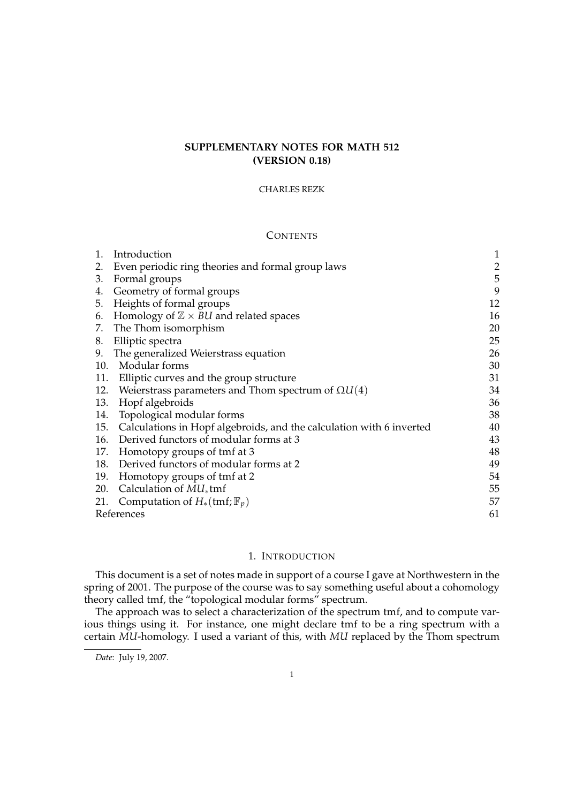# **SUPPLEMENTARY NOTES FOR MATH 512 (VERSION 0.18)**

### CHARLES REZK

# **CONTENTS**

| 1.         | Introduction                                                         | 1              |
|------------|----------------------------------------------------------------------|----------------|
| 2.         | Even periodic ring theories and formal group laws                    | $\overline{2}$ |
| 3.         | Formal groups                                                        | 5              |
| 4.         | Geometry of formal groups                                            | 9              |
| 5.         | Heights of formal groups                                             | 12             |
| 6.         | Homology of $\mathbb{Z} \times \mathcal{B}U$ and related spaces      | 16             |
| 7.         | The Thom isomorphism                                                 | 20             |
| 8.         | Elliptic spectra                                                     | 25             |
| 9.         | The generalized Weierstrass equation                                 | 26             |
| 10.        | Modular forms                                                        | 30             |
| 11.        | Elliptic curves and the group structure                              | 31             |
| 12.        | Weierstrass parameters and Thom spectrum of $\Omega U(4)$            | 34             |
| 13.        | Hopf algebroids                                                      | 36             |
| 14.        | Topological modular forms                                            | 38             |
| 15.        | Calculations in Hopf algebroids, and the calculation with 6 inverted | 40             |
| 16.        | Derived functors of modular forms at 3                               | 43             |
| 17.        | Homotopy groups of tmf at 3                                          | 48             |
| 18.        | Derived functors of modular forms at 2                               | 49             |
| 19.        | Homotopy groups of tmf at 2                                          | 54             |
| 20.        | Calculation of $MU_*$ tmf                                            | 55             |
| 21.        | Computation of $H_*(\text{tmf};\mathbb{F}_p)$                        | 57             |
| References |                                                                      |                |
|            |                                                                      |                |

# 1. INTRODUCTION

This document is a set of notes made in support of a course I gave at Northwestern in the spring of 2001. The purpose of the course was to say something useful about a cohomology theory called tmf, the "topological modular forms" spectrum.

The approach was to select a characterization of the spectrum tmf, and to compute various things using it. For instance, one might declare tmf to be a ring spectrum with a certain *MU*-homology. I used a variant of this, with *MU* replaced by the Thom spectrum

*Date*: July 19, 2007.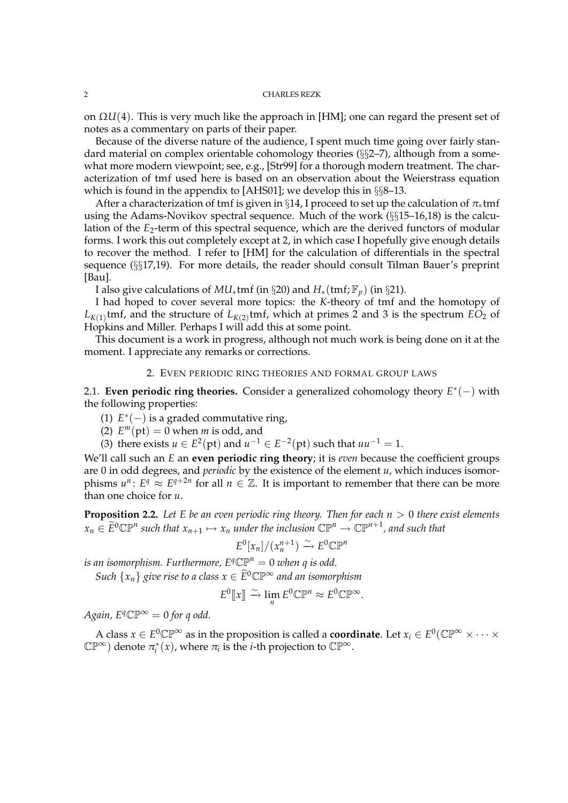on Ω*U*(4). This is very much like the approach in [HM]; one can regard the present set of notes as a commentary on parts of their paper.

Because of the diverse nature of the audience, I spent much time going over fairly standard material on complex orientable cohomology theories (§§2–7), although from a somewhat more modern viewpoint; see, e.g., [Str99] for a thorough modern treatment. The characterization of tmf used here is based on an observation about the Weierstrass equation which is found in the appendix to [AHS01]; we develop this in §§8–13.

After a characterization of tmf is given in §14, I proceed to set up the calculation of  $\pi_*$ tmf using the Adams-Novikov spectral sequence. Much of the work (§§15–16,18) is the calculation of the  $E_2$ -term of this spectral sequence, which are the derived functors of modular forms. I work this out completely except at 2, in which case I hopefully give enough details to recover the method. I refer to [HM] for the calculation of differentials in the spectral sequence (§§17,19). For more details, the reader should consult Tilman Bauer's preprint [Bau].

I also give calculations of  $MU_*$ tmf (in §20) and  $H_*(\text{tmf};\mathbb{F}_p)$  (in §21).

I had hoped to cover several more topics: the *K*-theory of tmf and the homotopy of  $L_{K(1)}$ tmf, and the structure of  $L_{K(2)}$ tmf, which at primes 2 and 3 is the spectrum  $EO_{2}$  of Hopkins and Miller. Perhaps I will add this at some point.

This document is a work in progress, although not much work is being done on it at the moment. I appreciate any remarks or corrections.

# 2. EVEN PERIODIC RING THEORIES AND FORMAL GROUP LAWS

2.1. **Even periodic ring theories.** Consider a generalized cohomology theory *E* ∗ (−) with the following properties:

- (1)  $E^*(-)$  is a graded commutative ring,
- (2)  $E^m(pt) = 0$  when *m* is odd, and

(3) there exists *u* ∈ *E*<sup>2</sup>(pt) and *u*<sup>-1</sup> ∈ *E*<sup>-2</sup>(pt) such that *uu*<sup>-1</sup> = 1.

We'll call such an *E* an **even periodic ring theory**; it is *even* because the coefficient groups are 0 in odd degrees, and *periodic* by the existence of the element *u*, which induces isomorphisms  $u^n$ :  $E^q \approx E^{q+2n}$  for all  $n \in \mathbb{Z}$ . It is important to remember that there can be more than one choice for *u*.

**Proposition 2.2.** Let E be an even periodic ring theory. Then for each  $n > 0$  there exist elements  $x_n \in \widetilde{E}^0\mathbb{CP}^n$  such that  $x_{n+1} \mapsto x_n$  under the inclusion  $\mathbb{CP}^n \to \mathbb{CP}^{n+1}$ , and such that

$$
E^{0}[x_{n}]/(x_{n}^{n+1}) \xrightarrow{\sim} E^{0}\mathbb{CP}^{n}
$$

*is an isomorphism. Furthermore,*  $E^q \mathbb{CP}^n = 0$  *when q is odd.* 

*Such*  $\{x_n\}$  *give rise to a class*  $x \in \widetilde{E}^0 \mathbb{CP}^\infty$  *and an isomorphism* 

$$
E^0[\hspace{-1.5pt}[ x]\hspace{-1.5pt}]\xrightarrow{\sim} \lim_n E^0\mathbb{CP}^n\approx E^0\mathbb{CP}^\infty.
$$

*Again,*  $E^q$ C $\mathbb{P}^\infty = 0$  for q odd.

A class  $x \in E^0\mathbb{CP}^\infty$  as in the proposition is called a **coordinate**. Let  $x_i \in E^0(\mathbb{CP}^\infty \times \cdots \times$  $\mathbb{CP}^{\infty}$ ) denote  $\pi_i^*(x)$ , where  $\pi_i$  is the *i*-th projection to  $\mathbb{CP}^{\infty}$ .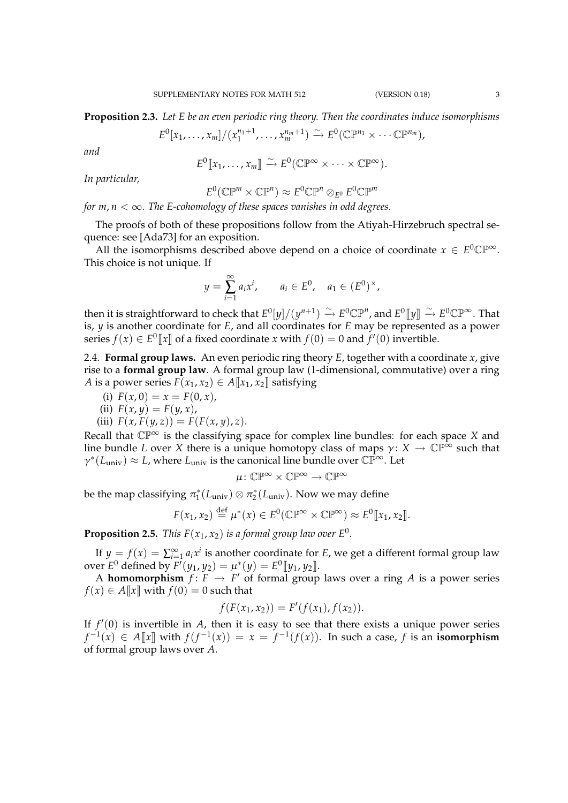**Proposition 2.3.** *Let E be an even periodic ring theory. Then the coordinates induce isomorphisms*

$$
E^{0}[x_{1},...,x_{m}]/(x_{1}^{n_{1}+1},...,x_{m}^{n_{m}+1}) \xrightarrow{\sim} E^{0}(\mathbb{C}\mathbb{P}^{n_{1}}\times\cdots\mathbb{C}\mathbb{P}^{n_{m}}),
$$

*and*

$$
E^0[\![x_1,\ldots,x_m]\!]\stackrel{\sim}{\to} E^0(\mathbb{CP}^{\infty}\times\cdots\times\mathbb{CP}^{\infty}).
$$

*In particular,*

$$
E^0(\mathbb{CP}^m \times \mathbb{CP}^n) \approx E^0 \mathbb{CP}^n \otimes_{E^0} E^0 \mathbb{CP}^m
$$

*for m*, *<sup>n</sup>* <sup>&</sup>lt; <sup>∞</sup>*. The E-cohomology of these spaces vanishes in odd degrees.*

The proofs of both of these propositions follow from the Atiyah-Hirzebruch spectral sequence: see [Ada73] for an exposition.

All the isomorphisms described above depend on a choice of coordinate  $x \in E^0 \mathbb{CP}^\infty$ . This choice is not unique. If

$$
y = \sum_{i=1}^{\infty} a_i x^i
$$
,  $a_i \in E^0$ ,  $a_1 \in (E^0)^{\times}$ ,

then it is straightforward to check that  $E^0[y]/(y^{n+1}) \stackrel{\sim}{\to} E^0\mathbb{CP}^n$ , and  $E^0[\![y]\!]\stackrel{\sim}{\to} E^0\mathbb{CP}^\infty.$  That is, *y* is another coordinate for *E*, and all coordinates for *E* may be represented as a power series  $f(x) \in E^0[\![x]\!]$  of a fixed coordinate *x* with  $f(0) = 0$  and  $f'(0)$  invertible.

2.4. **Formal group laws.** An even periodic ring theory *E*, together with a coordinate *x*, give rise to a **formal group law**. A formal group law (1-dimensional, commutative) over a ring *A* is a power series  $F(x_1, x_2) \in A[[x_1, x_2]]$  satisfying

(i)  $F(x, 0) = x = F(0, x)$ ,

(ii) 
$$
F(x, y) = F(y, x),
$$

(iii)  $F(x, F(y, z)) = F(F(x, y), z).$ 

Recall that  $\mathbb{CP}^{\infty}$  is the classifying space for complex line bundles: for each space *X* and line bundle *L* over *X* there is a unique homotopy class of maps  $\gamma: X \to \mathbb{CP}^{\infty}$  such that  $\gamma^*(L_{\text{univ}}) \approx L$ , where  $L_{\text{univ}}$  is the canonical line bundle over  $\mathbb{CP}^{\infty}$ . Let

$$
\mu\colon \mathbb{CP}^\infty\times\mathbb{CP}^\infty\to\mathbb{CP}^\infty
$$

be the map classifying  $\pi_1^*(L_{\text{univ}}) \otimes \pi_2^*(L_{\text{univ}})$ . Now we may define

$$
F(x_1, x_2) \stackrel{\text{def}}{=} \mu^*(x) \in E^0(\mathbb{CP}^\infty \times \mathbb{CP}^\infty) \approx E^0[\![x_1, x_2]\!].
$$

**Proposition 2.5.** *This*  $F(x_1, x_2)$  *is a formal group law over*  $E^0$ *.* 

If  $y = f(x) = \sum_{i=1}^{\infty} a_i x^i$  is another coordinate for *E*, we get a different formal group law  $\text{over } E^0 \text{ defined by } F'(y_1, y_2) = \mu^*(y) = E^0 \llbracket y_1, y_2 \rrbracket.$ 

A **homomorphism**  $f: F \to F'$  of formal group laws over a ring A is a power series  $f(x) \in A[[x]]$  with  $f(0) = 0$  such that

$$
f(F(x_1,x_2)) = F'(f(x_1), f(x_2)).
$$

If  $f'(0)$  is invertible in  $A$ , then it is easy to see that there exists a unique power series *f*<sup>-1</sup>(*x*) ∈ *A*[[*x*]] with  $f(f^{-1}(x)) = x = f^{-1}(f(x))$ . In such a case, *f* is an **isomorphism** of formal group laws over *A*.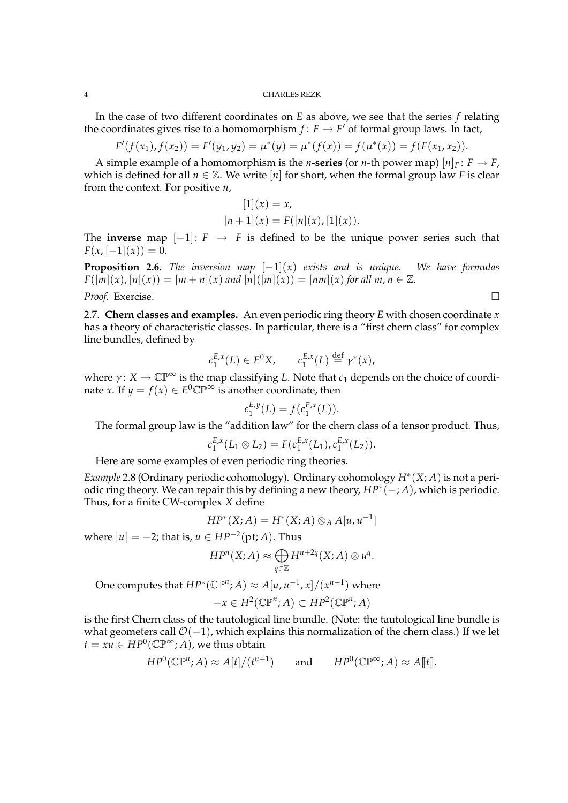In the case of two different coordinates on *E* as above, we see that the series *f* relating the coordinates gives rise to a homomorphism  $f: F \to F'$  of formal group laws. In fact,

$$
F'(f(x_1), f(x_2)) = F'(y_1, y_2) = \mu^*(y) = \mu^*(f(x)) = f(\mu^*(x)) = f(F(x_1, x_2)).
$$

A simple example of a homomorphism is the *n*-series (or *n*-th power map)  $[n]_F: F \to F$ , which is defined for all  $n \in \mathbb{Z}$ . We write [*n*] for short, when the formal group law *F* is clear from the context. For positive *n*,

$$
[1](x) = x,
$$
  

$$
[n+1](x) = F([n](x), [1](x)).
$$

The **inverse** map  $[-1]: F \rightarrow F$  is defined to be the unique power series such that  $F(x, [-1](x)) = 0.$ 

**Proposition 2.6.** *The inversion map*  $[-1](x)$  *exists and is unique.* We have formulas  $F([m](x), [n](x)) = [m+n](x)$  and  $[n]([m](x)) = [nm](x)$  for all  $m, n \in \mathbb{Z}$ . *Proof.* Exercise. □

2.7. **Chern classes and examples.** An even periodic ring theory *E* with chosen coordinate *x* has a theory of characteristic classes. In particular, there is a "first chern class" for complex line bundles, defined by

$$
c_1^{E,x}(L) \in E^0 X, \qquad c_1^{E,x}(L) \stackrel{\text{def}}{=} \gamma^*(x),
$$

where  $\gamma: X \to \mathbb{CP}^{\infty}$  is the map classifying *L*. Note that  $c_1$  depends on the choice of coordinate *x*. If  $y = f(x) \in E^0 \mathbb{CP}^\infty$  is another coordinate, then

$$
c_1^{E,y}(L) = f(c_1^{E,x}(L)).
$$

The formal group law is the "addition law" for the chern class of a tensor product. Thus,

$$
c_1^{E,x}(L_1\otimes L_2)=F(c_1^{E,x}(L_1),c_1^{E,x}(L_2)).
$$

Here are some examples of even periodic ring theories.

*Example* 2.8 (Ordinary periodic cohomology)*.* Ordinary cohomology *H*<sup>∗</sup> (*X*; *A*) is not a periodic ring theory. We can repair this by defining a new theory,  $HP^*(-; A)$ , which is periodic. Thus, for a finite CW-complex *X* define

$$
HP^*(X;A) = H^*(X;A) \otimes_A A[u,u^{-1}]
$$

where  $|u| = -2$ ; that is,  $u \in HP^{-2}(\text{pt};A)$ . Thus

$$
HP^n(X;A) \approx \bigoplus_{q \in \mathbb{Z}} H^{n+2q}(X;A) \otimes u^q.
$$

One computes that  $HP^*(\mathbb{CP}^n; A) \approx A[u, u^{-1}, x]/(x^{n+1})$  where

$$
-x \in H^2(\mathbb{CP}^n; A) \subset HP^2(\mathbb{CP}^n; A)
$$

is the first Chern class of the tautological line bundle. (Note: the tautological line bundle is what geometers call  $\mathcal{O}(-1)$ , which explains this normalization of the chern class.) If we let  $t = xu \in HP^0(\mathbb{CP}^\infty;A)$ , we thus obtain

$$
HP^0(\mathbb{CP}^n;A) \approx A[t]/(t^{n+1}) \quad \text{and} \quad HP^0(\mathbb{CP}^\infty;A) \approx A[\![t]\!].
$$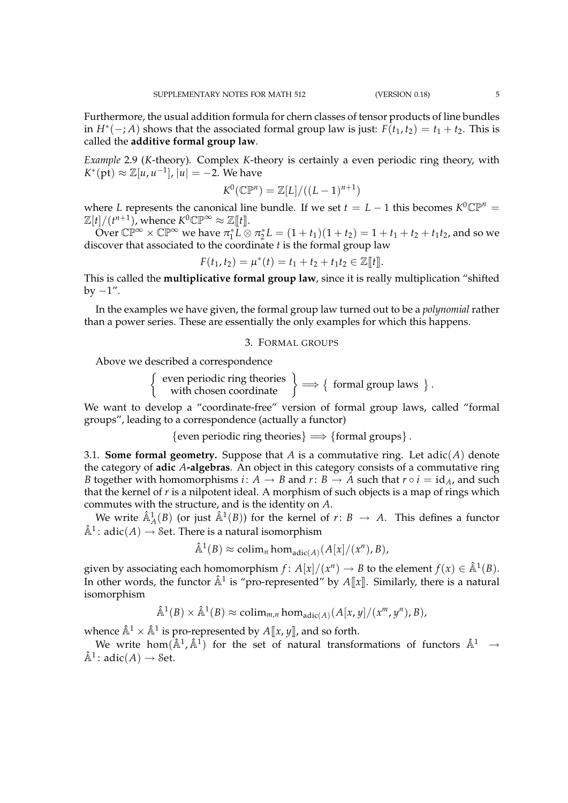Furthermore, the usual addition formula for chern classes of tensor products of line bundles in  $H^*(-; A)$  shows that the associated formal group law is just:  $F(t_1, t_2) = t_1 + t_2$ . This is called the **additive formal group law**.

*Example* 2.9 (*K*-theory)*.* Complex *K*-theory is certainly a even periodic ring theory, with  $K^*(\mathrm{pt}) \approx \mathbb{Z}[u, u^{-1}], |u| = -2.$  We have

$$
K^0(\mathbb{CP}^n) = \mathbb{Z}[L]/((L-1)^{n+1})
$$

where *L* represents the canonical line bundle. If we set  $t = L - 1$  this becomes  $K^0 \mathbb{CP}^n =$  $\mathbb{Z}[t]/(t^{n+1})$ , whence  $K^0\mathbb{CP}^\infty \approx \mathbb{Z}[\![t]\!].$ 

Over  $\mathbb{CP}^{\infty} \times \mathbb{CP}^{\infty}$  we have  $\pi_1^* \overline{L} \otimes \pi_2^* L = (1+t_1)(1+t_2) = 1+t_1+t_2+t_1t_2$ , and so we discover that associated to the coordinate *t* is the formal group law

 $F(t_1, t_2) = \mu^*(t) = t_1 + t_2 + t_1t_2 \in \mathbb{Z}[[t]].$ 

This is called the **multiplicative formal group law**, since it is really multiplication "shifted by  $-1$ ".

In the examples we have given, the formal group law turned out to be a *polynomial* rather than a power series. These are essentially the only examples for which this happens.

# 3. FORMAL GROUPS

Above we described a correspondence

 $\left\{\begin{array}{c}\text{even periodic ring theories} \\ \text{with chosen coordinate}\end{array}\right\} \Longrightarrow \left\{\begin{array}{c}\text{formal group laws}\end{array}\right\}.$ 

We want to develop a "coordinate-free" version of formal group laws, called "formal groups", leading to a correspondence (actually a functor)

 ${even periodic ring theories} \implies {formal groups}.$ 

3.1. **Some formal geometry.** Suppose that *A* is a commutative ring. Let adic(*A*) denote the category of **adic** *A***-algebras**. An object in this category consists of a commutative ring *B* together with homomorphisms *i*:  $A \rightarrow B$  and  $r: B \rightarrow A$  such that  $r \circ i = id_A$ , and such that the kernel of *r* is a nilpotent ideal. A morphism of such objects is a map of rings which commutes with the structure, and is the identity on *A*.

We write  $\hat{\mathbb{A}}_A^1(B)$  (or just  $\hat{\mathbb{A}}^1(B)$ ) for the kernel of  $r: B \to A$ . This defines a functor  $\hat{\mathbb{A}}^1$ : adic $(A) \rightarrow$  Set. There is a natural isomorphism

$$
\hat{\mathbb{A}}^1(B) \approx \text{colim}_n \hom_{\text{adic}(A)}(A[x]/(x^n), B),
$$

given by associating each homomorphism  $f: A[x]/(x^n) \to B$  to the element  $f(x) \in \hat{A}^1(B)$ . In other words, the functor  $\hat{\mathbb{A}}^1$  is "pro-represented" by  $A[\![x]\!]$ . Similarly, there is a natural isomorphism

$$
\hat{\mathbb{A}}^1(B) \times \hat{\mathbb{A}}^1(B) \approx \text{colim}_{m,n} \text{hom}_{\text{adic}(A)}(A[x,y]/(x^m, y^n), B),
$$

whence  $\hat{\mathbb{A}}^1 \times \hat{\mathbb{A}}^1$  is pro-represented by  $A\llbracket x,y \rrbracket$ , and so forth.

We write hom $(\hat{A}^1, \hat{A}^1)$  for the set of natural transformations of functors  $\hat{A}^1 \rightarrow$  $\hat{\mathbb{A}}^1$ : adic $(A) \rightarrow$  Set.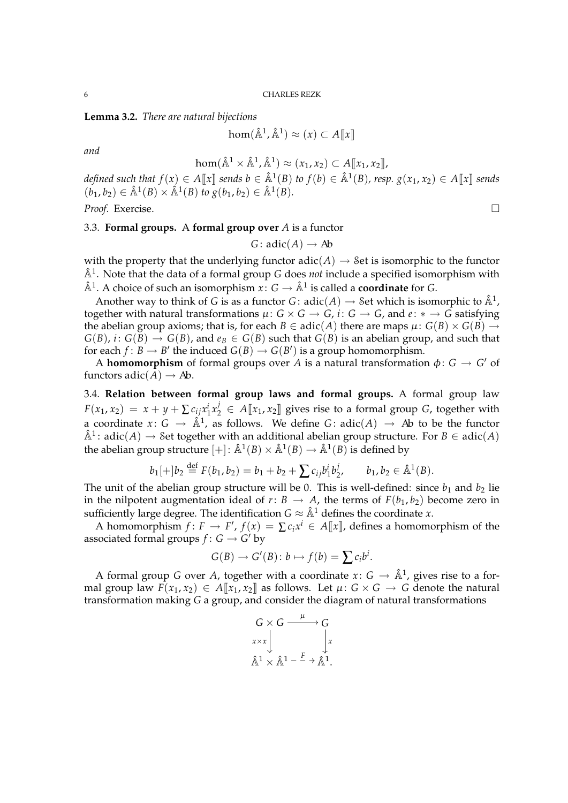**Lemma 3.2.** *There are natural bijections*

$$
\text{hom}(\hat{\mathbb{A}}^1, \hat{\mathbb{A}}^1) \approx (x) \subset A[\![x]\!]
$$

*and*

$$
\text{hom}(\hat{\mathbb{A}}^1 \times \hat{\mathbb{A}}^1, \hat{\mathbb{A}}^1) \approx (x_1, x_2) \subset A[\![x_1, x_2]\!],
$$

 $\alpha$  defined such that  $f(x) \in A[\![x]\!]$  sends  $b \in \hat{\mathbb{A}}^1(B)$  to  $f(b) \in \hat{\mathbb{A}}^1(B)$ , resp.  $g(x_1, x_2) \in A[\![x]\!]$  sends  $(b_1, b_2) \in \hat{\mathbb{A}}^1(B) \times \hat{\mathbb{A}}^1(B)$  *to*  $g(b_1, b_2) \in \hat{\mathbb{A}}^1(B)$ *.* 

*Proof.* Exercise.

# 3.3. **Formal groups.** A **formal group over** *A* is a functor

*G* :  $\text{adic}(A) \rightarrow \text{Ab}$ 

with the property that the underlying functor  $\text{adic}(A) \rightarrow \text{Set}$  is isomorphic to the functor  $\hat{A}^1$ . Note that the data of a formal group *G* does *not* include a specified isomorphism with  $\hat{\mathbb{A}}^1$ . A choice of such an isomorphism  $x: G \to \hat{\mathbb{A}}^1$  is called a **coordinate** for *G*.

Another way to think of *G* is as a functor *G*:  $\text{adic}(A) \rightarrow \text{Set}$  which is isomorphic to  $\hat{\mathbb{A}}^1$ , together with natural transformations  $\mu: G \times G \rightarrow G$ ,  $i: G \rightarrow G$ , and  $e: * \rightarrow G$  satisfying the abelian group axioms; that is, for each  $B \in \text{adic}(A)$  there are maps  $\mu: G(B) \times G(B) \rightarrow$  $G(B)$ , *i*:  $G(B) \rightarrow G(B)$ , and  $e_B \in G(B)$  such that  $G(B)$  is an abelian group, and such that for each  $f: B \to B'$  the induced  $G(B) \to G(B')$  is a group homomorphism.

A **homomorphism** of formal groups over A is a natural transformation  $\phi: G \to G'$  of functors  $\text{adic}(A) \rightarrow Ab$ .

3.4. **Relation between formal group laws and formal groups.** A formal group law  $F(x_1, x_2) = x + y + \sum c_{ij} x_1^i x_2^j \in A[\![x_1, x_2]\!]$  gives rise to a formal group *G*, together with a coordinate  $x: G \to \hat{\mathbb{A}}^1$ , as follows. We define  $G: \text{adic}(A) \to Ab$  to be the functor  $\hat{A}^1$ : adic $(A) \rightarrow$  Set together with an additional abelian group structure. For  $B \in \text{adic}(A)$ the abelian group structure  $[+] \colon \hat{\mathbb{A}}^1(B) \times \hat{\mathbb{A}}^1(B) \to \hat{\mathbb{A}}^1(B)$  is defined by

$$
b_1[+]b_2 \stackrel{\text{def}}{=} F(b_1, b_2) = b_1 + b_2 + \sum c_{ij}b_1^i b_2^j, \qquad b_1, b_2 \in \hat{\mathbb{A}}^1(B).
$$

The unit of the abelian group structure will be 0. This is well-defined: since  $b_1$  and  $b_2$  lie in the nilpotent augmentation ideal of *r*: *B*  $\rightarrow$  *A*, the terms of *F*(*b*<sub>1</sub>, *b*<sub>2</sub>) become zero in sufficiently large degree. The identification  $G \approx \hat{A}^1$  defines the coordinate *x*.

A homomorphism  $f: F \to F'$ ,  $f(x) = \sum c_i x^i \in A[\![x]\!]$ , defines a homomorphism of the associated formal groups  $f: G \to G'$  by

$$
G(B) \to G'(B) : b \mapsto f(b) = \sum c_i b^i.
$$

A formal group *G* over *A*, together with a coordinate  $x: G \to \hat{\mathbb{A}}^1$ , gives rise to a formal group law  $F(x_1, x_2) \in A[[x_1, x_2]]$  as follows. Let  $\mu: G \times G \rightarrow G$  denote the natural transformation making *G* a group, and consider the diagram of natural transformations

$$
G \times G \xrightarrow{\mu} G
$$
  

$$
x \times x \downarrow \qquad x \downarrow x
$$
  

$$
\hat{A}^1 \times \hat{A}^1 - \dots + \hat{A}^1.
$$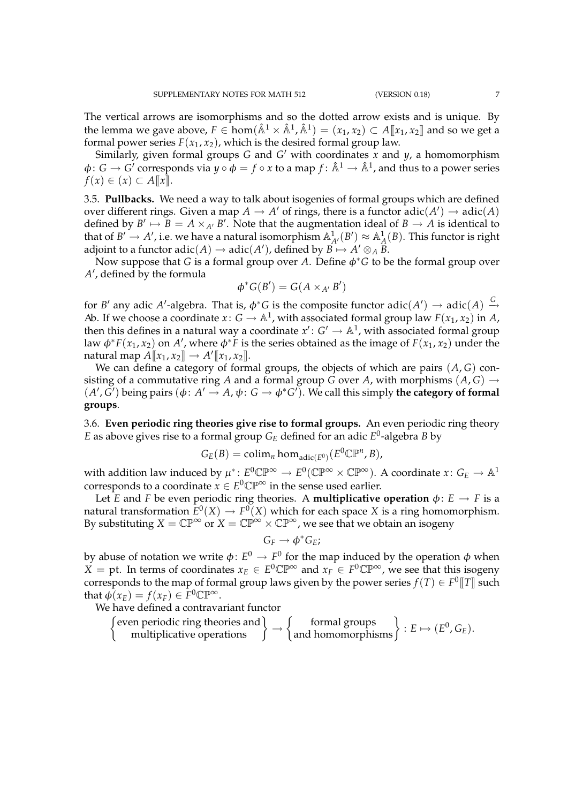The vertical arrows are isomorphisms and so the dotted arrow exists and is unique. By the lemma we gave above,  $F \in \text{hom}(\hat{\mathbb{A}}^1 \times \hat{\mathbb{A}}^1, \hat{\mathbb{A}}^1) = (x_1, x_2) \subset A[\![x_1, x_2]\!]$  and so we get a formal power series  $F(x_1, x_2)$ , which is the desired formal group law.

Similarly, given formal groups *G* and *G* <sup>0</sup> with coordinates *x* and *y*, a homomorphism  $\phi: G \to G'$  corresponds via  $y \circ \phi = f \circ x$  to a map  $f: \hat{A}^1 \to \hat{A}^1$ , and thus to a power series *f*(*x*) ∈ (*x*) ⊂ *A* $\llbracket x \rrbracket$ .

3.5. **Pullbacks.** We need a way to talk about isogenies of formal groups which are defined over different rings. Given a map  $A \to A'$  of rings, there is a functor  $\text{adic}(A') \to \text{adic}(A)$ defined by  $B' \mapsto \overline{B} = A \times_{A'} B'$ . Note that the augmentation ideal of  $B \to A$  is identical to that of  $B' \to A'$ , i.e. we have a natural isomorphism  $\mathbb{A}^1_{A'}(B') \approx \mathbb{A}^1_A(B)$ . This functor is right adjoint to a functor  $\text{adic}(A) \to \text{adic}(A')$ , defined by  $B \mapsto A' \otimes_{A} \widetilde{B}$ .

Now suppose that *G* is a formal group over *A*. Define φ∗*G* to be the formal group over A', defined by the formula

$$
\phi^*G(B')=G(A\times_{A'}B')
$$

for *B'* any adic *A'*-algebra. That is,  $\phi^*G$  is the composite functor adic $(A') \to \text{adic}(A) \stackrel{G}{\to}$ Ab. If we choose a coordinate  $x: G \to \mathbb{A}^1$ , with associated formal group law  $F(x_1, x_2)$  in A, then this defines in a natural way a coordinate  $x' : G' \to \mathbb{A}^1$ , with associated formal group law  $\phi^*F(x_1, x_2)$  on  $A'$ , where  $\phi^* \overline{F}$  is the series obtained as the image of  $F(x_1, x_2)$  under the  $\text{natural map } A[\![x_1,x_2]\!] \rightarrow A'[\![x_1,x_2]\!].$ 

We can define a category of formal groups, the objects of which are pairs (*A*, *G*) consisting of a commutative ring *A* and a formal group *G* over *A*, with morphisms  $(A, G) \rightarrow$  $(A', G')$  being pairs  $(\phi: A' \to A, \psi: G \to \phi^*G')$ . We call this simply the category of formal **groups**.

3.6. **Even periodic ring theories give rise to formal groups.** An even periodic ring theory *E* as above gives rise to a formal group *G<sup>E</sup>* defined for an adic *E* 0 -algebra *B* by

$$
G_E(B) = \operatorname{colim}_n \hom_{\operatorname{adic}(E^0)}(E^0 \mathbb{CP}^n, B),
$$

with addition law induced by  $\mu^*\colon E^0\mathbb{CP}^\infty\to E^0(\mathbb{CP}^\infty\times\mathbb{CP}^\infty).$  A coordinate  $x\colon\mathit{G}_{E}\to\mathbb{A}^{1}$ corresponds to a coordinate  $x \in E^0 \mathbb{CP}^\infty$  in the sense used earlier.

Let *E* and *F* be even periodic ring theories. A **multiplicative operation**  $\phi$ :  $E \rightarrow F$  is a natural transformation  $E^0(X) \to F^0(X)$  which for each space  $X$  is a ring homomorphism. By substituting  $X = \mathbb{CP}^{\infty}$  or  $X = \mathbb{CP}^{\infty} \times \mathbb{CP}^{\infty}$ , we see that we obtain an isogeny

$$
G_F\to \phi^*G_E;
$$

by abuse of notation we write  $\phi\colon E^0\to F^0$  for the map induced by the operation  $\phi$  when *X* = pt. In terms of coordinates  $x_E$  ∈  $E^0$ C $\mathbb{P}^\infty$  and  $x_F$  ∈  $F^0$ C $\mathbb{P}^\infty$ , we see that this isogeny corresponds to the map of formal group laws given by the power series  $f(T) \in F^0\llbracket T \rrbracket$  such that  $\phi(x_E) = f(x_F) \in F^0\mathbb{CP}^\infty$ .

We have defined a contravariant functor

$$
\begin{Bmatrix}\text{even periodic ring theories and} \\ \text{multiplicative operations}\end{Bmatrix} \rightarrow \begin{Bmatrix}\text{formal groups} \\ \text{and homomorphisms}\end{Bmatrix} : E \mapsto (E^0, G_E).
$$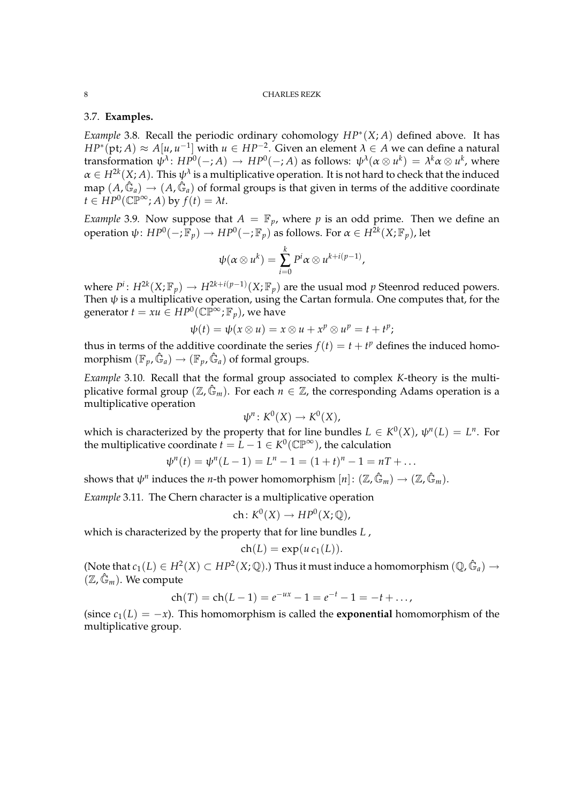# 3.7. **Examples.**

*Example* 3.8*.* Recall the periodic ordinary cohomology *HP*<sup>∗</sup> (*X*; *A*) defined above. It has *HP*<sup>∗</sup>(pt; *A*) ≈ *A*[*u*, *u*<sup>-1</sup>] with *u* ∈ *HP*<sup>-2</sup>. Given an element *λ* ∈ *A* we can define a natural transformation  $\psi^\lambda\colon HP^0(-;A)\,\to\, HP^0(-;A)$  as follows:  $\psi^\lambda(\alpha\otimes u^k)\,=\,\lambda^k\alpha\otimes u^k$ , where  $\alpha \in H^{2k}(X;A)$ . This  $\psi^{\lambda}$  is a multiplicative operation. It is not hard to check that the induced map  $(A, \hat{\mathbb{G}}_a) \to (A, \hat{\mathbb{G}}_a)$  of formal groups is that given in terms of the additive coordinate  $t \in HP^0(\mathbb{CP}^\infty;A)$  by  $f(t) = \lambda t$ .

*Example* 3.9*.* Now suppose that  $A = \mathbb{F}_p$ , where p is an odd prime. Then we define an operation  $\psi\colon HP^0(-;\mathbb{F}_p)\to HP^0(-;\mathbb{F}_p)$  as follows. For  $\alpha\in H^{2k}(X;\mathbb{F}_p)$ , let

$$
\psi(\alpha\otimes u^k)=\sum_{i=0}^k P^i\alpha\otimes u^{k+i(p-1)},
$$

where  $P^i\colon H^{2k}(X; \mathbb{F}_p)\to H^{2k+i(p-1)}(X; \mathbb{F}_p)$  are the usual mod  $p$  Steenrod reduced powers. Then  $\psi$  is a multiplicative operation, using the Cartan formula. One computes that, for the generator  $t = xu \in HP^0(\mathbb{CP}^\infty;\mathbb{F}_p)$ , we have

$$
\psi(t) = \psi(x \otimes u) = x \otimes u + x^p \otimes u^p = t + t^p;
$$

thus in terms of the additive coordinate the series  $f(t) = t + t^p$  defines the induced homomorphism  $(\mathbb{F}_p, \hat{\mathbb{G}}_a) \to (\mathbb{F}_p, \hat{\mathbb{G}}_a)$  of formal groups.

*Example* 3.10*.* Recall that the formal group associated to complex *K*-theory is the multiplicative formal group ( $\mathbb{Z}, \hat{\mathbb{G}}_m$ ). For each  $n \in \mathbb{Z}$ , the corresponding Adams operation is a multiplicative operation

$$
\psi^n\colon K^0(X)\to K^0(X),
$$

which is characterized by the property that for line bundles  $L \in K^0(X)$ ,  $\psi^n(L) = L^n$ . For the multiplicative coordinate  $t = L - 1 \in K^0(\mathbb{CP}^{\infty})$ , the calculation

$$
\psi^{n}(t) = \psi^{n}(L-1) = L^{n} - 1 = (1+t)^{n} - 1 = nT + \dots
$$

shows that  $\psi^n$  induces the *n*-th power homomorphism  $[n] \colon (\mathbb{Z}, \hat{\mathbb{G}}_m) \to (\mathbb{Z}, \hat{\mathbb{G}}_m).$ 

*Example* 3.11*.* The Chern character is a multiplicative operation

$$
ch\colon K^0(X)\to HP^0(X;\mathbb{Q}),
$$

which is characterized by the property that for line bundles *L* ,

$$
ch(L) = exp(u c_1(L)).
$$

(Note that  $c_1(L) \in H^2(X) \subset HP^2(X; \mathbb{Q})$ .) Thus it must induce a homomorphism  $(\mathbb{Q}, \hat{\mathbb{G}}_a) \to$  $(\mathbb{Z},\mathbb{G}_m)$ . We compute

$$
ch(T) = ch(L-1) = e^{-ux} - 1 = e^{-t} - 1 = -t + \dots,
$$

(since  $c_1(L) = -x$ ). This homomorphism is called the **exponential** homomorphism of the multiplicative group.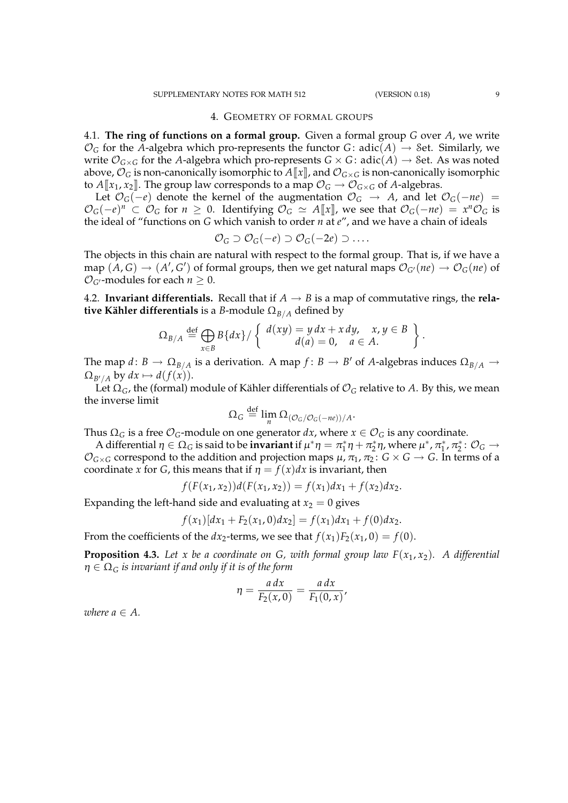#### 4. GEOMETRY OF FORMAL GROUPS

4.1. **The ring of functions on a formal group.** Given a formal group *G* over *A*, we write  $\mathcal{O}_G$  for the *A*-algebra which pro-represents the functor *G*: adic(*A*)  $\rightarrow$  *Set.* Similarly, we write  $\mathcal{O}_{G\times G}$  for the *A*-algebra which pro-represents  $G\times G$ : adic(*A*)  $\rightarrow$  8et. As was noted above,  $\mathcal{O}_G$  is non-canonically isomorphic to  $A[\![x]\!]$ , and  $\mathcal{O}_{G\times G}$  is non-canonically isomorphic to  $A[[x_1, x_2]]$ . The group law corresponds to a map  $\mathcal{O}_G \to \mathcal{O}_{G \times G}$  of A-algebras.

Let  $\mathcal{O}_G(-e)$  denote the kernel of the augmentation  $\mathcal{O}_G$  → *A*, and let  $\mathcal{O}_G(-ne)$  =  $\mathcal{O}_G(-e)^n$  ⊂  $\mathcal{O}_G$  for  $n \ge 0$ . Identifying  $\mathcal{O}_G \simeq A[\![x]\!]$ , we see that  $\mathcal{O}_G(-ne) = x^n \mathcal{O}_G$  is the ideal of "functions on *G* which vanish to order *n* at *e*", and we have a chain of ideals

$$
\mathcal{O}_G \supset \mathcal{O}_G(-e) \supset \mathcal{O}_G(-2e) \supset \dots.
$$

The objects in this chain are natural with respect to the formal group. That is, if we have a map  $(A, G) \to (A', G')$  of formal groups, then we get natural maps  $\mathcal{O}_{G'}(ne) \to \mathcal{O}_G(ne)$  of  $\mathcal{O}_{G}$ -modules for each  $n \geq 0$ .

4.2. **Invariant differentials.** Recall that if  $A \rightarrow B$  is a map of commutative rings, the **relative Kähler differentials** is a *B*-module  $\Omega_{B/A}$  defined by

$$
\Omega_{B/A} \stackrel{\text{def}}{=} \bigoplus_{x \in B} B\{dx\} / \left\{ \begin{array}{l} d(xy) = y \, dx + x \, dy, \quad x, y \in B \\ d(a) = 0, \quad a \in A. \end{array} \right\}.
$$

The map  $d: B \to \Omega_{B/A}$  is a derivation. A map  $f: B \to B'$  of *A*-algebras induces  $\Omega_{B/A} \to$  $\Omega_{B'/A}$  by  $dx \mapsto d(f(x)).$ 

Let  $\Omega_G$ , the (formal) module of Kähler differentials of  $\mathcal{O}_G$  relative to A. By this, we mean the inverse limit

$$
\Omega_G \stackrel{\text{def}}{=} \lim_n \Omega_{(\mathcal{O}_G/\mathcal{O}_G(-ne))/A}.
$$

Thus  $\Omega_G$  is a free  $\mathcal{O}_G$ -module on one generator  $dx$ , where  $x \in \mathcal{O}_G$  is any coordinate.

A differential  $\eta \in \Omega_G$  is said to be **invariant** if  $\mu^*\eta = \pi_1^*\eta + \pi_2^*\eta$ , where  $\mu^*, \pi_1^*, \pi_2^*: \mathcal{O}_G \to$  $\mathcal{O}_{G\times G}$  correspond to the addition and projection maps  $\mu$ ,  $\pi_1$ ,  $\pi_2$ :  $G\times G\rightarrow G$ . In terms of a coordinate *x* for *G*, this means that if  $\eta = f(x)dx$  is invariant, then

$$
f(F(x_1,x_2))d(F(x_1,x_2)) = f(x_1)dx_1 + f(x_2)dx_2.
$$

Expanding the left-hand side and evaluating at  $x_2 = 0$  gives

$$
f(x_1)[dx_1 + F_2(x_1, 0)dx_2] = f(x_1)dx_1 + f(0)dx_2.
$$

From the coefficients of the *dx*<sub>2</sub>-terms, we see that  $f(x_1)F_2(x_1, 0) = f(0)$ .

**Proposition 4.3.** Let x be a coordinate on G, with formal group law  $F(x_1, x_2)$ . A differential η ∈ Ω*<sup>G</sup> is invariant if and only if it is of the form*

$$
\eta = \frac{a \, dx}{F_2(x,0)} = \frac{a \, dx}{F_1(0,x)},
$$

*where*  $a \in A$ .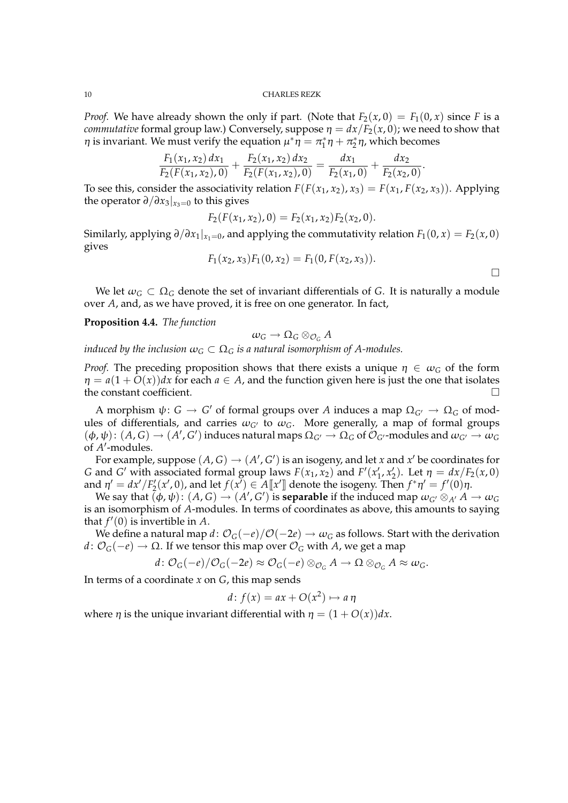*Proof.* We have already shown the only if part. (Note that  $F_2(x, 0) = F_1(0, x)$  since *F* is a *commutative* formal group law.) Conversely, suppose  $\eta = dx/F_2(x, 0)$ ; we need to show that  $η$  is invariant. We must verify the equation  $\mu^*η = π_1^*η + π_2^*η$ , which becomes

$$
\frac{F_1(x_1,x_2) dx_1}{F_2(F(x_1,x_2),0)} + \frac{F_2(x_1,x_2) dx_2}{F_2(F(x_1,x_2),0)} = \frac{dx_1}{F_2(x_1,0)} + \frac{dx_2}{F_2(x_2,0)}.
$$

To see this, consider the associativity relation  $F(F(x_1, x_2), x_3) = F(x_1, F(x_2, x_3))$ . Applying the operator  $\partial/\partial x_3|_{x_3=0}$  to this gives

$$
F_2(F(x_1,x_2),0)=F_2(x_1,x_2)F_2(x_2,0).
$$

Similarly, applying  $\partial/\partial x_1|_{x_1=0}$ , and applying the commutativity relation  $F_1(0, x) = F_2(x, 0)$ gives

$$
F_1(x_2, x_3)F_1(0, x_2) = F_1(0, F(x_2, x_3)).
$$

We let  $\omega_G \subset \Omega_G$  denote the set of invariant differentials of G. It is naturally a module over *A*, and, as we have proved, it is free on one generator. In fact,

**Proposition 4.4.** *The function*

$$
\omega_G\to \Omega_G\otimes_{\mathcal{O}_G}A
$$

*induced by the inclusion*  $\omega_G \subset \Omega_G$  *is a natural isomorphism of A-modules.* 

*Proof.* The preceding proposition shows that there exists a unique  $\eta \in \omega_G$  of the form  $\eta = a(1 + O(x))dx$  for each  $a \in A$ , and the function given here is just the one that isolates the constant coefficient.

A morphism  $\psi: G \to G'$  of formal groups over A induces a map  $\Omega_{G'} \to \Omega_G$  of modules of differentials, and carries  $\omega_{G'}$  to  $\omega_G$ . More generally, a map of formal groups  $(\phi, \psi) : (A, G) \to (A', G')$  induces natural maps  $\Omega_{G'} \to \Omega_G$  of  $\mathcal{O}_{G'}$ -modules and  $\omega_{G'} \to \omega_G$ of A'-modules.

For example, suppose  $(A, G) \rightarrow (A', G')$  is an isogeny, and let *x* and *x'* be coordinates for *G* and *G*<sup></sup> with associated formal group laws  $F(x_1, x_2)$  and  $F'(x'_1, x'_2)$ . Let  $\eta = dx/F_2(x, 0)$ and  $\eta' = dx'/F'_2(x',0)$ , and let  $f(x') \in A[\![x']\!]$  denote the isogeny. Then  $f^*\eta' = f'(0)\eta$ .

We say that  $(\phi, \psi)$ :  $(A, G) \to (A', G')$  is **separable** if the induced map  $\omega_{G'} \otimes_{A'} A \to \omega_G$ is an isomorphism of *A*-modules. In terms of coordinates as above, this amounts to saying that  $f'(0)$  is invertible in A.

We define a natural map  $d$  :  $\mathcal{O}_G(-e)/\mathcal{O}(-2e) \to \omega_G$  as follows. Start with the derivation *d* :  $\mathcal{O}_G(-e)$  → Ω. If we tensor this map over  $\mathcal{O}_G$  with *A*, we get a map

$$
d\colon \mathcal{O}_G(-e)/\mathcal{O}_G(-2e) \approx \mathcal{O}_G(-e) \otimes_{\mathcal{O}_G} A \to \Omega \otimes_{\mathcal{O}_G} A \approx \omega_G.
$$

In terms of a coordinate *x* on *G*, this map sends

$$
d: f(x) = ax + O(x^2) \mapsto a \eta
$$

where  $\eta$  is the unique invariant differential with  $\eta = (1 + O(x))dx$ .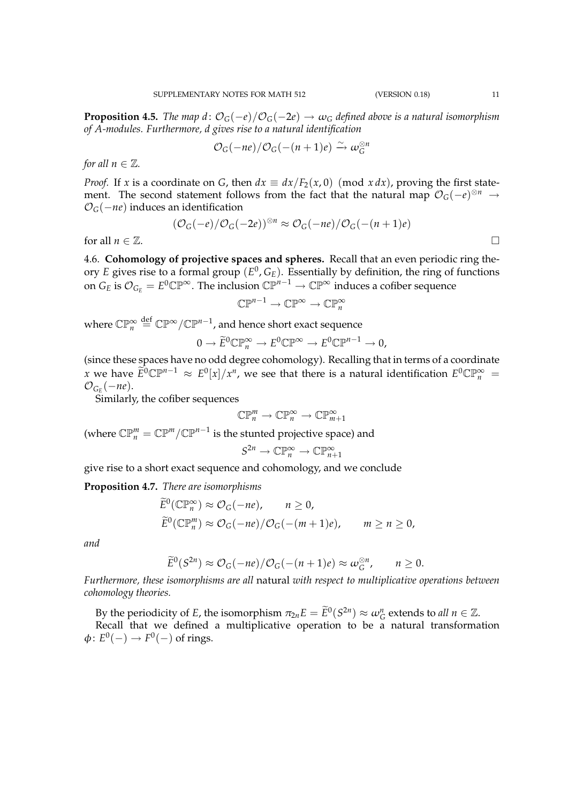**Proposition 4.5.** *The map d*:  $\mathcal{O}_G(-e)/\mathcal{O}_G(-2e) \rightarrow \omega_G$  *defined above is a natural isomorphism of A-modules. Furthermore, d gives rise to a natural identification*

$$
\mathcal{O}_G(-ne)/\mathcal{O}_G(-(n+1)e) \xrightarrow{\sim} \omega_G^{\otimes n}
$$

*for all*  $n \in \mathbb{Z}$ *.* 

*Proof.* If *x* is a coordinate on *G*, then  $dx \equiv dx/F_2(x, 0)$  (mod  $x dx$ ), proving the first statement. The second statement follows from the fact that the natural map  $\mathcal{O}_G(-e)^{\otimes n} \to$ O*G*(−*ne*) induces an identification

$$
(\mathcal{O}_G(-e)/\mathcal{O}_G(-2e))^{\otimes n} \approx \mathcal{O}_G(-ne)/\mathcal{O}_G(-(n+1)e)
$$

for all  $n \in \mathbb{Z}$ .

4.6. **Cohomology of projective spaces and spheres.** Recall that an even periodic ring theory *E* gives rise to a formal group (*E* 0 , *GE*). Essentially by definition, the ring of functions on  $G_E$  is  $\mathcal{O}_{G_E} = E^0 \mathbb{CP}^{\infty}$ . The inclusion  $\mathbb{CP}^{n-1} \to \mathbb{CP}^{\infty}$  induces a cofiber sequence

 $\mathbb{CP}^{n-1} \to \mathbb{CP}^{\infty} \to \mathbb{CP}^{\infty}_n$ 

where  $\mathbb{CP}_n^{\infty} \stackrel{{\rm def}}{=} \mathbb{CP}^{\infty}/\mathbb{CP}^{n-1}$ , and hence short exact sequence

$$
0 \to \widetilde{E}^0 \mathbb{CP}_n^{\infty} \to E^0 \mathbb{CP}^{\infty} \to E^0 \mathbb{CP}^{n-1} \to 0,
$$

(since these spaces have no odd degree cohomology). Recalling that in terms of a coordinate *x* we have  $\widetilde{E}^0 \mathbb{CP}^{n-1} \approx E^0[x]/x^n$ , we see that there is a natural identification  $E^0 \mathbb{CP}_n^{\infty}$  =  $\mathcal{O}_{G_E}(-ne)$ .

Similarly, the cofiber sequences

$$
\mathbb{CP}^m_n \to \mathbb{CP}^\infty_n \to \mathbb{CP}^\infty_{m+1}
$$

(where  $\mathbb{CP}_{n}^{m}=\mathbb{CP}^{m}/\mathbb{CP}^{n-1}$  is the stunted projective space) and

$$
S^{2n} \to \mathbb{CP}_n^{\infty} \to \mathbb{CP}_{n+1}^{\infty}
$$

give rise to a short exact sequence and cohomology, and we conclude

**Proposition 4.7.** *There are isomorphisms*

$$
\widetilde{E}^0(\mathbb{CP}_n^{\infty}) \approx \mathcal{O}_G(-ne), \qquad n \ge 0,
$$
  
\n
$$
\widetilde{E}^0(\mathbb{CP}_n^m) \approx \mathcal{O}_G(-ne)/\mathcal{O}_G(-(m+1)e), \qquad m \ge n \ge 0,
$$

*and*

$$
\widetilde{E}^0(S^{2n}) \approx \mathcal{O}_G(-ne)/\mathcal{O}_G(-(n+1)e) \approx \omega_G^{\otimes n}, \qquad n \ge 0.
$$

*Furthermore, these isomorphisms are all* natural *with respect to multiplicative operations between cohomology theories.*

By the periodicity of *E*, the isomorphism  $\pi_{2n}E = \widetilde{E}^0(S^{2n}) \approx \omega_G^n$  extends to *all*  $n \in \mathbb{Z}$ .

Recall that we defined a multiplicative operation to be a natural transformation  $\phi: E^0(-) \to F^0(-)$  of rings.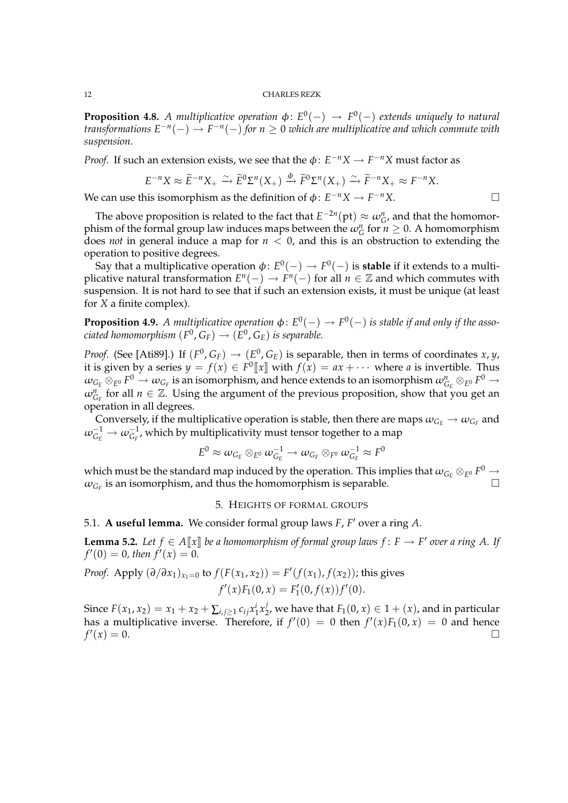**Proposition 4.8.** A multiplicative operation  $\phi$ :  $E^0(-) \rightarrow F^0(-)$  extends uniquely to natural *transformations E*−*<sup>n</sup>* (−) → *F* −*n* (−) *for n* ≥ 0 *which are multiplicative and which commute with suspension.*

*Proof.* If such an extension exists, we see that the  $\phi$ :  $E^{-n}X \to F^{-n}X$  must factor as

$$
E^{-n}X \approx \widetilde{E}^{-n}X_+ \xrightarrow{\sim} \widetilde{E}^0\Sigma^n(X_+) \xrightarrow{\phi} \widetilde{F}^0\Sigma^n(X_+) \xrightarrow{\sim} \widetilde{F}^{-n}X_+ \approx F^{-n}X.
$$

We can use this isomorphism as the definition of  $\phi: E^{-n}X \to F^{-n}X$ .

The above proposition is related to the fact that  $E^{-2n}(\text{pt}) \approx \omega_{G}^{n}$ , and that the homomorphism of the formal group law induces maps between the  $\omega_G^n$  for  $n \geq 0$ . A homomorphism does *not* in general induce a map for *n* < 0, and this is an obstruction to extending the operation to positive degrees.

Say that a multiplicative operation  $\phi\colon E^0(-) \to F^0(-)$  is **stable** if it extends to a multiplicative natural transformation  $E^n(-) \to F^n(-)$  for all  $n \in \mathbb{Z}$  and which commutes with suspension. It is not hard to see that if such an extension exists, it must be unique (at least for *X* a finite complex).

**Proposition 4.9.** A multiplicative operation  $\phi\colon E^{0}(-) \to F^{0}(-)$  is stable if and only if the asso- $\mathcal{C}$ *ciated homomorphism*  $(F^0, G_F) \to (E^0, G_E)$  *is separable.* 

*Proof.* (See [Ati89].) If  $(F^0, G_F) \to (E^0, G_E)$  is separable, then in terms of coordinates *x*, *y*, it is given by a series  $y = f(x) \in F^0[\![x]\!]$  with  $f(x) = ax + \cdots$  where *a* is invertible. Thus  $\omega_{G_E}\otimes_{E^0} F^0\to \omega_{G_F}$  is an isomorphism, and hence extends to an isomorphism  $\omega_{G_E}^n\otimes_{E^0} F^0\to$  $\omega_{G_F}^n$  for all  $n \in \mathbb{Z}$ . Using the argument of the previous proposition, show that you get an operation in all degrees.

Conversely, if the multiplicative operation is stable, then there are maps  $\omega_{G_E} \to \omega_{G_F}$  and  $\omega_{G_E}^{-1} \to \omega_{G_F}^{-1}$ , which by multiplicativity must tensor together to a map

$$
E^0\approx \omega_{G_E}\otimes_{E^0} \omega_{G_E}^{-1} \rightarrow \omega_{G_F}\otimes_{F^0} \omega_{G_F}^{-1} \approx F^0
$$

which must be the standard map induced by the operation. This implies that  $\omega_{G_E} \otimes_{E^0} F^0 \to$  $\omega_{G_F}$  is an isomorphism, and thus the homomorphism is separable.

# 5. HEIGHTS OF FORMAL GROUPS

5.1. **A useful lemma.** We consider formal group laws *F*, *F* <sup>0</sup> over a ring *A*.

**Lemma 5.2.** Let  $f \in A[\![x]\!]$  be a homomorphism of formal group laws  $f \colon F \to F'$  over a ring A. If  $f'(0) = 0$ , then  $f'(x) = 0$ .

*Proof.* Apply 
$$
(\partial/\partial x_1)_{x_1=0}
$$
 to  $f(F(x_1, x_2)) = F'(f(x_1), f(x_2))$ ; this gives  

$$
f'(x)F_1(0, x) = F'_1(0, f(x))f'(0).
$$

Since  $F(x_1, x_2) = x_1 + x_2 + \sum_{i,j \ge 1} c_{ij} x_1^i x_2^j$  $Z_2^J$ , we have that  $F_1(0, x) \in 1 + (x)$ , and in particular has a multiplicative inverse. Therefore, if  $f'(0) = 0$  then  $f'(x)F_1(0, x) = 0$  and hence *f* 0  $(x) = 0.$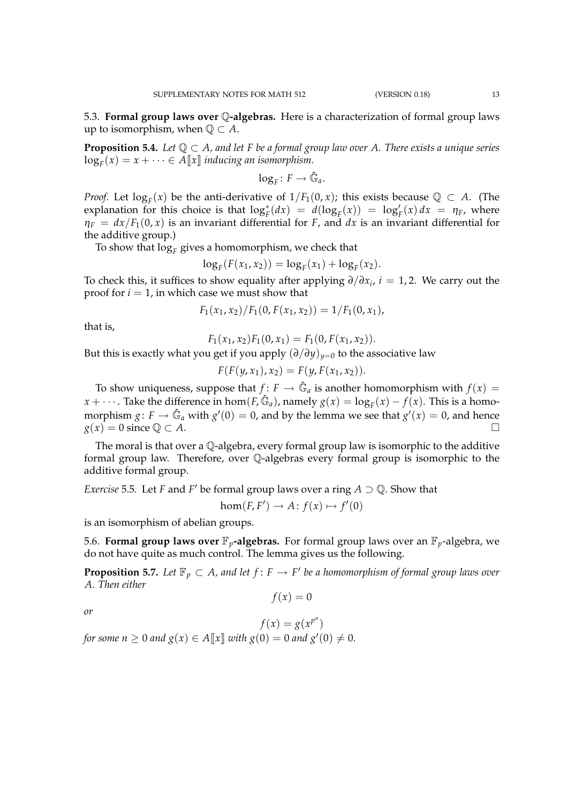5.3. **Formal group laws over** Q**-algebras.** Here is a characterization of formal group laws up to isomorphism, when  $\mathbb{Q} \subset A$ .

**Proposition 5.4.** *Let*  $\mathbb{Q} \subset A$ *, and let* F *be a formal group law over A. There exists a unique series*  $\log_F(x) = x + \cdots \in A[\![x]\!]$  *inducing an isomorphism.* 

$$
\log_F\colon F\to \hat{\mathbb{G}}_a.
$$

*Proof.* Let  $log_F(x)$  be the anti-derivative of  $1/F_1(0, x)$ ; this exists because  $\mathbb{Q} \subset A$ . (The explanation for this choice is that  $\log_F^*(dx) = d(\log_F(x)) = \log_F'(x) dx = \eta_F$ , where  $\eta_F = dx/F_1(0, x)$  is an invariant differential for *F*, and *dx* is an invariant differential for the additive group.)

To show that  $\log_\text{F}$  gives a homomorphism, we check that

$$
\log_F(F(x_1, x_2)) = \log_F(x_1) + \log_F(x_2).
$$

To check this, it suffices to show equality after applying ∂/∂*x<sup>i</sup>* , *i* = 1, 2. We carry out the proof for  $i = 1$ , in which case we must show that

$$
F_1(x_1,x_2)/F_1(0,F(x_1,x_2))=1/F_1(0,x_1),
$$

that is,

 $F_1(x_1, x_2)F_1(0, x_1) = F_1(0, F(x_1, x_2)).$ 

But this is exactly what you get if you apply  $(\partial/\partial y)_{y=0}$  to the associative law

 $F(F(y, x_1), x_2) = F(y, F(x_1, x_2)).$ 

To show uniqueness, suppose that  $f: F \to \hat{\mathbb{G}}_a$  is another homomorphism with  $f(x) =$ *x* +  $\cdots$  . Take the difference in hom(*F*,  $\hat{\mathbb{G}}_a$ ), namely  $g(x) = \log_F(x) - f(x)$ . This is a homomorphism  $g: F \to \hat{\mathbb{G}}_a$  with  $g'(0) = 0$ , and by the lemma we see that  $g'(x) = 0$ , and hence  $g(x) = 0$  since  $\mathbb{Q} \subset A$ .

The moral is that over a Q-algebra, every formal group law is isomorphic to the additive formal group law. Therefore, over Q-algebras every formal group is isomorphic to the additive formal group.

*Exercise* 5.5. Let *F* and *F*<sup>'</sup> be formal group laws over a ring  $A \supset \mathbb{Q}$ . Show that

 $hom(F, F') \to A: f(x) \mapsto f'(0)$ 

is an isomorphism of abelian groups.

5.6. **Formal group laws over**  $\mathbb{F}_p$ **-algebras.** For formal group laws over an  $\mathbb{F}_p$ -algebra, we do not have quite as much control. The lemma gives us the following.

**Proposition 5.7.** Let  $\mathbb{F}_p \subset A$ , and let  $f \colon F \to F'$  be a homomorphism of formal group laws over *A. Then either*

 $f(x) = 0$ 

*or*

 $f(x) = g(x^{p^n})$ *for some n*  $\geq 0$  *and*  $g(x) \in A[\![x]\!]$  *with*  $g(0) = 0$  *and*  $g'(0) \neq 0$ *.*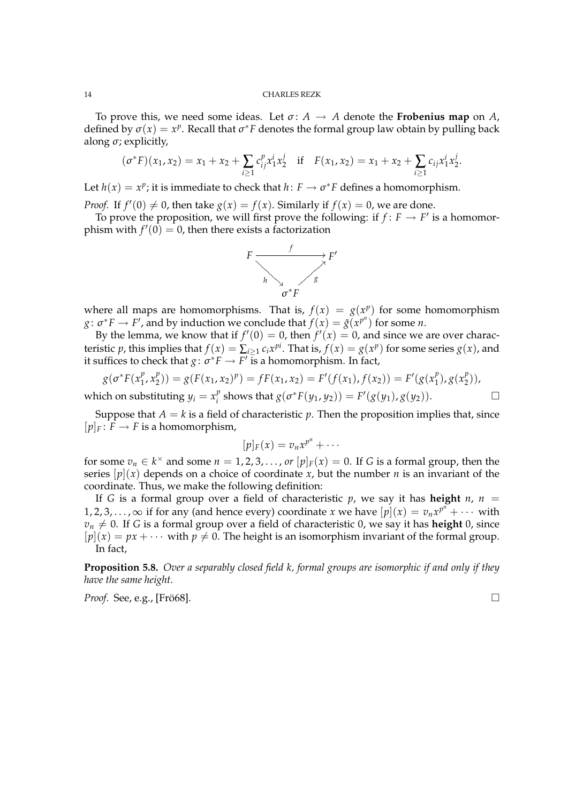To prove this, we need some ideas. Let  $\sigma: A \to A$  denote the **Frobenius map** on A, defined by  $\sigma(x) = x^p$ . Recall that  $\sigma^* F$  denotes the formal group law obtain by pulling back along  $\sigma$ ; explicitly,

$$
(\sigma^*F)(x_1, x_2) = x_1 + x_2 + \sum_{i \ge 1} c_{ij}^p x_1^i x_2^j \quad \text{if} \quad F(x_1, x_2) = x_1 + x_2 + \sum_{i \ge 1} c_{ij} x_1^i x_2^j.
$$

Let  $h(x) = x^p$ ; it is immediate to check that  $h: F \to \sigma^* F$  defines a homomorphism.

*Proof.* If  $f'(0) \neq 0$ , then take  $g(x) = f(x)$ . Similarly if  $f(x) = 0$ , we are done.

To prove the proposition, we will first prove the following: if  $f: F \to F'$  is a homomorphism with  $f'(0) = 0$ , then there exists a factorization



where all maps are homomorphisms. That is,  $f(x) = g(x^p)$  for some homomorphism *g*:  $\sigma^* F \to F'$ , and by induction we conclude that  $f(x) = \tilde{g}(x^{p^n})$  for some *n*.

By the lemma, we know that if  $f'(0) = 0$ , then  $f'(x) = 0$ , and since we are over characteristic *p*, this implies that  $f(x) = \sum_{i \ge 1} c_i x^{pi}$ . That is,  $f(x) = g(x^p)$  for some series  $g(x)$ , and it suffices to check that  $g: \sigma^* F \to F'$  is a homomorphism. In fact,

$$
g(\sigma^*F(x_1^p, x_2^p)) = g(F(x_1, x_2)^p) = fF(x_1, x_2) = F'(f(x_1), f(x_2)) = F'(g(x_1^p), g(x_2^p)),
$$

which on substituting  $y_i = x_i^p$ *f*<sub>i</sub> shows that  $g(\sigma^*F(y_1, y_2)) = F'(g(y_1), g(y_2)).$  □

Suppose that  $A = k$  is a field of characteristic p. Then the proposition implies that, since  $[p]_F: F \to F$  is a homomorphism,

$$
[p]_F(x) = v_n x^{p^n} + \cdots
$$

for some  $v_n \in k^\times$  and some  $n = 1, 2, 3, \ldots$ , *or*  $[p]_F(x) = 0$ . If *G* is a formal group, then the series  $[p](x)$  depends on a choice of coordinate *x*, but the number *n* is an invariant of the coordinate. Thus, we make the following definition:

If *G* is a formal group over a field of characteristic  $p$ , we say it has **height**  $n$ ,  $n =$ 1, 2, 3, . . . , ∞ if for any (and hence every) coordinate *x* we have  $[p](x) = v_n x^{p^n} + \cdots$  with  $v_n \neq 0$ . If *G* is a formal group over a field of characteristic 0, we say it has **height** 0, since  $[p](x) = px + \cdots$  with  $p \neq 0$ . The height is an isomorphism invariant of the formal group. In fact,

**Proposition 5.8.** *Over a separably closed field k, formal groups are isomorphic if and only if they have the same height.*

*Proof.* See, e.g., [Fro68].  $\Box$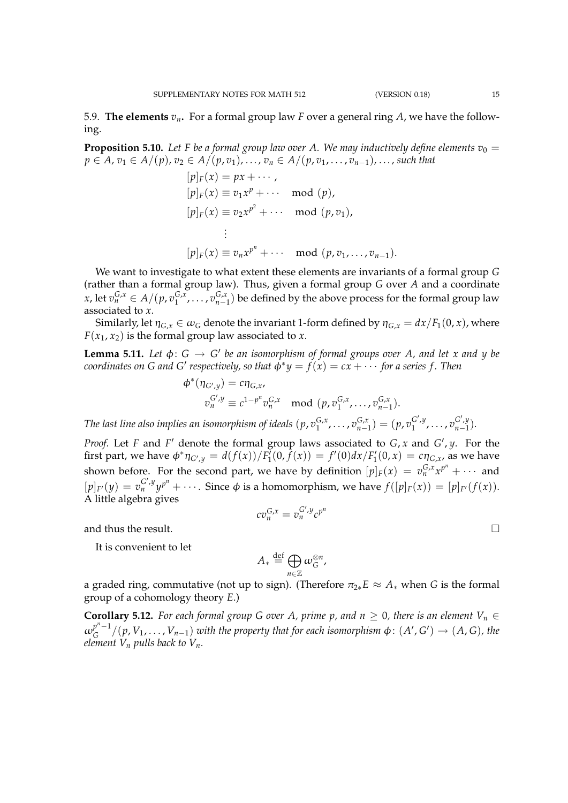5.9. **The elements**  $v_n$ . For a formal group law F over a general ring A, we have the following.

**Proposition 5.10.** Let F be a formal group law over A. We may inductively define elements  $v_0 =$ *p* ∈ *A*, *v*<sub>1</sub> ∈ *A*/(*p*)*, v*<sub>2</sub> ∈ *A*/(*p*, *v*<sub>1</sub>)*, ...*, *v*<sub>*n*</sub> ∈ *A*/(*p*, *v*<sub>1</sub>, *...*, *v*<sub>*n*−1</sub>), ..., *such that* 

$$
[p]_F(x) = px + \cdots,
$$
  
\n
$$
[p]_F(x) \equiv v_1 x^p + \cdots \mod (p),
$$
  
\n
$$
[p]_F(x) \equiv v_2 x^{p^2} + \cdots \mod (p, v_1),
$$
  
\n
$$
\vdots
$$
  
\n
$$
[p]_F(x) \equiv v_n x^{p^n} + \cdots \mod (p, v_1, \ldots, v_{n-1}).
$$

We want to investigate to what extent these elements are invariants of a formal group *G* (rather than a formal group law). Thus, given a formal group *G* over *A* and a coordinate *x*, let  $v_n^{G,x} \in A/(p, v_1^{G,x})$  $\{G, x, \ldots, v_{n-1}^{G,x}\}$  be defined by the above process for the formal group law associated to *x*.

Similarly, let  $\eta_{G,x} \in \omega_G$  denote the invariant 1-form defined by  $\eta_{G,x} = dx/F_1(0,x)$ , where  $F(x_1, x_2)$  is the formal group law associated to *x*.

**Lemma 5.11.** Let  $\phi$ :  $G \rightarrow G'$  be an isomorphism of formal groups over A, and let x and y be  $\alpha$  *coordinates on G and G' respectively, so that*  $\phi^*y = f(x) = c x + \cdots$  *for a series f . Then* 

$$
\phi^*(\eta_{G',y}) = c\eta_{G,x},
$$
  
\n
$$
\sigma_n^{G',y} \equiv c^{1-p^n} \sigma_n^{G,x} \mod (p, \sigma_1^{G,x}, \dots, \sigma_{n-1}^{G,x}).
$$

The last line also implies an isomorphism of ideals  $(p, v_1^{G,x})$  $(v_1^{G,x}, \ldots, v_{n-1}^{G,x}) = (p, v_1^{G',y})$  $v_1^{G',y}, \ldots, v_{n-1}^{G',y}$  $\binom{G}{n-1}$ .

*Proof.* Let *F* and *F*<sup>'</sup> denote the formal group laws associated to  $G$ , *x* and  $G'$ , *y*. For the first part, we have  $\phi^* \eta_{G',y} = d(f(x))/F_1(0,\tilde{f}(x)) = f'(0)dx/F_1'(0,x) = c \eta_{G,x}$ , as we have shown before. For the second part, we have by definition  $[p]_F(x) = v_n^{G,x}x^{p^n} + \cdots$  and  $[p]_{F'}(y) = v_n^{G',y} y^{p^n} + \cdots$ . Since  $\phi$  is a homomorphism, we have  $f([p]_F(x)) = [p]_{F'}(f(x))$ . A little algebra gives

$$
c v_n^{G,x} = v_n^{G',y} c^{p^n}
$$

and thus the result.

It is convenient to let

$$
A_* \stackrel{\text{def}}{=} \bigoplus_{n \in \mathbb{Z}} \omega_G^{\otimes n},
$$

a graded ring, commutative (not up to sign). (Therefore  $\pi_{2*}E \approx A_*$  when *G* is the formal group of a cohomology theory *E*.)

**Corollary 5.12.** *For each formal group G over A, prime p, and n*  $\geq$  0*, there is an element*  $V_n \in$  $\omega_c^{p^n-1}$  $G^{p^n-1} / (p, V_1, \ldots, V_{n-1})$  *with the property that for each isomorphism*  $\phi \colon (A',G') \to (A,G)$ *, the element*  $V_n$  *pulls back to*  $V_n$ *.*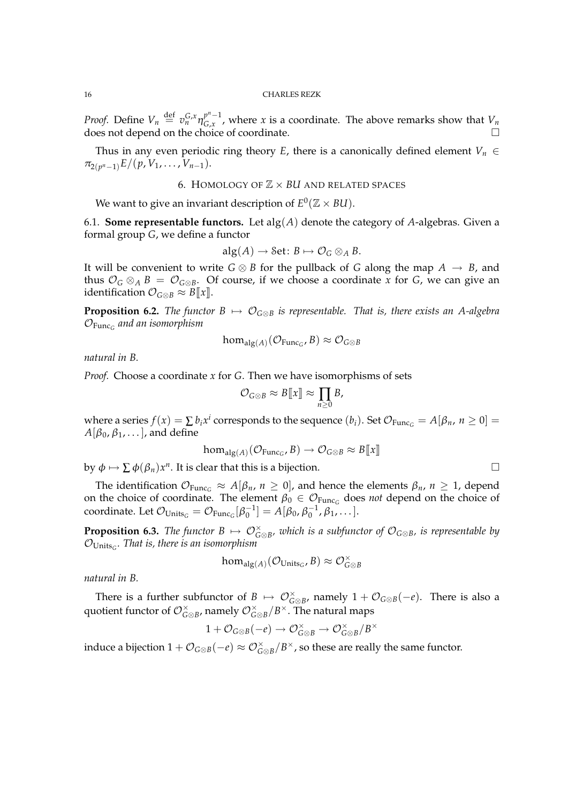*Proof.* Define  $V_n \stackrel{\text{def}}{=} v_n^{G,x} \eta_{G,x}^{p^n-1}$  $C_{G,x}^{p-1}$ , where *x* is a coordinate. The above remarks show that  $V_n$ does not depend on the choice of coordinate.

Thus in any even periodic ring theory *E*, there is a canonically defined element  $V_n \in$  $\pi_{2(p^n-1)}E/(p, V_1, \ldots, V_{n-1}).$ 

# 6. HOMOLOGY OF Z × *BU* AND RELATED SPACES

We want to give an invariant description of  $E^0(\mathbb{Z} \times \mathcal{B}U)$ .

6.1. **Some representable functors.** Let alg(*A*) denote the category of *A*-algebras. Given a formal group *G*, we define a functor

$$
\mathrm{alg}(A) \longrightarrow \mathrm{Set} \colon B \mapsto \mathcal{O}_G \otimes_A B.
$$

It will be convenient to write  $G \otimes B$  for the pullback of *G* along the map  $A \rightarrow B$ , and thus  $\mathcal{O}_G \otimes_A B = \mathcal{O}_{G \otimes B}$ . Of course, if we choose a coordinate *x* for *G*, we can give an identification  $\mathcal{O}_{G\otimes B}\approx B[\![x]\!]$ .

**Proposition 6.2.** *The functor*  $B \mapsto \mathcal{O}_{G \otimes B}$  *is representable. That is, there exists an A-algebra* OFunc*<sup>G</sup> and an isomorphism*

$$
\hom_{\mathrm{alg}(A)}(\mathcal{O}_{\mathrm{Func}_G}, B) \approx \mathcal{O}_{G \otimes B}
$$

*natural in B.*

*Proof.* Choose a coordinate *x* for *G*. Then we have isomorphisms of sets

$$
\mathcal{O}_{G\otimes B}\approx B[\![x]\!]\approx \prod_{n\geq 0}B,
$$

where a series  $f(x) = \sum b_i x^i$  corresponds to the sequence  $(b_i)$ . Set  $\mathcal{O}_{\text{Func}_G} = A[\beta_n, n \ge 0] =$  $A[\beta_0,\beta_1,\ldots]$ , and define

$$
\text{hom}_{\text{alg}(A)}(\mathcal{O}_{\text{Func}_G}, B) \to \mathcal{O}_{G \otimes B} \approx B[\![x]\!]
$$

by  $\phi \mapsto \sum \phi(\beta_n) x^n$ . It is clear that this is a bijection.

The identification  $\mathcal{O}_{\text{Func}_G} \approx A[\beta_n, n \ge 0]$ , and hence the elements  $\beta_n$ ,  $n \ge 1$ , depend on the choice of coordinate. The element  $\beta_0 \in \mathcal{O}_{\text{Func}_G}$  does *not* depend on the choice of coordinate. Let  $\mathcal{O}_{\text{Units}_G} = \mathcal{O}_{\text{Func}_G}[\beta_0^{-1}] = A[\beta_0, \beta_0^{-1}, \beta_1, \dots].$ 

**Proposition 6.3.** *The functor*  $B \mapsto \mathcal{O}_{G \otimes B}^{\times}$ *, which is a subfunctor of*  $\mathcal{O}_{G \otimes B}$ *, is representable by* OUnits*<sup>G</sup> . That is, there is an isomorphism*

$$
\text{hom}_{\text{alg}(A)}(\mathcal{O}_{\text{Units}_G},B) \approx \mathcal{O}_{G \otimes B}^{\times}
$$

*natural in B.*

There is a further subfunctor of  $B \mapsto \mathcal{O}_{G \otimes B}^{\times}$ , namely  $1 + \mathcal{O}_{G \otimes B}(-e)$ . There is also a quotient functor of  $\mathcal{O}_{G\otimes B}^{\times}$ , namely  $\mathcal{O}_{G\otimes B}^{\times}/B^{\times}$ . The natural maps

$$
1+\mathcal{O}_{G\otimes B}(-e)\to \mathcal{O}_{G\otimes B}^{\times}\to \mathcal{O}_{G\otimes B}^{\times}/B^{\times}
$$

induce a bijection  $1 + \mathcal{O}_{G \otimes B}(-e) \approx \mathcal{O}_{G \otimes B}^{\times}/B^{\times}$ , so these are really the same functor.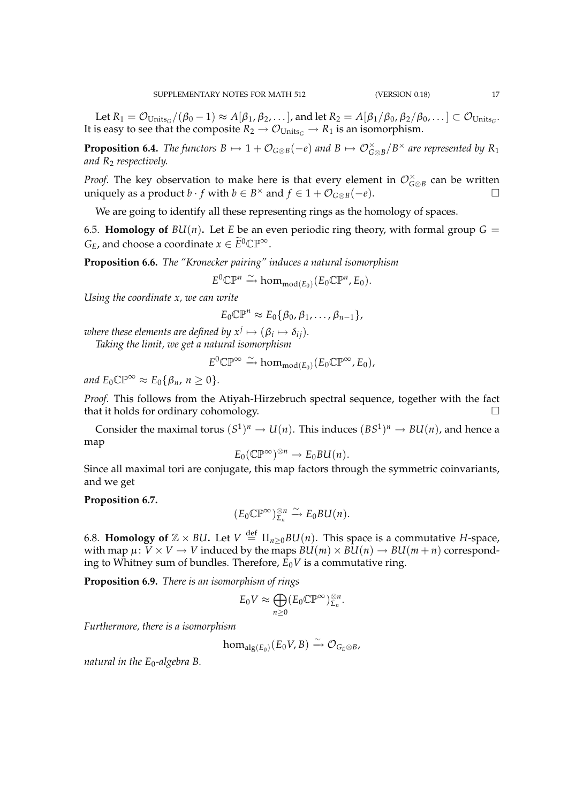Let  $R_1 = \mathcal{O}_{{\sf Units}_G}/(\beta_0-1) \approx A[\beta_1, \beta_2, \dots]$ , and let  $R_2 = A[\beta_1/\beta_0, \beta_2/\beta_0, \dots] \subset \mathcal{O}_{{\sf Units}_G}$ . It is easy to see that the composite  $R_2 \rightarrow O_{Units_G} \rightarrow R_1$  is an isomorphism.

**Proposition 6.4.** *The functors*  $B \mapsto 1 + \mathcal{O}_{G \otimes B}(-e)$  *and*  $B \mapsto \mathcal{O}_{G \otimes B}^{\times}/B^{\times}$  *are represented by*  $R_1$ *and R*<sup>2</sup> *respectively.*

*Proof.* The key observation to make here is that every element in  $\mathcal{O}_{G\otimes B}^{\times}$  can be written uniquely as a product *b* ⋅ *f* with *b* ∈ *B*<sup>×</sup> and *f* ∈ 1 +  $\mathcal{O}_{G \otimes B}(-e)$ .

We are going to identify all these representing rings as the homology of spaces.

6.5. **Homology of**  $BU(n)$ . Let *E* be an even periodic ring theory, with formal group  $G =$ *G*<sup>*E*</sup>, and choose a coordinate  $x \in \widetilde{E}^0 \mathbb{CP}^\infty$ .

**Proposition 6.6.** *The "Kronecker pairing" induces a natural isomorphism*

 $E^0 \mathbb{CP}^n \xrightarrow{\sim} \text{hom}_{\text{mod}(E_0)}(E_0 \mathbb{CP}^n, E_0).$ 

*Using the coordinate x, we can write*

$$
E_0\mathbb{CP}^n\approx E_0\{\beta_0,\beta_1,\ldots,\beta_{n-1}\},\,
$$

where these elements are defined by  $x^j\mapsto (\beta_i\mapsto \delta_{ij}).$ *Taking the limit, we get a natural isomorphism*

$$
E^0\mathbb{CP}^{\infty} \xrightarrow{\sim} \text{hom}_{\text{mod}(E_0)}(E_0\mathbb{CP}^{\infty}, E_0),
$$

*and*  $E_0 \mathbb{CP}^\infty \approx E_0 \{ \beta_n, n \geq 0 \}.$ 

*Proof.* This follows from the Atiyah-Hirzebruch spectral sequence, together with the fact that it holds for ordinary cohomology.

Consider the maximal torus  $(S^1)^n \to U(n)$ . This induces  $(BS^1)^n \to BU(n)$ , and hence a map

$$
E_0(\mathbb{CP}^{\infty})^{\otimes n} \to E_0BU(n).
$$

Since all maximal tori are conjugate, this map factors through the symmetric coinvariants, and we get

# **Proposition 6.7.**

$$
(E_0\mathbb{CP}^{\infty})_{\Sigma_n}^{\otimes n} \xrightarrow{\sim} E_0BU(n).
$$

6.8. **Homology of**  $\mathbb{Z} \times \textit{BU}$ . Let  $V \stackrel{\text{def}}{=} \amalg_{n \geq 0} \textit{BU}(n)$ . This space is a commutative *H*-space, with map  $\mu: V \times V \to V$  induced by the maps  $B\mathcal{U}(m) \times B\mathcal{U}(n) \to B\mathcal{U}(m+n)$  corresponding to Whitney sum of bundles. Therefore,  $E_0V$  is a commutative ring.

**Proposition 6.9.** *There is an isomorphism of rings*

$$
E_0 V \approx \bigoplus_{n \geq 0} (E_0 \mathbb{CP}^{\infty})_{\Sigma_n}^{\otimes n}.
$$

*Furthermore, there is a isomorphism*

$$
\text{hom}_{\text{alg}(E_0)}(E_0V, B) \xrightarrow{\sim} \mathcal{O}_{G_E \otimes B}
$$

*natural in the E*<sub>0</sub>-algebra B.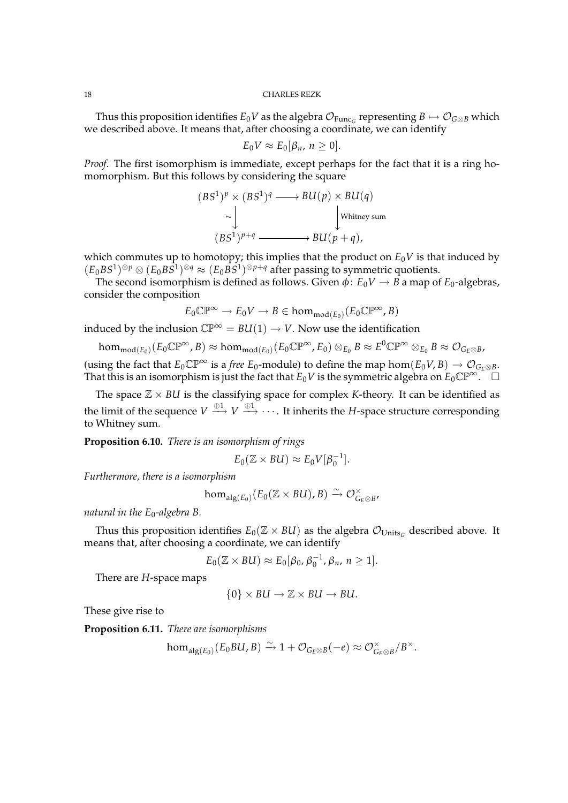Thus this proposition identifies  $E_0V$  as the algebra  $\mathcal{O}_{\text{Func}_G}$  representing  $B\mapsto \mathcal{O}_{G\otimes B}$  which we described above. It means that, after choosing a coordinate, we can identify

$$
E_0V \approx E_0[\beta_n, n \geq 0].
$$

*Proof.* The first isomorphism is immediate, except perhaps for the fact that it is a ring homomorphism. But this follows by considering the square

$$
(BS1)p \times (BS1)q \longrightarrow BU(p) \times BU(q)
$$
  
\n
$$
\sim \downarrow \qquad \qquad \downarrow
$$
  
\n
$$
(BS1)p+q \longrightarrow BU(p+q),
$$

which commutes up to homotopy; this implies that the product on  $E_0V$  is that induced by  $(E_0BS^1)^{\otimes p} \otimes (E_0BS^1)^{\otimes q} \approx (E_0BS^1)^{\otimes p+q}$  after passing to symmetric quotients.

The second isomorphism is defined as follows. Given  $\phi$ :  $E_0V \rightarrow B$  a map of  $E_0$ -algebras, consider the composition

$$
E_0\mathbb{CP}^\infty\to E_0V\to B\in \textup{hom}_{\textup{mod}(E_0)}(E_0\mathbb{CP}^\infty,B)
$$

induced by the inclusion  $\mathbb{CP}^{\infty} = BU(1) \rightarrow V$ . Now use the identification

 $\hom_{\mathrm{mod}(E_0)}(E_0\mathbb{CP}^{\infty}, B) \approx \hom_{\mathrm{mod}(E_0)}(E_0\mathbb{CP}^{\infty}, E_0) \otimes_{E_0} B \approx E^0\mathbb{CP}^{\infty} \otimes_{E_0} B \approx \mathcal{O}_{G_E \otimes B},$ (using the fact that  $E_0 \mathbb{CP}^\infty$  is a *free*  $E_0$ -module) to define the map hom $(E_0 V, B) \to \mathcal{O}_{G_F \otimes B}$ .

That this is an isomorphism is just the fact that  $E_0V$  is the symmetric algebra on  $E_0\mathbb{CP}^\infty$ .  $\Box$ 

The space  $\mathbb{Z} \times \mathbb{R}$  is the classifying space for complex *K*-theory. It can be identified as the limit of the sequence  $V \stackrel{\oplus 1}{\longrightarrow} V \stackrel{\oplus 1}{\longrightarrow} \cdots$  . It inherits the *H*-space structure corresponding to Whitney sum.

**Proposition 6.10.** *There is an isomorphism of rings*

$$
E_0(\mathbb{Z} \times BU) \approx E_0 V[\beta_0^{-1}].
$$

*Furthermore, there is a isomorphism*

$$
\hom_{\mathrm{alg}(E_0)}(E_0(\mathbb{Z}\times BU),B)\stackrel{\sim}{\to}\mathcal{O}_{G_E\otimes B}^{\times},
$$

*natural in the E*<sub>0</sub>-algebra B.

Thus this proposition identifies  $E_0(\mathbb{Z} \times \mathbb{Z} \times \mathbb{Z})$  as the algebra  $\mathcal{O}_{\text{Units}_C}$  described above. It means that, after choosing a coordinate, we can identify

$$
E_0(\mathbb{Z} \times \mathcal{B}U) \approx E_0[\beta_0, \beta_0^{-1}, \beta_n, n \geq 1].
$$

There are *H*-space maps

$$
\{0\} \times BU \to \mathbb{Z} \times BU \to BU.
$$

These give rise to

**Proposition 6.11.** *There are isomorphisms*

$$
\text{hom}_{\text{alg}(E_0)}(E_0BU, B) \xrightarrow{\sim} 1 + \mathcal{O}_{G_E \otimes B}(-e) \approx \mathcal{O}_{G_E \otimes B}^{\times}/B^{\times}.
$$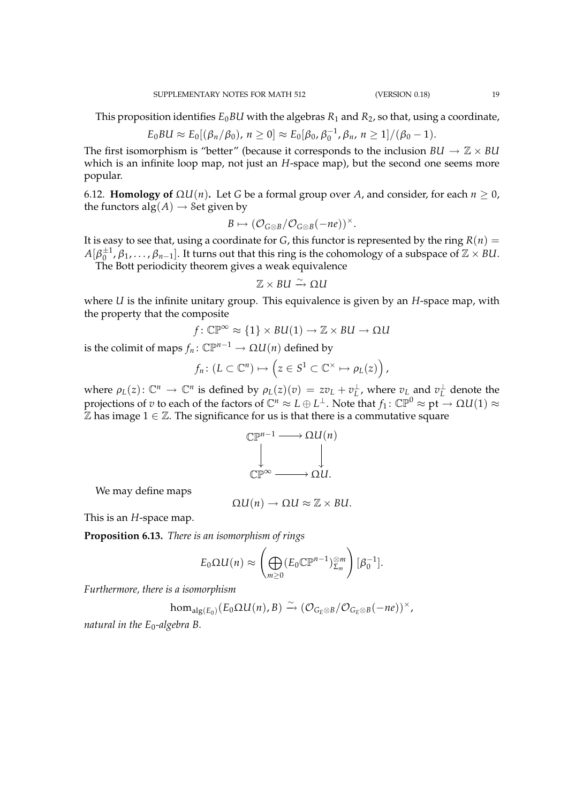This proposition identifies  $E_0BU$  with the algebras  $R_1$  and  $R_2$ , so that, using a coordinate,

$$
E_0BU \approx E_0[(\beta_n/\beta_0), n \ge 0] \approx E_0[\beta_0, \beta_0^{-1}, \beta_n, n \ge 1]/(\beta_0 - 1).
$$

The first isomorphism is "better" (because it corresponds to the inclusion  $BU \rightarrow \mathbb{Z} \times BU$ which is an infinite loop map, not just an *H*-space map), but the second one seems more popular.

6.12. **Homology of** Ω*U*(*n*)**.** Let *G* be a formal group over *A*, and consider, for each *n* ≥ 0, the functors  $alg(A) \rightarrow Set$  given by

$$
B \mapsto (\mathcal{O}_{G \otimes B}/\mathcal{O}_{G \otimes B}(-ne))^{\times}.
$$

It is easy to see that, using a coordinate for *G*, this functor is represented by the ring  $R(n) =$  $A[\beta_0^{\pm 1},\beta_1,\ldots,\beta_{n-1}]$ . It turns out that this ring is the cohomology of a subspace of  $\mathbb{Z}\times$  *BU*.

The Bott periodicity theorem gives a weak equivalence

$$
\mathbb{Z}\times \text{BU}\xrightarrow{\sim} \Omega U
$$

where *U* is the infinite unitary group. This equivalence is given by an *H*-space map, with the property that the composite

$$
f\colon \mathbb{CP}^{\infty} \approx \{1\} \times BU(1) \to \mathbb{Z} \times BU \to \Omega U
$$

is the colimit of maps  $f_n$ :  $\mathbb{CP}^{n-1} \to \Omega U(n)$  defined by

$$
f_n\colon (L\subset\mathbb{C}^n)\mapsto \left(z\in S^1\subset\mathbb{C}^\times\mapsto \rho_L(z)\right),
$$

where  $\rho_L(z)$ :  $\mathbb{C}^n \to \mathbb{C}^n$  is defined by  $\rho_L(z)(v) = zv_L + v_L^{\perp}$ , where  $v_L$  and  $v_L^{\perp}$  denote the projections of  $v$  to each of the factors of  $\mathbb C^n\approx L\oplus L^\perp.$  Note that  $f_1\colon\mathbb{CP}^0\approx \mathrm{pt}\to \Omega U(1)\approx$  $\mathbb Z$  has image  $1 \in \mathbb Z$ . The significance for us is that there is a commutative square

$$
\mathbb{CP}^{n-1} \longrightarrow \Omega U(n)
$$
  
\n
$$
\downarrow \qquad \qquad \downarrow
$$
  
\n
$$
\mathbb{CP}^{\infty} \longrightarrow \Omega U.
$$

We may define maps

$$
\Omega U(n) \to \Omega U \approx \mathbb{Z} \times BU.
$$

This is an *H*-space map.

**Proposition 6.13.** *There is an isomorphism of rings*

$$
E_0\Omega U(n)\approx \left(\bigoplus_{m\geq 0}(E_0\mathbb{CP}^{n-1})_{\Sigma_m}^{\otimes m}\right)[\beta_0^{-1}].
$$

*Furthermore, there is a isomorphism*

$$
\text{hom}_{\text{alg}(E_0)}(E_0\Omega U(n),B)\xrightarrow{\sim}(\mathcal{O}_{G_E\otimes B}/\mathcal{O}_{G_E\otimes B}(-ne))^{\times},
$$

*natural in the E*<sub>0</sub>-algebra B.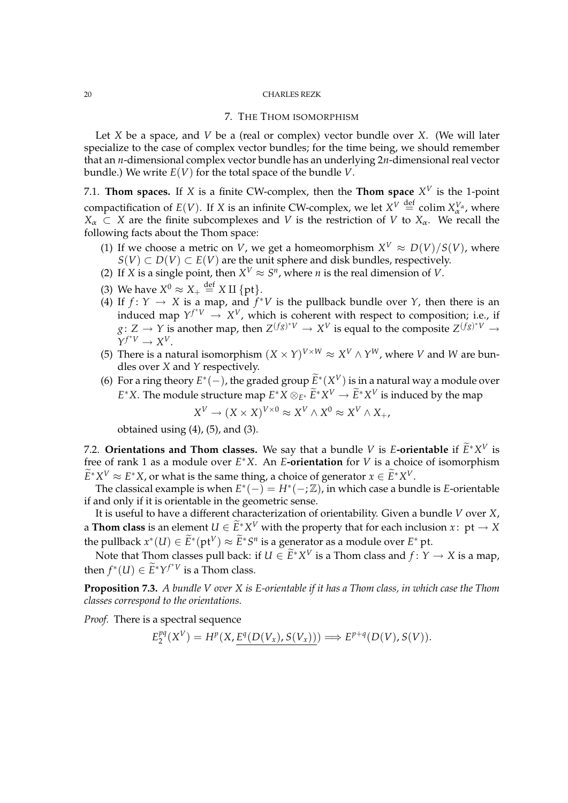### 7. THE THOM ISOMORPHISM

Let *X* be a space, and *V* be a (real or complex) vector bundle over *X*. (We will later specialize to the case of complex vector bundles; for the time being, we should remember that an *n*-dimensional complex vector bundle has an underlying 2*n*-dimensional real vector bundle.) We write *E*(*V*) for the total space of the bundle *V*.

7.1. **Thom spaces.** If X is a finite CW-complex, then the **Thom space**  $X^V$  is the 1-point compactification of  $E(V)$ . If X is an infinite CW-complex, we let  $X^V \stackrel{\text{def}}{=} \text{colim } X^V_\alpha$ , where  $X_\alpha \subset X$  are the finite subcomplexes and *V* is the restriction of *V* to  $X_\alpha$ . We recall the following facts about the Thom space:

- (1) If we choose a metric on *V*, we get a homeomorphism  $X^V \approx D(V)/S(V)$ , where *S*(*V*) ⊂ *D*(*V*) ⊂ *E*(*V*) are the unit sphere and disk bundles, respectively.
- (2) If *X* is a single point, then  $X^V \approx S^n$ , where *n* is the real dimension of *V*.
- (3) We have  $X^0 \approx X_+ \stackrel{\text{def}}{=} X \amalg \{\text{pt}\}.$
- (4) If  $f: Y \to X$  is a map, and  $f^*V$  is the pullback bundle over  $Y$ , then there is an induced map  $Y^{f^*V} \to X^V$ , which is coherent with respect to composition; i.e., if  $g: Z \to Y$  is another map, then  $Z^{(fg)^*V} \to X^V$  is equal to the composite  $Z^{(fg)^*V} \to Y^V$  $\tilde{Y}^{f^*V} \to X^V$ .
- (5) There is a natural isomorphism  $(X \times Y)^{V \times W} \approx X^V \wedge Y^W$ , where *V* and *W* are bundles over *X* and *Y* respectively.
- (6) For a ring theory  $E^*(-)$ , the graded group  $\widetilde{E}^*(X^V)$  is in a natural way a module over *E*<sup>∗</sup>*X*. The module structure map  $E$ <sup>∗</sup>*X*</sub> ⊗ $E$ <sup>∗</sup> $\widetilde{E}$ <sup>∗</sup> $X$ <sup>*V*</sup> →  $\widetilde{E}$ <sup>∗</sup> $X$ <sup>*V*</sup> is induced by the map

$$
X^V \to (X \times X)^{V \times 0} \approx X^V \wedge X^0 \approx X^V \wedge X_+,
$$

obtained using  $(4)$ ,  $(5)$ , and  $(3)$ .

7.2. **Orientations and Thom classes.** We say that a bundle *V* is *E***-orientable** if  $\widetilde{E}^*X^V$  is free of rank 1 as a module over *E* <sup>∗</sup>*X*. An *E***-orientation** for *V* is a choice of isomorphism  $\widetilde{E}^* X^V \approx E^* X$ , or what is the same thing, a choice of generator  $x \in \widetilde{E}^* X^V$ .

The classical example is when  $E^*(-) = H^*(-; \mathbb{Z})$ , in which case a bundle is *E*-orientable if and only if it is orientable in the geometric sense.

It is useful to have a different characterization of orientability. Given a bundle *V* over *X*, a **Thom class** is an element  $U \in \widetilde{E}^* X^V$  with the property that for each inclusion  $x: \text{ pt } \rightarrow X$ the pullback  $x^*(U) \in \widetilde{E}^*(\text{pt}^V) \approx \widetilde{E}^*S^n$  is a generator as a module over  $E^*$  pt.

Note that Thom classes pull back: if  $U \in \widetilde{E}^* X^V$  is a Thom class and  $f: Y \to X$  is a map, then  $f^*(U) \in \widetilde{E}^*Y^{f^*V}$  is a Thom class.

**Proposition 7.3.** *A bundle V over X is E-orientable if it has a Thom class, in which case the Thom classes correspond to the orientations.*

*Proof.* There is a spectral sequence

$$
E_2^{pq}(X^V) = H^p(X, \underline{E^q(D(V_x), S(V_x))}) \Longrightarrow E^{p+q}(D(V), S(V)).
$$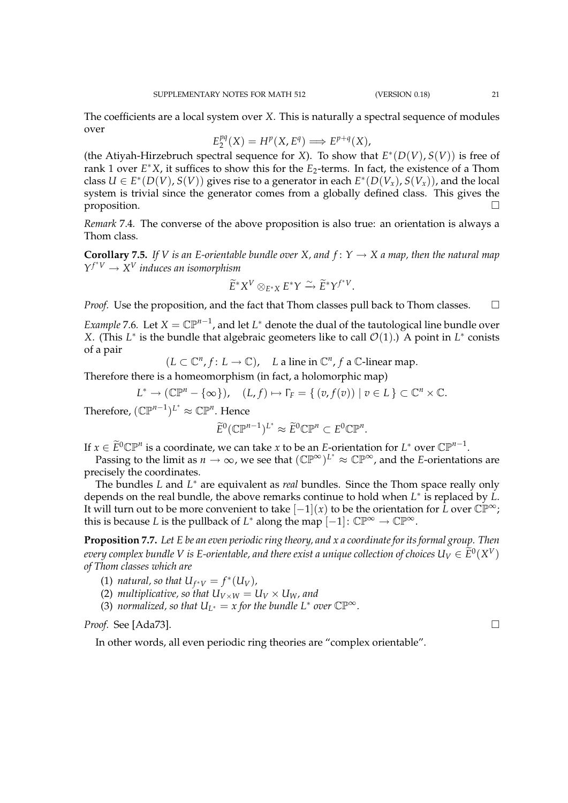The coefficients are a local system over *X*. This is naturally a spectral sequence of modules over

$$
E_2^{pq}(X) = H^p(X, E^q) \Longrightarrow E^{p+q}(X),
$$

(the Atiyah-Hirzebruch spectral sequence for *X*). To show that  $E^*(D(V), S(V))$  is free of rank 1 over *E* <sup>∗</sup>*X*, it suffices to show this for the *E*2-terms. In fact, the existence of a Thom class  $U \in E^*(D(V), S(V))$  gives rise to a generator in each  $E^*(D(V_x), S(V_x))$ , and the local system is trivial since the generator comes from a globally defined class. This gives the proposition.  $\Box$ 

*Remark* 7.4*.* The converse of the above proposition is also true: an orientation is always a Thom class.

**Corollary 7.5.** *If V is an E-orientable bundle over X, and*  $f: Y \rightarrow X$  *a map, then the natural map*  $Y^{f^*V} \to X^V$  *induces an isomorphism* 

$$
\widetilde{E}^* X^V \otimes_{E^* X} E^* Y \xrightarrow{\sim} \widetilde{E}^* Y^{f^* V}.
$$

*Proof.* Use the proposition, and the fact that Thom classes pull back to Thom classes.  $\Box$ 

*Example* 7.6. Let  $X = \mathbb{CP}^{n-1}$ , and let  $L^*$  denote the dual of the tautological line bundle over *X*. (This  $L^*$  is the bundle that algebraic geometers like to call  $\mathcal{O}(1)$ .) A point in  $L^*$  conists of a pair

$$
(L \subset \mathbb{C}^n, f: L \to \mathbb{C}),
$$
 *L* a line in  $\mathbb{C}^n, f$  a C-linear map.

Therefore there is a homeomorphism (in fact, a holomorphic map)

$$
L^* \to (\mathbb{CP}^n - \{\infty\}), \quad (L, f) \mapsto \Gamma_F = \{ (v, f(v)) \mid v \in L \} \subset \mathbb{C}^n \times \mathbb{C}.
$$

Therefore,  $(\mathbb{CP}^{n-1})^{L^*} \approx \mathbb{CP}^n$ . Hence

$$
\widetilde{E}^0(\mathbb{C}\mathbb{P}^{n-1})^{L^*} \approx \widetilde{E}^0\mathbb{C}\mathbb{P}^n \subset E^0\mathbb{C}\mathbb{P}^n.
$$

If  $x \in \widetilde{E}^0 \mathbb{CP}^n$  is a coordinate, we can take  $x$  to be an *E*-orientation for  $L^*$  over  $\mathbb{CP}^{n-1}$ .

Passing to the limit as  $n \to \infty$ , we see that  $(\mathbb{CP}^{\infty})^{L^*} \approx \mathbb{CP}^{\infty}$ , and the *E*-orientations are precisely the coordinates.

The bundles *L* and *L* <sup>∗</sup> are equivalent as *real* bundles. Since the Thom space really only depends on the real bundle, the above remarks continue to hold when *L* ∗ is replaced by *L*. It will turn out to be more convenient to take  $[-1](x)$  to be the orientation for *L* over  $\mathbb{CP}^{\infty}$ ; this is because *L* is the pullback of *L*<sup>\*</sup> along the map  $[-1] \colon \mathbb{CP}^{\infty} \to \mathbb{CP}^{\infty}$ .

**Proposition 7.7.** *Let E be an even periodic ring theory, and x a coordinate for its formal group. Then every complex bundle V is E-orientable, and there exist a unique collection of choices*  $U_V \in \widetilde{E}^0(X^V)$ *of Thom classes which are*

(1) *natural, so that*  $U_{f^*V} = f^*(U_V)$ ,

- (2) *multiplicative, so that*  $U_{V \times W} = U_V \times U_W$ *, and*
- (3) *normalized, so that*  $U_{L^*} = x$  *for the bundle*  $L^*$  *over*  $\mathbb{CP}^\infty$ *.*

*Proof.* See [Ada73].

In other words, all even periodic ring theories are "complex orientable".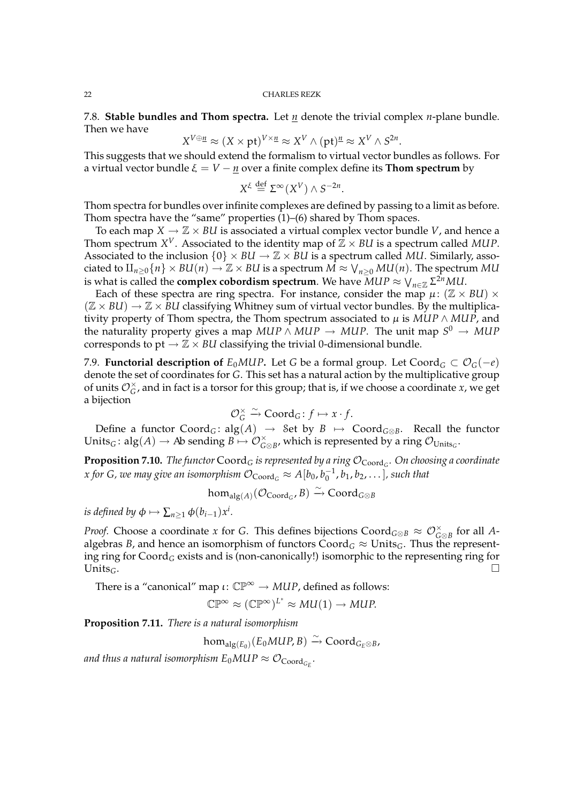7.8. **Stable bundles and Thom spectra.** Let *n* denote the trivial complex *n*-plane bundle. Then we have

$$
X^{V \oplus \underline{n}} \approx (X \times \mathrm{pt})^{V \times \underline{n}} \approx X^V \wedge (\mathrm{pt})^{\underline{n}} \approx X^V \wedge S^{2n}.
$$

This suggests that we should extend the formalism to virtual vector bundles as follows. For a virtual vector bundle  $\xi = V - \underline{n}$  over a finite complex define its **Thom spectrum** by

$$
X^{\xi} \stackrel{\text{def}}{=} \Sigma^{\infty}(X^V) \wedge S^{-2n}.
$$

Thom spectra for bundles over infinite complexes are defined by passing to a limit as before. Thom spectra have the "same" properties  $(1)$ – $(6)$  shared by Thom spaces.

To each map  $X \to \mathbb{Z} \times \mathbb{Z}$  is associated a virtual complex vector bundle *V*, and hence a Thom spectrum  $X^V$ . Associated to the identity map of  $\mathbb{Z} \times \mathbb{B}U$  is a spectrum called MUP. Associated to the inclusion  $\{0\} \times BU \to \mathbb{Z} \times BU$  is a spectrum called *MU*. Similarly, associated to  $\amalg_{n\geq 0}{n}\times$   $BU(n)\to \mathbb{Z}\times$  *BU* is a spectrum  $\vec{M}\approx \bigvee_{n\geq 0} MU(n).$  The spectrum  $MU$ is what is called the **complex cobordism spectrum**. We have  $MUP \approx \bigvee_{n \in \mathbb{Z}} \Sigma^{2n} MU.$ 

Each of these spectra are ring spectra. For instance, consider the map  $\mu$ : ( $\mathbb{Z} \times \mathcal{B}U$ )  $\times$  $(\mathbb{Z} \times \mathcal{B}U) \rightarrow \mathbb{Z} \times \mathcal{B}U$  classifying Whitney sum of virtual vector bundles. By the multiplicativity property of Thom spectra, the Thom spectrum associated to  $\mu$  is *MUP*  $\land$  *MUP*, and the naturality property gives a map  $MUP \wedge MUP \rightarrow MUP$ . The unit map  $S^0 \rightarrow MUP$ corresponds to pt  $\rightarrow \mathbb{Z} \times \mathbb{R}$ *U* classifying the trivial 0-dimensional bundle.

7.9. **Functorial description of**  $E_0MUP$ . Let *G* be a formal group. Let Coord<sub>*G*</sub> ⊂  $\mathcal{O}_G(-e)$ denote the set of coordinates for *G*. This set has a natural action by the multiplicative group of units  $\mathcal{O}_G^{\times}$ , and in fact is a torsor for this group; that is, if we choose a coordinate *x*, we get a bijection

$$
\mathcal{O}_G^{\times} \xrightarrow{\sim} \text{Coord}_G: f \mapsto x \cdot f.
$$

Define a functor  $Coord_G$ :  $alg(A) \rightarrow Set$  by  $B \mapsto Coord_{G \otimes B}$ . Recall the functor Units<sub>*G*</sub>:  $alg(A) \rightarrow Ab$  sending  $B \mapsto \mathcal{O}_{G \otimes B}^{\times}$ , which is represented by a ring  $\mathcal{O}_{\text{Units}_G}$ .

 ${\bf Proposition~7.10.}$   $The functor$   $\bf{Coord}_G$  *is represented by a ring*  ${\cal{O}}_{\bf{Coord}_G}.$  *On choosing a coordinate x* for G, we may give an isomorphism  $\mathcal{O}_{\text{Coord}_G} \approx A[b_0, b_0^{-1}, b_1, b_2, \dots]$  , such that

$$
\text{hom}_{\text{alg}(A)}(\mathcal{O}_{\text{Coord}_G}, B) \xrightarrow{\sim} \text{Coord}_{G \otimes B}
$$

*is defined by*  $\phi \mapsto \sum_{n\geq 1} \phi(b_{i-1})x^i$ .

*Proof.* Choose a coordinate *x* for *G*. This defines bijections  $Coord_{G\otimes B} \approx \mathcal{O}_{G\otimes B}^{\times}$  for all *A*algebras *B*, and hence an isomorphism of functors  $\text{Coord}_G \approx \text{Units}_G$ . Thus the representing ring for Coord*<sup>G</sup>* exists and is (non-canonically!) isomorphic to the representing ring for Units<sub>G</sub>.

There is a "canonical" map  $\iota: \mathbb{CP}^{\infty} \to MUP$ , defined as follows:

 $\mathbb{CP}^{\infty} \approx (\mathbb{CP}^{\infty})^{L^*} \approx MU(1) \rightarrow MUP.$ 

**Proposition 7.11.** *There is a natural isomorphism*

 $\hom_{\mathop{\mathrm{alg}}\nolimits(E_0)}(E_0MUP,B)\xrightarrow{\sim}\mathsf{Coord}_{G_E\otimes B}$ 

and thus a natural isomorphism  $E_0 M U P \approx \mathcal{O}_{\text{Coord}_{G_E}}$ .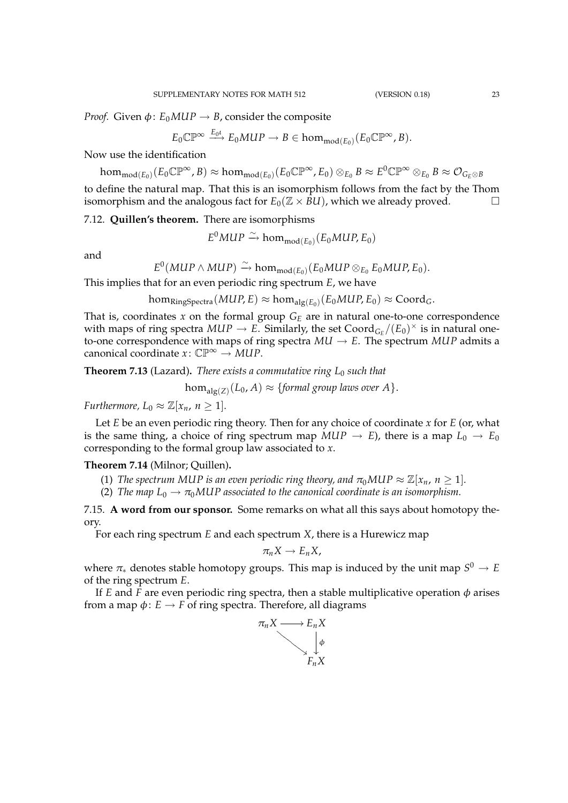*Proof.* Given  $\phi$ :  $E_0MUP \rightarrow B$ , consider the composite

$$
E_0\mathbb{CP}^{\infty} \xrightarrow{E_0L} E_0MUP \to B \in \text{hom}_{\text{mod}(E_0)}(E_0\mathbb{CP}^{\infty},B).
$$

Now use the identification

 $\hom_{\mathrm{mod}(E_0)}(E_0\mathbb{CP}^{\infty}, B) \approx \hom_{\mathrm{mod}(E_0)}(E_0\mathbb{CP}^{\infty}, E_0) \otimes_{E_0} B \approx E^0\mathbb{CP}^{\infty} \otimes_{E_0} B \approx \mathcal{O}_{G_E \otimes B}$ 

to define the natural map. That this is an isomorphism follows from the fact by the Thom isomorphism and the analogous fact for  $E_0(\mathbb{Z} \times \mathbb{Z})$ , which we already proved.

7.12. **Quillen's theorem.** There are isomorphisms

 $E^0 MUP \xrightarrow{\sim} \text{hom}_{\text{mod}(E_0)}(E_0 MUP, E_0)$ 

and

 $E^0(\textit{MUP} \wedge \textit{MUP}) \xrightarrow{\sim} \text{hom}_{\text{mod}(E_0)}(E_0\textit{MUP} \otimes_{E_0} E_0\textit{MUP}, E_0).$ 

This implies that for an even periodic ring spectrum *E*, we have

 $\text{hom}_{\text{RingSpectra}}(MUP, E) \approx \text{hom}_{\text{alg}(E_0)}(E_0 MUP, E_0) \approx \text{Coord}_G.$ 

That is, coordinates  $x$  on the formal group  $G_E$  are in natural one-to-one correspondence with maps of ring spectra  $MUP \to E$ . Similarly, the set  $\text{Coord}_{G_E}/(E_0)^{\times}$  is in natural oneto-one correspondence with maps of ring spectra  $MU \rightarrow E$ . The spectrum  $MUP$  admits a canonical coordinate  $x: \mathbb{CP}^{\infty} \to MUP$ .

**Theorem 7.13** (Lazard)**.** *There exists a commutative ring L*<sup>0</sup> *such that*

 $\hom_{\text{alg}(Z)}(L_0,A) \approx \{\text{formal group laws over }A\}.$ 

*Furthermore,*  $L_0 \approx \mathbb{Z}[x_n, n \geq 1]$ *.* 

Let *E* be an even periodic ring theory. Then for any choice of coordinate *x* for *E* (or, what is the same thing, a choice of ring spectrum map  $MUP \rightarrow E$ ), there is a map  $L_0 \rightarrow E_0$ corresponding to the formal group law associated to *x*.

# **Theorem 7.14** (Milnor; Quillen)**.**

(1) *The spectrum MUP is an even periodic ring theory, and*  $\pi_0 MUP \approx \mathbb{Z}[x_n, n \geq 1]$ *.* 

(2) *The map*  $L_0 \rightarrow \pi_0 MUP$  associated to the canonical coordinate is an isomorphism.

7.15. **A word from our sponsor.** Some remarks on what all this says about homotopy theory.

For each ring spectrum *E* and each spectrum *X*, there is a Hurewicz map

$$
\pi_n X \to E_n X,
$$

where π<sup>∗</sup> denotes stable homotopy groups. This map is induced by the unit map *S* <sup>0</sup> → *E* of the ring spectrum *E*.

If *E* and *F* are even periodic ring spectra, then a stable multiplicative operation  $\phi$  arises from a map  $\phi$ :  $E \rightarrow F$  of ring spectra. Therefore, all diagrams

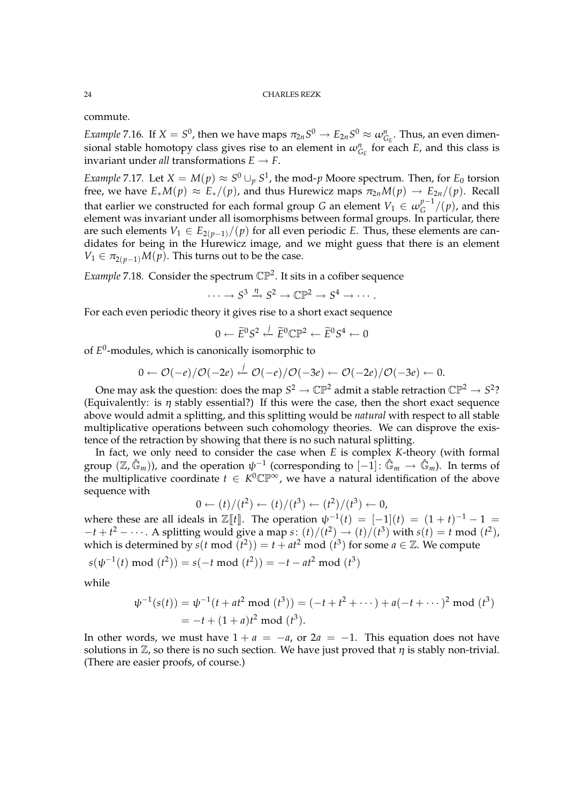commute.

*Example* 7.16. If  $X = S^0$ , then we have maps  $\pi_{2n}S^0 \to E_{2n}S^0 \approx \omega_{G_E}^n$ . Thus, an even dimensional stable homotopy class gives rise to an element in  $\omega_{G_E}^n$  for each  $E$ , and this class is invariant under *all* transformations  $E \rightarrow F$ .

*Example* 7.17. Let  $X = M(p) \approx S^0 \cup_p S^1$ , the mod-*p* Moore spectrum. Then, for  $E_0$  torsion free, we have  $E_*M(p) \approx E_*/(p)$ , and thus Hurewicz maps  $\pi_{2n}M(p) \to E_{2n}/(p)$ . Recall that earlier we constructed for each formal group *G* an element  $V_1 \in \omega_G^{p-1}$  $\int_{G}^{p-1}$ / $(p)$ , and this element was invariant under all isomorphisms between formal groups. In particular, there are such elements  $V_1 \in E_{2(p-1)}/(p)$  for all even periodic *E*. Thus, these elements are candidates for being in the Hurewicz image, and we might guess that there is an element  $V_1 \in \pi_{2(p-1)}M(p)$ . This turns out to be the case.

Example 7.18. Consider the spectrum  $\mathbb{CP}^2$ . It sits in a cofiber sequence

 $\cdots \rightarrow S^3 \stackrel{\eta}{\rightarrow} S^2 \rightarrow \mathbb{CP}^2 \rightarrow S^4 \rightarrow \cdots$ 

For each even periodic theory it gives rise to a short exact sequence

$$
0 \leftarrow \widetilde{E}^0 S^2 \stackrel{j}{\leftarrow} \widetilde{E}^0 \mathbb{CP}^2 \leftarrow \widetilde{E}^0 S^4 \leftarrow 0
$$

of *E* 0 -modules, which is canonically isomorphic to

$$
0 \leftarrow \mathcal{O}(-e)/\mathcal{O}(-2e) \xleftarrow{j} \mathcal{O}(-e)/\mathcal{O}(-3e) \leftarrow \mathcal{O}(-2e)/\mathcal{O}(-3e) \leftarrow 0.
$$

One may ask the question: does the map  $S^2 \to \mathbb{CP}^2$  admit a stable retraction  $\mathbb{CP}^2 \to S^2$ ? (Equivalently: is  $\eta$  stably essential?) If this were the case, then the short exact sequence above would admit a splitting, and this splitting would be *natural* with respect to all stable multiplicative operations between such cohomology theories. We can disprove the existence of the retraction by showing that there is no such natural splitting.

In fact, we only need to consider the case when *E* is complex *K*-theory (with formal group  $(\Z,\hat{\mathbb{G}}_m)$ ), and the operation  $\psi^{-1}$  (corresponding to  $[-1] \colon \hat{\mathbb{G}}_m \to \hat{\mathbb{G}}_m$ ). In terms of the multiplicative coordinate  $t \in K^0 \mathbb{CP}^\infty$ , we have a natural identification of the above sequence with

$$
0 \leftarrow (t)/(t^2) \leftarrow (t)/(t^3) \leftarrow (t^2)/(t^3) \leftarrow 0,
$$

where these are all ideals in  $\mathbb{Z}[[t]]$ . The operation  $\psi^{-1}(t) = [-1](t) = (1+t)^{-1} - 1 =$  $-t + t^2 - \cdots$ . A splitting would give a map  $s: (t)/(t^2) \rightarrow (t)/(t^3)$  with  $s(t) = t \mod (t^2)$ , which is determined by  $s(t \mod (t^2)) = t + at^2 \mod (t^3)$  for some  $a \in \mathbb{Z}$ . We compute

$$
s(\psi^{-1}(t) \mod (t^2)) = s(-t \mod (t^2)) = -t - at^2 \mod (t^3)
$$

while

$$
\psi^{-1}(s(t)) = \psi^{-1}(t + at^2 \mod (t^3)) = (-t + t^2 + \cdots) + a(-t + \cdots)^2 \mod (t^3)
$$
  
= -t + (1 + a)t<sup>2</sup> mod (t<sup>3</sup>).

In other words, we must have  $1 + a = -a$ , or  $2a = -1$ . This equation does not have solutions in  $\mathbb{Z}$ , so there is no such section. We have just proved that  $\eta$  is stably non-trivial. (There are easier proofs, of course.)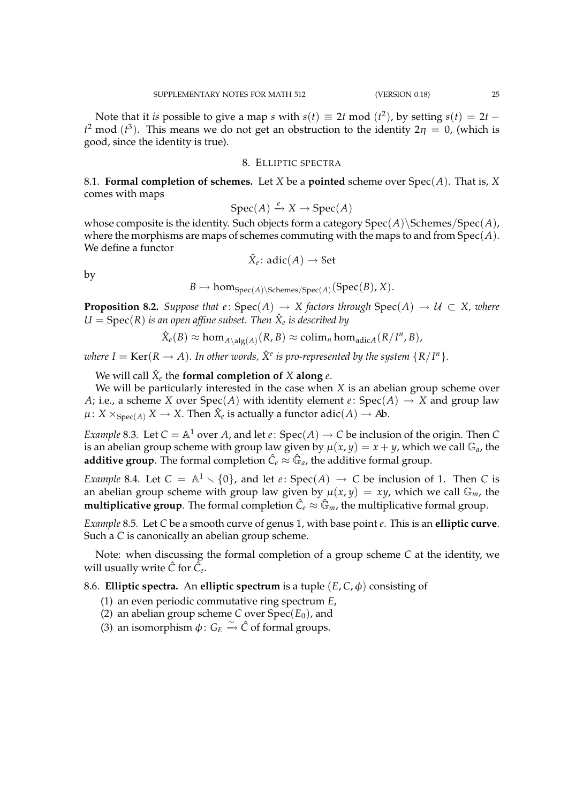Note that it *is* possible to give a map *s* with  $s(t) \equiv 2t \mod (t^2)$ , by setting  $s(t) = 2t$  $t^2$  mod  $(t^3)$ . This means we do not get an obstruction to the identity  $2\eta = 0$ , (which is good, since the identity is true).

# 8. ELLIPTIC SPECTRA

8.1. **Formal completion of schemes.** Let *X* be a **pointed** scheme over Spec(*A*). That is, *X* comes with maps

 $Spec(A) \xrightarrow{e} X \rightarrow Spec(A)$ 

whose composite is the identity. Such objects form a category  $Spec(A)\$ Schemes/Spec $(A)$ , where the morphisms are maps of schemes commuting with the maps to and from Spec(*A*). We define a functor

$$
\hat{X}_e \colon \text{adic}(A) \to \text{Set}
$$

by

 $B \mapsto \hom_{\mathrm{Spec}(A) \backslash \mathrm{Schemes}/\mathrm{Spec}(A)}(\mathrm{Spec}(B), X).$ 

**Proposition 8.2.** *Suppose that e*:  $Spec(A) \rightarrow X$  *factors through*  $Spec(A) \rightarrow U \subset X$ *, where*  $U = \text{Spec}(R)$  *is an open affine subset. Then*  $\hat{X}_e$  *is described by* 

$$
\hat{X}_e(B) \approx \hom_{A \setminus \text{alg}(A)}(R, B) \approx \text{colim}_n \hom_{\text{adic}A}(R/I^n, B),
$$

*where I* = Ker(*R*  $\rightarrow$  *A*). In other words,  $\hat{X}^e$  is pro-represented by the system {R/I<sup>n</sup>}.

We will call  $\hat{X}_e$  the **formal completion of**  $X$  **along**  $e$ .

We will be particularly interested in the case when *X* is an abelian group scheme over *A*; i.e., a scheme *X* over  $Spec(A)$  with identity element  $e: Spec(A) \rightarrow X$  and group law  $\mu$ :  $X \times_{\text{Spec}(A)} X \to X$ . Then  $\hat{X}_e$  is actually a functor  $\text{adic}(A) \to A\!b$ .

*Example* 8.3*.* Let  $C = \mathbb{A}^1$  over *A*, and let *e*:  $Spec(A) \rightarrow C$  be inclusion of the origin. Then *C* is an abelian group scheme with group law given by  $\mu(x, y) = x + y$ , which we call  $\mathbb{G}_a$ , the **additive group**. The formal completion  $\hat{C}_e \approx \hat{\mathbb{G}}_a$ , the additive formal group.

*Example* 8.4*.* Let  $C = \mathbb{A}^1 \setminus \{0\}$ , and let *e*: Spec(*A*)  $\rightarrow C$  be inclusion of 1. Then *C* is an abelian group scheme with group law given by  $\mu(x, y) = xy$ , which we call  $\mathbb{G}_m$ , the  ${\bf multiplicative\ group}.$  The formal completion  $\hat {\cal C}_e \approx \hat {\Bbb G}_m$ , the multiplicative formal group.

*Example* 8.5*.* Let *C* be a smooth curve of genus 1, with base point *e*. This is an **elliptic curve**. Such a *C* is canonically an abelian group scheme.

Note: when discussing the formal completion of a group scheme *C* at the identity, we will usually write  $\hat{C}$  for  $\hat{C}_{e}$ .

8.6. **Elliptic spectra.** An **elliptic spectrum** is a tuple  $(E, C, \phi)$  consisting of

- (1) an even periodic commutative ring spectrum *E*,
- (2) an abelian group scheme *C* over  $Spec(E_0)$ , and
- (3) an isomorphism  $\phi$ :  $G_E \xrightarrow{\sim} \hat{C}$  of formal groups.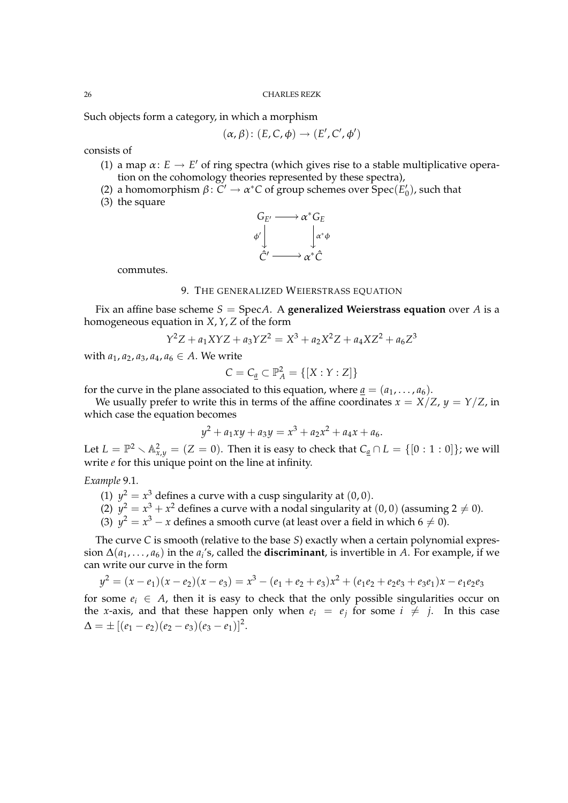Such objects form a category, in which a morphism

$$
(\alpha,\beta)\colon (E,C,\phi)\to (E',C',\phi')
$$

consists of

- (1) a map  $\alpha: E \to E'$  of ring spectra (which gives rise to a stable multiplicative operation on the cohomology theories represented by these spectra),
- (2) a homomorphism  $\beta: \mathbb{C}' \to \alpha^* \mathbb{C}$  of group schemes over  $\operatorname{Spec}(E'_0)$ , such that
- (3) the square



commutes.

# 9. THE GENERALIZED WEIERSTRASS EQUATION

Fix an affine base scheme  $S = \text{Spec}A$ . A **generalized Weierstrass equation** over A is a homogeneous equation in *X*, *Y*, *Z* of the form

$$
Y^2Z + a_1XYZ + a_3YZ^2 = X^3 + a_2X^2Z + a_4XZ^2 + a_6Z^3
$$

with  $a_1, a_2, a_3, a_4, a_6 \in A$ . We write

$$
C = C_{\underline{a}} \subset \mathbb{P}_{A}^{2} = \{ [X : Y : Z] \}
$$

for the curve in the plane associated to this equation, where  $a = (a_1, \ldots, a_6)$ .

We usually prefer to write this in terms of the affine coordinates  $x = X/Z$ ,  $y = Y/Z$ , in which case the equation becomes

$$
y^2 + a_1xy + a_3y = x^3 + a_2x^2 + a_4x + a_6.
$$

Let  $L = \mathbb{P}^2 \setminus \mathbb{A}^2_{x,y} = (Z = 0).$  Then it is easy to check that  $C_{\underline{a}} \cap L = \{[0:1:0]\}$ ; we will write *e* for this unique point on the line at infinity.

# *Example* 9.1*.*

- (1)  $y^2 = x^3$  defines a curve with a cusp singularity at  $(0,0)$ .
- (2)  $y^2 = x^3 + x^2$  defines a curve with a nodal singularity at  $(0,0)$  (assuming  $2 \neq 0$ ).
- (3)  $y^2 = x^3 x$  defines a smooth curve (at least over a field in which 6  $\neq$  0).

The curve *C* is smooth (relative to the base *S*) exactly when a certain polynomial expression  $\Delta(a_1, \ldots, a_6)$  in the  $a_i$ 's, called the **discriminant**, is invertible in *A*. For example, if we can write our curve in the form

$$
y^{2} = (x - e_{1})(x - e_{2})(x - e_{3}) = x^{3} - (e_{1} + e_{2} + e_{3})x^{2} + (e_{1}e_{2} + e_{2}e_{3} + e_{3}e_{1})x - e_{1}e_{2}e_{3}
$$

for some  $e_i \in A$ , then it is easy to check that the only possible singularities occur on the *x*-axis, and that these happen only when  $e_i = e_j$  for some  $i \neq j$ . In this case  $\Delta = \pm [(\mathit{e}_1 - \mathit{e}_2)(\mathit{e}_2 - \mathit{e}_3)(\mathit{e}_3 - \mathit{e}_1)]^2.$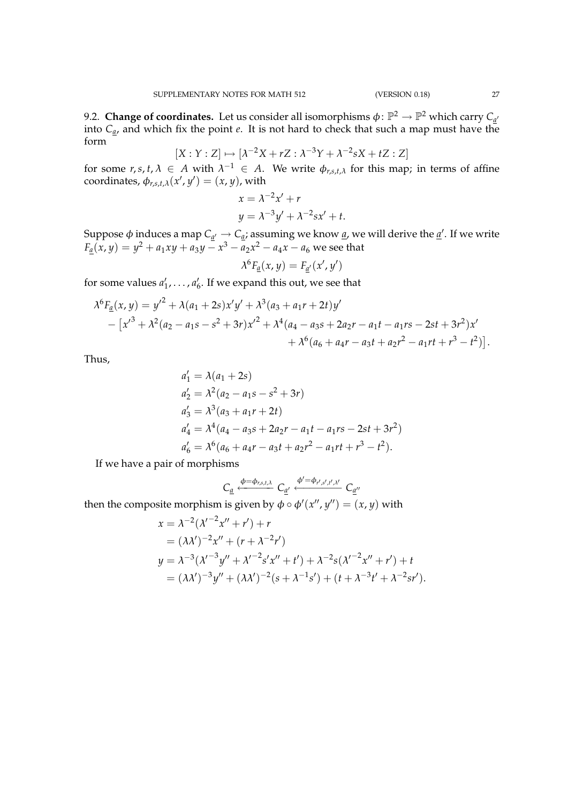9.2. **Change of coordinates.** Let us consider all isomorphisms  $\phi \colon \mathbb{P}^2 \to \mathbb{P}^2$  which carry  $C_{\underline{a}'}$ into *Ca*, and which fix the point *e*. It is not hard to check that such a map must have the form

$$
[X:Y:Z] \mapsto [\lambda^{-2}X + rZ : \lambda^{-3}Y + \lambda^{-2}sX + tZ : Z]
$$

for some  $r, s, t, \lambda \in A$  with  $\lambda^{-1} \in A$ . We write  $\phi_{r,s,t,\lambda}$  for this map; in terms of affine  $\text{coordinates}, \phi_{r,s,t,\lambda}(x', y') = (x, y)$ , with

$$
x = \lambda^{-2}x' + r
$$
  

$$
y = \lambda^{-3}y' + \lambda^{-2}sx' + t.
$$

Suppose  $\phi$  induces a map  $C_{\underline{a}'} \to C_{\underline{a}}$ ; assuming we know <u>a</u>, we will derive the <u>a</u>'. If we write  $F_{\underline{a}}(x,y) = y^2 + a_1xy + a_3y - x^3 - a_2x^2 - a_4x - a_6$  we see that

$$
\lambda^6 F_{\underline{a}}(x,y) = F_{\underline{a}'}(x',y')
$$

for some values  $a'_1, \ldots, a'_6$ . If we expand this out, we see that

$$
\lambda^{6}F_{\underline{a}}(x,y) = y'^{2} + \lambda(a_{1} + 2s)x'y' + \lambda^{3}(a_{3} + a_{1}r + 2t)y'
$$
  
 
$$
- [x'^{3} + \lambda^{2}(a_{2} - a_{1}s - s^{2} + 3r)x'^{2} + \lambda^{4}(a_{4} - a_{3}s + 2a_{2}r - a_{1}t - a_{1}rs - 2st + 3r^{2})x' + \lambda^{6}(a_{6} + a_{4}r - a_{3}t + a_{2}r^{2} - a_{1}rt + r^{3} - t^{2})].
$$

Thus,

$$
a'_1 = \lambda(a_1 + 2s)
$$
  
\n
$$
a'_2 = \lambda^2(a_2 - a_1s - s^2 + 3r)
$$
  
\n
$$
a'_3 = \lambda^3(a_3 + a_1r + 2t)
$$
  
\n
$$
a'_4 = \lambda^4(a_4 - a_3s + 2a_2r - a_1t - a_1rs - 2st + 3r^2)
$$
  
\n
$$
a'_6 = \lambda^6(a_6 + a_4r - a_3t + a_2r^2 - a_1rt + r^3 - t^2).
$$

If we have a pair of morphisms

$$
C_{\underline{a}} \xleftarrow{\phi = \phi_{r,s,t,\lambda}} C_{\underline{a}'} \xleftarrow{\phi' = \phi_{r',s',t',\lambda'}} C_{\underline{a}''}
$$

then the composite morphism is given by  $\phi \circ \phi'(x'', y'') = (x, y)$  with

$$
x = \lambda^{-2}(\lambda'^{-2}x'' + r') + r
$$
  
=  $(\lambda\lambda')^{-2}x'' + (r + \lambda^{-2}r')$   

$$
y = \lambda^{-3}(\lambda'^{-3}y'' + \lambda'^{-2}s'x'' + t') + \lambda^{-2}s(\lambda'^{-2}x'' + r') + t
$$
  
=  $(\lambda\lambda')^{-3}y'' + (\lambda\lambda')^{-2}(s + \lambda^{-1}s') + (t + \lambda^{-3}t' + \lambda^{-2}sr').$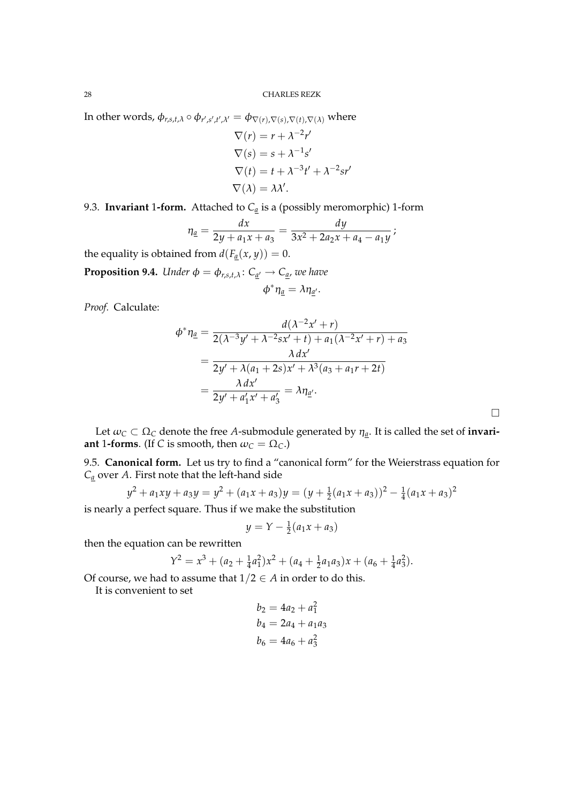In other words,  $\phi_{r,s,t,\lambda} \circ \phi_{r',s',t',\lambda'} = \phi_{\nabla(r),\nabla(s),\nabla(t),\nabla(\lambda)}$  where

$$
\nabla(r) = r + \lambda^{-2}r'
$$
  
\n
$$
\nabla(s) = s + \lambda^{-1}s'
$$
  
\n
$$
\nabla(t) = t + \lambda^{-3}t' + \lambda^{-2}sr'
$$
  
\n
$$
\nabla(\lambda) = \lambda\lambda'.
$$

9.3. **Invariant** 1-form. Attached to  $C_{\underline{a}}$  is a (possibly meromorphic) 1-form

$$
\eta_{\underline{a}} = \frac{dx}{2y + a_1x + a_3} = \frac{dy}{3x^2 + 2a_2x + a_4 - a_1y};
$$

the equality is obtained from  $d(F_a(x, y)) = 0$ .

**Proposition 9.4.** *Under*  $\phi = \phi_{r,s,t,\lambda}$ :  $C_{\underline{a}'} \rightarrow C_{\underline{a}}$ , we have

$$
\phi^*\eta_{\underline{a}}=\lambda\eta_{\underline{a}'}.
$$

*Proof.* Calculate:

$$
\phi^* \eta_{\underline{a}} = \frac{d(\lambda^{-2}x' + r)}{2(\lambda^{-3}y' + \lambda^{-2}sx' + t) + a_1(\lambda^{-2}x' + r) + a_3}
$$
  
= 
$$
\frac{\lambda dx'}{2y' + \lambda(a_1 + 2s)x' + \lambda^3(a_3 + a_1r + 2t)}
$$
  
= 
$$
\frac{\lambda dx'}{2y' + a'_1x' + a'_3} = \lambda \eta_{\underline{a'}}.
$$

Let  $\omega_C \subset \Omega_C$  denote the free A-submodule generated by  $\eta_a$ . It is called the set of **invariant** 1**-forms**. (If *C* is smooth, then  $\omega_C = \Omega_C$ .)

 $\Box$ 

9.5. **Canonical form.** Let us try to find a "canonical form" for the Weierstrass equation for  $C_a$  over *A*. First note that the left-hand side

$$
y^{2} + a_{1}xy + a_{3}y = y^{2} + (a_{1}x + a_{3})y = (y + \frac{1}{2}(a_{1}x + a_{3}))^{2} - \frac{1}{4}(a_{1}x + a_{3})^{2}
$$

is nearly a perfect square. Thus if we make the substitution

$$
y = Y - \frac{1}{2}(a_1x + a_3)
$$

then the equation can be rewritten

$$
Y^{2} = x^{3} + (a_{2} + \frac{1}{4}a_{1}^{2})x^{2} + (a_{4} + \frac{1}{2}a_{1}a_{3})x + (a_{6} + \frac{1}{4}a_{3}^{2}).
$$

Of course, we had to assume that  $1/2 \in A$  in order to do this.

It is convenient to set

$$
b_2 = 4a_2 + a_1^2
$$
  
\n
$$
b_4 = 2a_4 + a_1a_3
$$
  
\n
$$
b_6 = 4a_6 + a_3^2
$$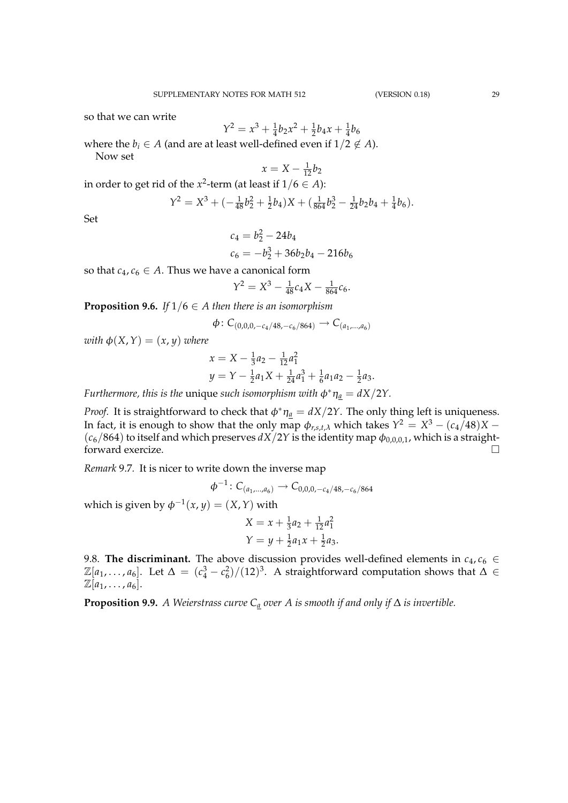so that we can write

$$
Y^2 = x^3 + \frac{1}{4}b_2x^2 + \frac{1}{2}b_4x + \frac{1}{4}b_6
$$

where the  $b_i \in A$  (and are at least well-defined even if  $1/2 \notin A$ ). Now set

$$
x = X - \frac{1}{12}b_2
$$

in order to get rid of the  $x^2$ -term (at least if  $1/6 \in A$ ):

$$
Y^2 = X^3 + \left(-\frac{1}{48}b_2^2 + \frac{1}{2}b_4\right)X + \left(\frac{1}{864}b_2^3 - \frac{1}{24}b_2b_4 + \frac{1}{4}b_6\right).
$$

Set

$$
c_4 = b_2^2 - 24b_4
$$
  

$$
c_6 = -b_2^3 + 36b_2b_4 - 216b_6
$$

so that  $c_4$ ,  $c_6 \in A$ . Thus we have a canonical form

$$
Y^2 = X^3 - \frac{1}{48}c_4X - \frac{1}{864}c_6.
$$

**Proposition 9.6.** *If*  $1/6 \in A$  *then there is an isomorphism* 

$$
\phi\colon C_{(0,0,0,-c_4/48,-c_6/864)}\to C_{(a_1,...,a_6)}
$$

*with*  $\phi(X, Y) = (x, y)$  *where* 

$$
x = X - \frac{1}{3}a_2 - \frac{1}{12}a_1^2
$$
  

$$
y = Y - \frac{1}{2}a_1X + \frac{1}{24}a_1^3 + \frac{1}{6}a_1a_2 - \frac{1}{2}a_3.
$$

*Furthermore, this is the unique such isomorphism with*  $\phi^* \eta_a = dX/2Y$ .

*Proof.* It is straightforward to check that  $\phi^* \eta_a = dX/2Y$ . The only thing left is uniqueness. In fact, it is enough to show that the only map  $\phi_{r,s,t,\lambda}$  which takes  $Y^2 = X^3 - (c_4/48)X (c_6/864)$  to itself and which preserves  $dX/2Y$  is the identity map  $\phi_{0,0,0,1}$ , which is a straightforward exercize.  $\Box$ 

*Remark* 9.7*.* It is nicer to write down the inverse map

$$
\phi^{-1}\colon C_{(a_1,\ldots,a_6)}\to C_{0,0,0,-c_4/48,-c_6/864}
$$

which is given by  $\phi^{-1}(x, y) = (X, Y)$  with

$$
X = x + \frac{1}{3}a_2 + \frac{1}{12}a_1^2
$$
  

$$
Y = y + \frac{1}{2}a_1x + \frac{1}{2}a_3.
$$

9.8. **The discriminant.** The above discussion provides well-defined elements in  $c_4$ ,  $c_6 \in$  $\mathbb{Z}[a_1,\ldots,a_6]$ . Let  $\Delta = (c_4^3 - c_6^2)/(12)^3$ . A straightforward computation shows that  $\Delta \in$  $\mathbb{Z}[a_1, \ldots, a_6].$ 

**Proposition 9.9.** *A Weierstrass curve C<sup>a</sup> over A is smooth if and only if* ∆ *is invertible.*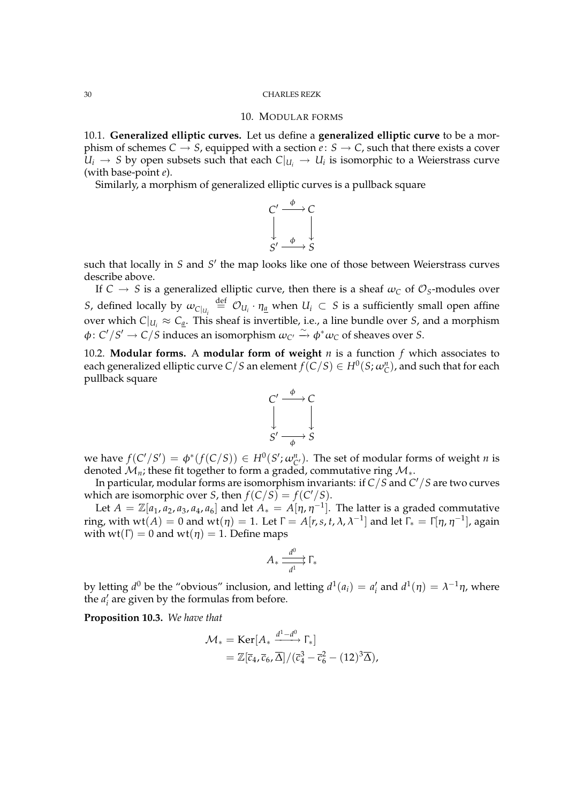### 10. MODULAR FORMS

10.1. **Generalized elliptic curves.** Let us define a **generalized elliptic curve** to be a morphism of schemes  $C \rightarrow S$ , equipped with a section  $e: S \rightarrow C$ , such that there exists a cover  $U_i \rightarrow S$  by open subsets such that each  $C|_{U_i} \rightarrow U_i$  is isomorphic to a Weierstrass curve (with base-point *e*).

Similarly, a morphism of generalized elliptic curves is a pullback square



such that locally in *S* and *S'* the map looks like one of those between Weierstrass curves describe above.

If  $C \rightarrow S$  is a generalized elliptic curve, then there is a sheaf  $\omega_C$  of  $\mathcal{O}_S$ -modules over *S*, defined locally by  $\omega_{C|_{U_i}} \stackrel{\text{def}}{=} O_{U_i} \cdot \eta_{\underline{a}}$  when  $U_i \subset S$  is a sufficiently small open affine over which  $C|_{U_i} \approx C_{\underline{a}}$ . This sheaf is invertible, i.e., a line bundle over *S*, and a morphism  $\phi: C'/S' \to C/S$  induces an isomorphism  $\omega_{C'} \xrightarrow{\sim} \phi^* \omega_C$  of sheaves over *S*.

10.2. **Modular forms.** A **modular form of weight** *n* is a function *f* which associates to each generalized elliptic curve  $C/S$  an element  $f(C/S) \in H^0(S; \omega_C^n)$ , and such that for each pullback square



we have  $f(C'/S') = \phi^*(f(C/S)) \in H^0(S'; \omega_{C'}^n)$ . The set of modular forms of weight *n* is denoted  $\mathcal{M}_n$ ; these fit together to form a graded, commutative ring  $\mathcal{M}_*$ .

In particular, modular forms are isomorphism invariants: if *C*/*S* and *C* <sup>0</sup>/*S* are two curves which are isomorphic over *S*, then  $f(C/S) = f(C'/S)$ .

Let  $A = \mathbb{Z}[a_1, a_2, a_3, a_4, a_6]$  and let  $A_* = A[\eta, \eta^{-1}]$ . The latter is a graded commutative ring, with  $wt(A) = 0$  and  $wt(\eta) = 1$ . Let  $\Gamma = A[r, s, t, \lambda, \lambda^{-1}]$  and let  $\Gamma_* = \Gamma[\eta, \eta^{-1}]$ , again with  $wt(\Gamma) = 0$  and  $wt(\eta) = 1$ . Define maps

$$
A_* \xrightarrow[d^1]{d^0} \Gamma_*
$$

by letting  $d^0$  be the "obvious" inclusion, and letting  $d^1(a_i) = a'_i$  and  $d^1(\eta) = \lambda^{-1}\eta$ , where the  $a_i'$  are given by the formulas from before.

**Proposition 10.3.** *We have that*

$$
\mathcal{M}_{*} = \text{Ker}[A_{*} \xrightarrow{d^{1}-d^{0}} \Gamma_{*}]
$$
  
=  $\mathbb{Z}[\overline{c}_{4}, \overline{c}_{6}, \overline{\Delta}]/(\overline{c}_{4}^{3} - \overline{c}_{6}^{2} - (12)^{3} \overline{\Delta}),$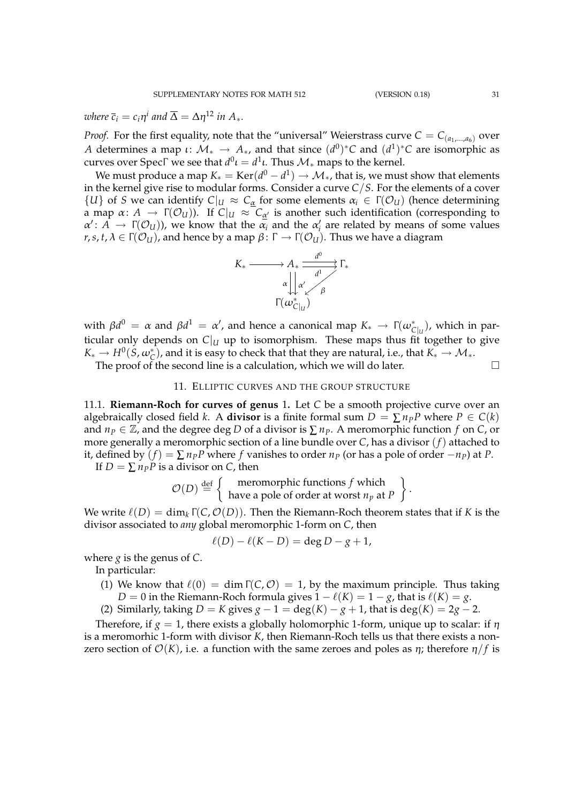where 
$$
\bar{c}_i = c_i \eta^i
$$
 and  $\bar{\Delta} = \Delta \eta^{12}$  in  $A_*$ .

*Proof.* For the first equality, note that the "universal" Weierstrass curve  $C = C_{(a_1,...,a_6)}$  over *A* determines a map  $\iota \colon \mathcal{M}_* \to A_*$ , and that since  $(d^0)^*C$  and  $(d^1)^*C$  are isomorphic as curves over SpecΓ we see that  $d^0\iota = d^1\iota.$  Thus  $\mathcal{M}_*$  maps to the kernel.

We must produce a map  $K_{*} = \text{Ker}(d^{0} - d^{1}) \rightarrow \mathcal{M}_{*}$ , that is, we must show that elements in the kernel give rise to modular forms. Consider a curve *C*/*S*. For the elements of a cover {*U*} of *S* we can identify  $C|_U \approx C_{\alpha}$  for some elements  $\alpha_i \in \Gamma(\mathcal{O}_U)$  (hence determining a map  $\alpha: A \to \Gamma(\mathcal{O}_U)$ ). If  $C|_U \approx C_{\alpha'}$  is another such identification (corresponding to  $\alpha' : A \to \Gamma(\mathcal{O}_U)$ , we know that the  $\alpha_i$  and the  $\alpha'_i$  are related by means of some values  $r, s, t, \lambda \in \Gamma(\mathcal{O}_U)$ , and hence by a map  $\beta \colon \Gamma \to \Gamma(\mathcal{O}_U)$ . Thus we have a diagram



 $\alpha$  with  $\beta d^0 = \alpha$  and  $\beta d^1 = \alpha'$ , and hence a canonical map  $K_* \to \Gamma(\omega_{C|_U}^*)$ , which in particular only depends on  $C|_U$  up to isomorphism. These maps thus fit together to give  $K_*\to H^0(S,\omega_{\mathcal{C}}^*)$ , and it is easy to check that that they are natural, i.e., that  $K_*\to \mathcal{M}_*$ . The proof of the second line is a calculation, which we will do later.  $\Box$ 

# 11. ELLIPTIC CURVES AND THE GROUP STRUCTURE

11.1. **Riemann-Roch for curves of genus** 1**.** Let *C* be a smooth projective curve over an algebraically closed field *k*. A **divisor** is a finite formal sum  $D = \sum n_P P$  where  $P \in C(k)$ and  $n_P \in \mathbb{Z}$ , and the degree deg *D* of a divisor is  $\sum n_P$ . A meromorphic function *f* on *C*, or more generally a meromorphic section of a line bundle over *C*, has a divisor (*f*) attached to it, defined by  $(f) = \sum n_p P$  where *f* vanishes to order  $n_p$  (or has a pole of order −*n*<sub>*P*</sub>) at *P*.

If  $D = \sum n_P P$  is a divisor on *C*, then

$$
\mathcal{O}(D) \stackrel{\text{def}}{=} \left\{ \begin{array}{c} \text{meromorphic functions } f \text{ which} \\ \text{have a pole of order at worst } n_p \text{ at } P \end{array} \right\}.
$$

We write  $\ell(D) = \dim_k \Gamma(C, \mathcal{O}(D))$ . Then the Riemann-Roch theorem states that if K is the divisor associated to *any* global meromorphic 1-form on *C*, then

$$
\ell(D) - \ell(K - D) = \deg D - g + 1,
$$

where *g* is the genus of *C*.

In particular:

- (1) We know that  $\ell(0) = \dim \Gamma(C, \mathcal{O}) = 1$ , by the maximum principle. Thus taking *D* = 0 in the Riemann-Roch formula gives  $1 - \ell(K) = 1 - g$ , that is  $\ell(K) = g$ .
- (2) Similarly, taking  $D = K$  gives  $g 1 = \deg(K) g + 1$ , that is  $\deg(K) = 2g 2$ .

Therefore, if  $g = 1$ , there exists a globally holomorphic 1-form, unique up to scalar: if  $\eta$ is a meromorhic 1-form with divisor *K*, then Riemann-Roch tells us that there exists a nonzero section of  $\mathcal{O}(K)$ , i.e. a function with the same zeroes and poles as  $\eta$ ; therefore  $\eta/f$  is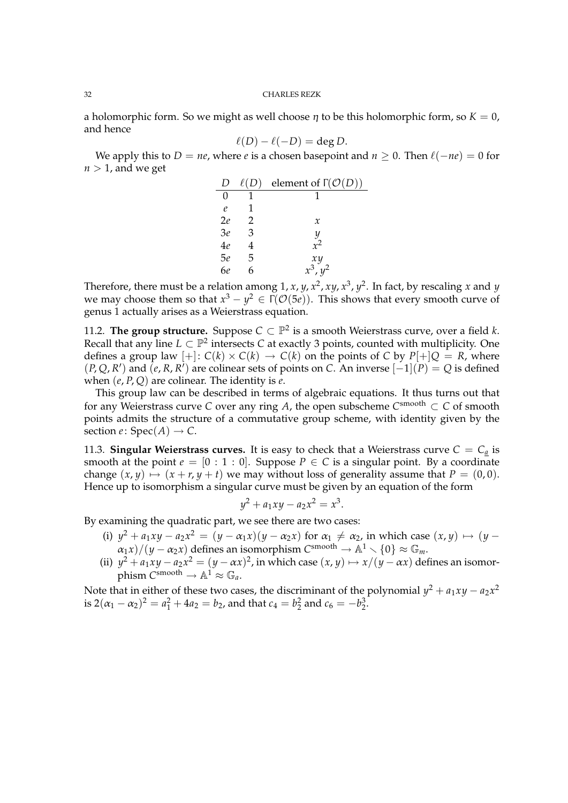a holomorphic form. So we might as well choose  $\eta$  to be this holomorphic form, so  $K = 0$ , and hence

$$
\ell(D) - \ell(-D) = \deg D.
$$

We apply this to *D* = *ne*, where *e* is a chosen basepoint and  $n \ge 0$ . Then  $\ell(-n\epsilon) = 0$  for  $n > 1$ , and we get

|              |   | element of $\Gamma(\mathcal{O}(D))$ |
|--------------|---|-------------------------------------|
| $\mathbf{0}$ |   |                                     |
| $\ell$       |   |                                     |
| 2e           | 2 | $\mathcal{X}$                       |
| 3e           | З | Y                                   |
| 4e           |   | $r^2$                               |
| 5e           | 5 | xy                                  |
| 6e           |   | $x^3$ .                             |

Therefore, there must be a relation among  $1, x, y, x^2, xy, x^3, y^2$ . In fact, by rescaling  $x$  and  $y$ we may choose them so that  $x^3 - y^2 \in \Gamma({\cal O}(5e)).$  This shows that every smooth curve of genus 1 actually arises as a Weierstrass equation.

11.2. The group structure. Suppose  $C \subset \mathbb{P}^2$  is a smooth Weierstrass curve, over a field *k*. Recall that any line  $L \subset \mathbb{P}^2$  intersects *C* at exactly 3 points, counted with multiplicity. One defines a group law  $[+]$ :  $C(k) \times C(k) \rightarrow C(k)$  on the points of C by  $P[+]Q = R$ , where  $(P, Q, R')$  and  $(\overline{e}, R, R')$  are colinear sets of points on *C*. An inverse  $[-1](P) = Q$  is defined when (*e*, *P*, *Q*) are colinear. The identity is *e*.

This group law can be described in terms of algebraic equations. It thus turns out that for any Weierstrass curve *C* over any ring *A*, the open subscheme  $C^{\text{smooth}} \subset C$  of smooth points admits the structure of a commutative group scheme, with identity given by the section *e*:  $Spec(A) \rightarrow C$ .

11.3. **Singular Weierstrass curves.** It is easy to check that a Weierstrass curve  $C = C_a$  is smooth at the point  $e = [0 : 1 : 0]$ . Suppose  $P \in C$  is a singular point. By a coordinate change  $(x, y) \mapsto (x + r, y + t)$  we may without loss of generality assume that  $P = (0, 0)$ . Hence up to isomorphism a singular curve must be given by an equation of the form

$$
y^2 + a_1xy - a_2x^2 = x^3.
$$

By examining the quadratic part, we see there are two cases:

- (i)  $y^2 + a_1xy a_2x^2 = (y a_1x)(y a_2x)$  for  $a_1 \neq a_2$ , in which case  $(x, y) \mapsto (y a_1x)$  $\alpha_1 x$ / $(y - \alpha_2 x)$  defines an isomorphism  $C^{smooth} \to \mathbb{A}^1 \setminus \{0\} \approx \mathbb{G}_m$ .
- (ii)  $y^2 + a_1xy a_2x^2 = (y \alpha x)^2$ , in which case  $(x, y) \mapsto x/(y \alpha x)$  defines an isomorphism  $C^{\text{smooth}} \to \mathbb{A}^1 \approx \mathbb{G}_a$ .

Note that in either of these two cases, the discriminant of the polynomial  $y^2 + a_1xy - a_2x^2$ is  $2(\alpha_1 - \alpha_2)^2 = a_1^2 + 4a_2 = b_2$ , and that  $c_4 = b_2^2$  and  $c_6 = -b_2^3$ .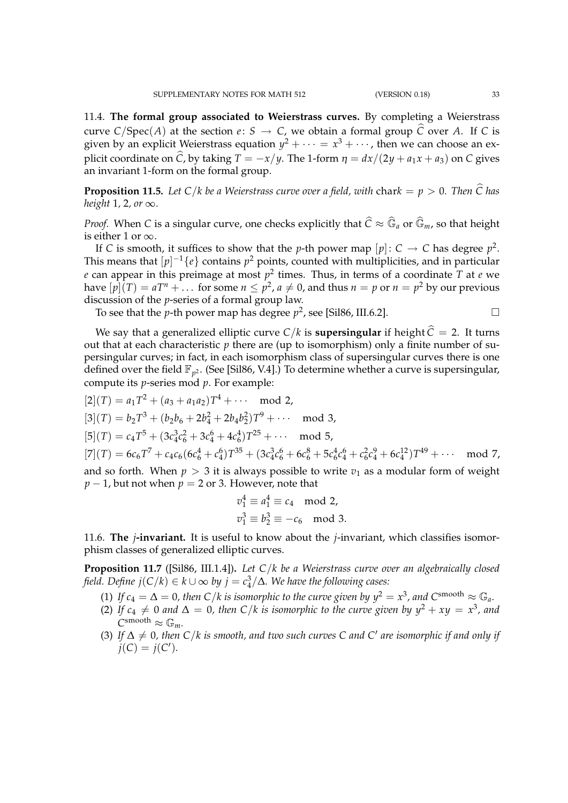11.4. **The formal group associated to Weierstrass curves.** By completing a Weierstrass curve  $C/Spec(A)$  at the section  $e: S \to C$ , we obtain a formal group  $\hat{C}$  over *A*. If *C* is given by an explicit Weierstrass equation  $y^2 + \cdots = x^3 + \cdots$  , then we can choose an explicit coordinate on  $\hat{C}$ , by taking  $T = -x/y$ . The 1-form  $\eta = dx/(2y + a_1x + a_3)$  on C gives an invariant 1-form on the formal group.

**Proposition 11.5.** Let  $C/k$  be a Weierstrass curve over a field, with chark  $= p > 0$ . Then  $\hat{C}$  has *height* <sup>1</sup>*,* <sup>2</sup>*, or* <sup>∞</sup>*.*

*Proof.* When *C* is a singular curve, one checks explicitly that  $\widehat{C} \approx \widehat{\mathbb{G}}_a$  or  $\widehat{\mathbb{G}}_m$ , so that height is either 1 or  $\infty$ .

If *C* is smooth, it suffices to show that the *p*-th power map  $[p]: C \rightarrow C$  has degree  $p^2$ . This means that  $[p]^{-1}\{e\}$  contains  $p^2$  points, counted with multiplicities, and in particular *e* can appear in this preimage at most *p* 2 times. Thus, in terms of a coordinate *T* at *e* we have  $[p](T) = aT^n + \dots$  for some  $n \leq p^2$ ,  $a \neq 0$ , and thus  $n = p$  or  $n = p^2$  by our previous discussion of the *p*-series of a formal group law.

To see that the *p*-th power map has degree  $p^2$ , see [Sil86, III.6.2].

$$
\Box
$$

We say that a generalized elliptic curve  $C/k$  is **supersingular** if height  $\hat{C} = 2$ . It turns out that at each characteristic  $p$  there are (up to isomorphism) only a finite number of supersingular curves; in fact, in each isomorphism class of supersingular curves there is one defined over the field  $\mathbb{F}_{p^2}$ . (See [Sil86, V.4].) To determine whether a curve is supersingular, compute its *p*-series mod *p*. For example:

$$
[2](T) = a_1 T^2 + (a_3 + a_1 a_2) T^4 + \cdots \mod 2,
$$
  
\n
$$
[3](T) = b_2 T^3 + (b_2 b_6 + 2b_4^2 + 2b_4 b_2^2) T^9 + \cdots \mod 3,
$$
  
\n
$$
[5](T) = c_4 T^5 + (3c_4^3 c_6^2 + 3c_4^6 + 4c_6^4) T^{25} + \cdots \mod 5,
$$
  
\n
$$
[7](T) = 6c_6 T^7 + c_4 c_6 (6c_6^4 + c_4^6) T^{35} + (3c_4^3 c_6^6 + 6c_6^8 + 5c_6^4 c_4^6 + c_6^2 c_4^9 + 6c_4^{12}) T^{49} + \cdots \mod 7,
$$
  
\nand so forth. When  $p > 3$  it is always possible to write  $v_1$  as a modular form of weight  $p - 1$ , but not when  $p = 2$  or 3. However, note that

$$
v_1^4 \equiv a_1^4 \equiv c_4 \mod 2,
$$
  

$$
v_1^3 \equiv b_2^3 \equiv -c_6 \mod 3.
$$

11.6. **The** *j***-invariant.** It is useful to know about the *j*-invariant, which classifies isomorphism classes of generalized elliptic curves.

**Proposition 11.7** ([Sil86, III.1.4])**.** *Let C*/*k be a Weierstrass curve over an algebraically closed field. Define*  $j(C/k) \in k \cup ∞$  *by*  $j = c_4^3/\Delta$ *. We have the following cases:* 

- (1) If  $c_4 = \Delta = 0$ , then C/k is isomorphic to the curve given by  $y^2 = x^3$ , and  $C^{\text{smooth}} \approx \mathbb{G}_a$ .
- (2) If  $c_4 \neq 0$  and  $\Delta = 0$ , then C/k is isomorphic to the curve given by  $y^2 + xy = x^3$ , and  $\overline{C}$ <sup>smooth</sup>  $\approx \mathbb{G}_m$ .
- (3) If  $\Delta \neq 0$ , then C/k is smooth, and two such curves C and C' are isomorphic if and only if  $j(C) = j(C').$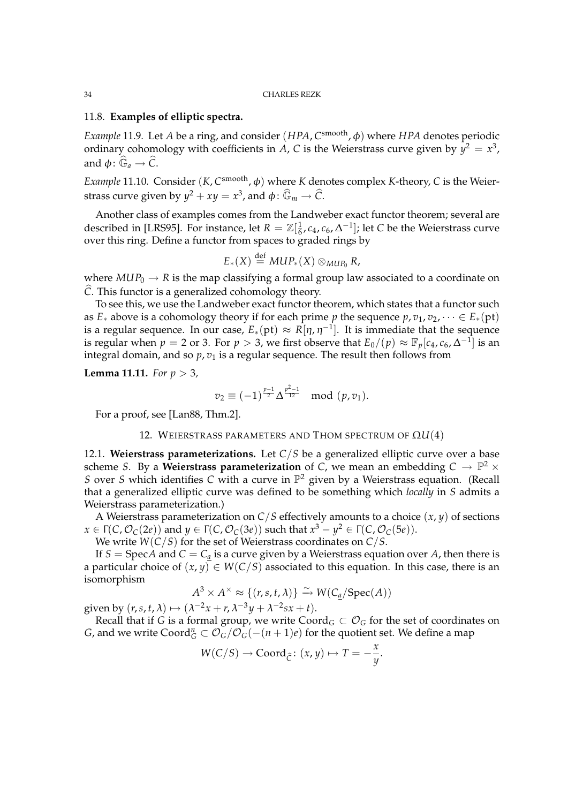### 11.8. **Examples of elliptic spectra.**

*Example* 11.9. Let *A* be a ring, and consider (*HPA*, *C*<sup>smooth</sup>, φ) where *HPA* denotes periodic ordinary cohomology with coefficients in *A*, *C* is the Weierstrass curve given by  $y^2 = x^3$ , and  $\phi \colon \widehat{\mathbb{G}}_a \to \widehat{\mathbb{C}}$ .

*Example* 11.10. Consider (*K, C*<sup>smooth</sup>, φ) where *K* denotes complex *K*-theory, *C* is the Weierstrass curve given by  $y^2 + xy = x^3$ , and  $\phi: \mathbb{\widehat{G}}_m \to \widehat{\mathcal{C}}$ .

Another class of examples comes from the Landweber exact functor theorem; several are described in [LRS95]. For instance, let  $R = \mathbb{Z}[\frac{1}{6}]$ 6 , *c*4, *c*6, ∆ −1 ]; let *C* be the Weierstrass curve over this ring. Define a functor from spaces to graded rings by

$$
E_*(X) \stackrel{\text{def}}{=} MUP_*(X) \otimes_{MUP_0} R,
$$

where  $MUP_0 \rightarrow R$  is the map classifying a formal group law associated to a coordinate on *C*. This functor is a generalized cohomology theory.

To see this, we use the Landweber exact functor theorem, which states that a functor such as  $E_*$  above is a cohomology theory if for each prime *p* the sequence  $p, v_1, v_2, \dots \in E_*(pt)$ is a regular sequence. In our case,  $E_*(\text{pt}) \approx R[\eta, \eta^{-1}]$ . It is immediate that the sequence is regular when  $p = 2$  or 3. For  $p > 3$ , we first observe that  $E_0/(p) \approx \mathbb{F}_p[c_4, c_6, \Delta^{-1}]$  is an integral domain, and so  $p, v_1$  is a regular sequence. The result then follows from

**Lemma 11.11.** *For p* > 3*,*

$$
v_2 \equiv (-1)^{\frac{p-1}{2}} \Delta^{\frac{p^2-1}{12}} \mod (p, v_1).
$$

For a proof, see [Lan88, Thm.2].

# 12. WEIERSTRASS PARAMETERS AND THOM SPECTRUM OF Ω*U*(4)

12.1. **Weierstrass parameterizations.** Let *C*/*S* be a generalized elliptic curve over a base scheme *S*. By a **Weierstrass parameterization** of C, we mean an embedding  $C \to \mathbb{P}^2 \times$ *S* over *S* which identifies *C* with a curve in  $\mathbb{P}^2$  given by a Weierstrass equation. (Recall that a generalized elliptic curve was defined to be something which *locally* in *S* admits a Weierstrass parameterization.)

A Weierstrass parameterization on *C*/*S* effectively amounts to a choice (*x*, *y*) of sections  $x ∈ Γ(C, O<sub>C</sub>(2e))$  and  $y ∈ Γ(C, O<sub>C</sub>(3e))$  such that  $x<sup>3</sup> − y<sup>2</sup> ∈ Γ(C, O<sub>C</sub>(5e)).$ 

We write *W*(*C*/*S*) for the set of Weierstrass coordinates on *C*/*S*.

If *S* = Spec*A* and *C* =  $C_a$  is a curve given by a Weierstrass equation over *A*, then there is a particular choice of  $(x, y) \in W(C/S)$  associated to this equation. In this case, there is an isomorphism

$$
A^3 \times A^{\times} \approx \{(r, s, t, \lambda)\} \xrightarrow{\sim} W(C_{\underline{a}}/\operatorname{Spec}(A))
$$

given by  $(r, s, t, \lambda) \mapsto (\lambda^{-2}x + r, \lambda^{-3}y + \lambda^{-2}sx + t).$ 

Recall that if *G* is a formal group, we write  $Coord_G \subset \mathcal{O}_G$  for the set of coordinates on *G*, and we write  $\text{Coord}_G^n \subset \mathcal{O}_G^{\sim}/\mathcal{O}_G^{\sim}(-(n+1)e)$  for the quotient set. We define a map

$$
W(C/S) \to \text{Coord}_{\widehat{C}} \colon (x, y) \mapsto T = -\frac{x}{y}.
$$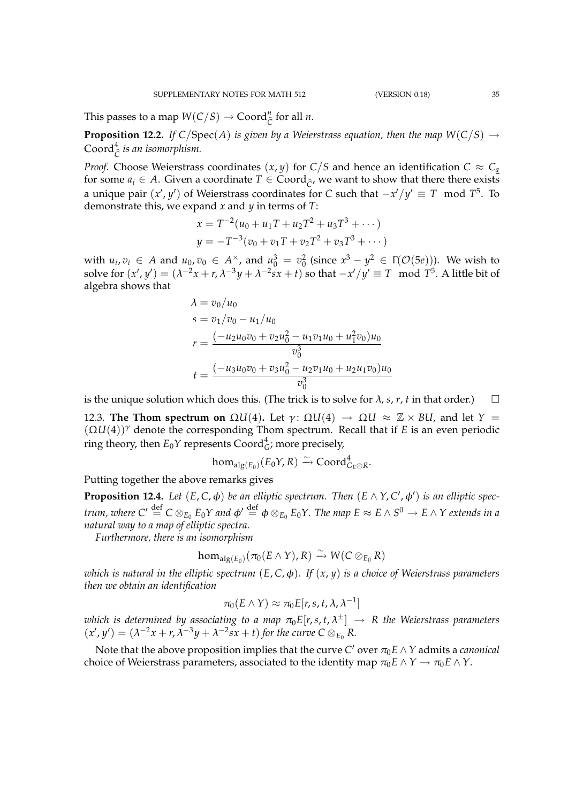This passes to a map  $W(C/S) \to \text{Coord}_{\widehat{C}}^n$  for all *n*.

**Proposition 12.2.** *If*  $C/Spec(A)$  *is given by a Weierstrass equation, then the map*  $W(C/S) \rightarrow$ Coord<sup>4</sup> *C*b *is an isomorphism.*

*Proof.* Choose Weierstrass coordinates  $(x, y)$  for  $C/S$  and hence an identification  $C \approx C_a$ for some  $a_i \in A$ . Given a coordinate  $T \in \text{Coord}_{\hat{C}}$ , we want to show that there there exists a unique pair  $(x', y')$  of Weierstrass coordinates for *C* such that  $-x'/y' \equiv T \mod T^5$ . To demonstrate this, we expand *x* and *y* in terms of *T*:

$$
x = T^{-2}(u_0 + u_1T + u_2T^2 + u_3T^3 + \cdots)
$$
  
\n
$$
y = -T^{-3}(v_0 + v_1T + v_2T^2 + v_3T^3 + \cdots)
$$

with  $u_i, v_i \in A$  and  $u_0, v_0 \in A^\times$ , and  $u_0^3 = v_0^2$  (since  $x^3 - y^2 \in \Gamma(\mathcal{O}(5e))$ ). We wish to solve for  $(x', y') = (\lambda^{-2}x + r, \lambda^{-3}y + \lambda^{-2}sx + t)$  so that  $-x'/y' \equiv T \mod T^5$ . A little bit of algebra shows that

$$
\lambda = v_0/u_0
$$
  
\n
$$
s = v_1/v_0 - u_1/u_0
$$
  
\n
$$
r = \frac{(-u_2 u_0 v_0 + v_2 u_0^2 - u_1 v_1 u_0 + u_1^2 v_0) u_0}{v_0^3}
$$
  
\n
$$
t = \frac{(-u_3 u_0 v_0 + v_3 u_0^2 - u_2 v_1 u_0 + u_2 u_1 v_0) u_0}{v_0^3}
$$

is the unique solution which does this. (The trick is to solve for  $\lambda$ , *s*, *r*, *t* in that order.)  $\square$ 

12.3. **The Thom spectrum on** Ω*U*(4). Let  $\gamma$ : Ω*U*(4) → Ω*U* ≈  $\mathbb{Z} \times$  *BU*, and let *Y* =  $(\Omega U(4))^{\gamma}$  denote the corresponding Thom spectrum. Recall that if *E* is an even periodic ring theory, then  $E_0 Y$  represents  $\text{Coord}_G^4$ ; more precisely,

$$
\text{hom}_{\text{alg}(E_0)}(E_0Y,R)\xrightarrow{\sim} \text{Coord}_{G_E\otimes R}^4.
$$

Putting together the above remarks gives

**Proposition 12.4.** Let  $(E, C, \phi)$  be an elliptic spectrum. Then  $(E \wedge Y, C', \phi')$  is an elliptic spec*trum, where*  $C'\stackrel{\rm def}{=}C\otimes_{E_0}E_0Y$  *and*  $\phi'\stackrel{\rm def}{=}\phi\otimes_{E_0}E_0Y.$  *The map*  $E\approx E\wedge S^0\to E\wedge Y$  *extends in a natural way to a map of elliptic spectra.*

*Furthermore, there is an isomorphism*

$$
\textup{hom}_{\textup{alg}(E_0)}(\pi_0(E \wedge Y), R) \xrightarrow{\sim} W(C \otimes_{E_0} R)
$$

*which is natural in the elliptic spectrum* (*E*, *C*,φ)*. If* (*x*, *y*) *is a choice of Weierstrass parameters then we obtain an identification*

$$
\pi_0(E \wedge Y) \approx \pi_0 E[r, s, t, \lambda, \lambda^{-1}]
$$

which is determined by associating to a map  $\pi_0E[r,s,t,\lambda^{\pm}] \,\to\, R$  the Weierstrass parameters  $(x', y') = (\lambda^{-2}x + r, \lambda^{-3}y + \lambda^{-2}sx + t)$  for the curve  $C \otimes_{E_0} R$ .

Note that the above proposition implies that the curve  $C'$  over  $\pi_0 E \wedge Y$  admits a *canonical* choice of Weierstrass parameters, associated to the identity map  $\pi_0 E \wedge Y \to \pi_0 E \wedge Y$ .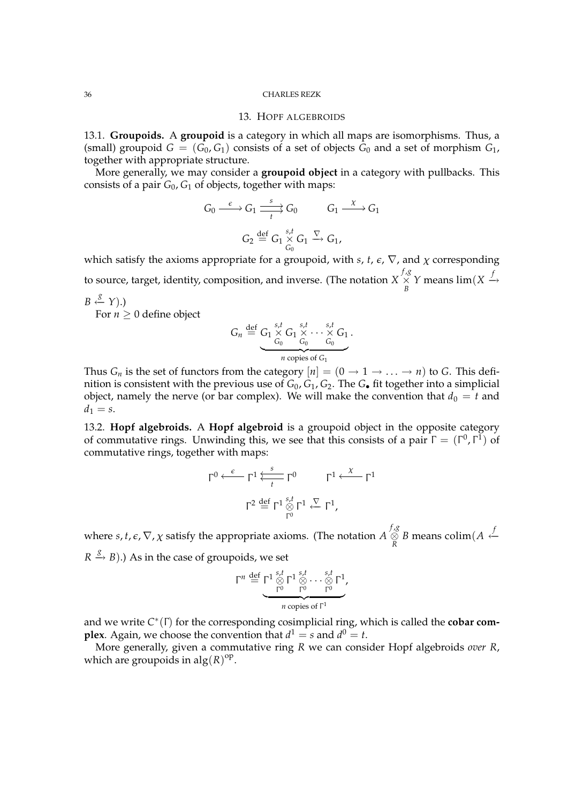### 13. HOPF ALGEBROIDS

13.1. **Groupoids.** A **groupoid** is a category in which all maps are isomorphisms. Thus, a (small) groupoid  $G = (G_0, G_1)$  consists of a set of objects  $G_0$  and a set of morphism  $G_1$ , together with appropriate structure.

More generally, we may consider a **groupoid object** in a category with pullbacks. This consists of a pair  $G_0$ ,  $G_1$  of objects, together with maps:

$$
G_0 \xrightarrow{\epsilon} G_1 \xrightarrow[t]{s} G_0 \qquad G_1 \xrightarrow{\chi} G_1
$$

$$
G_2 \xrightarrow{\text{def}} G_1 \underset{G_0}{\times} G_1 \xrightarrow{\nabla} G_1,
$$

which satisfy the axioms appropriate for a groupoid, with  $s$ ,  $t$ ,  $\epsilon$ ,  $\nabla$ , and  $\chi$  corresponding to source, target, identity, composition, and inverse. (The notation *X f* ,*g* ×  $\frac{X}{B}$  *Y* means lim(*X*  $\stackrel{f}{\rightarrow}$  $B \stackrel{g}{\leftarrow} Y).$ 

For  $n \geq 0$  define object

$$
G_n \stackrel{\text{def}}{=} \underbrace{G_1 \times G_1 \times \cdots \times G_0}_{G_0 \text{C}_0 \cdots G_0} \cdot G_1 \cdot \cdots \cdot G_1}_{n \text{ copies of } G_1}.
$$

Thus *G<sub>n</sub>* is the set of functors from the category  $[n] = (0 \rightarrow 1 \rightarrow \dots \rightarrow n)$  to *G*. This definition is consistent with the previous use of  $G_0$ ,  $G_1$ ,  $G_2$ . The  $G_{\bullet}$  fit together into a simplicial object, namely the nerve (or bar complex). We will make the convention that  $d_0 = t$  and  $d_1 = s$ .

13.2. **Hopf algebroids.** A **Hopf algebroid** is a groupoid object in the opposite category of commutative rings. Unwinding this, we see that this consists of a pair  $\Gamma = (\Gamma^0, \Gamma^1)$  of commutative rings, together with maps:

$$
\Gamma^{0} \xleftarrow{\epsilon} \Gamma^{1} \overleftarrow{\sum_{t}^{s}} \Gamma^{0} \qquad \Gamma^{1} \xleftarrow{\chi} \Gamma^{1}
$$

$$
\Gamma^{2} \stackrel{\text{def}}{=} \Gamma^{1} \underset{\Gamma^{0}}{\otimes} \Gamma^{1} \xleftarrow{\nabla} \Gamma^{1},
$$

where *s, t,*  $\epsilon$ *,*  $\nabla$ *,*  $\chi$  *satisfy the appropriate axioms. (The notation*  $A\stackrel{f,g}{\otimes}$ *R*<sup>B</sup> means colim(*A* ← *f*  $\frac{f}{R}$  $R \stackrel{g}{\rightarrow} B$ ).) As in the case of groupoids, we set

$$
\Gamma^n \stackrel{\text{def}}{=} \underbrace{\Gamma^1 \stackrel{s,t}{\underset{\Gamma^0}{\otimes}} \Gamma^1 \stackrel{s,t}{\underset{\Gamma^0}{\otimes}} \cdots \stackrel{s,t}{\underset{\Gamma^0}{\otimes}} \Gamma^1}_{n \text{ copies of } \Gamma^1},
$$

and we write *C* ∗ (Γ) for the corresponding cosimplicial ring, which is called the **cobar complex**. Again, we choose the convention that  $d^1 = s$  and  $d^0 = t$ .

More generally, given a commutative ring *R* we can consider Hopf algebroids *over R*, which are groupoids in  $\text{alg}(R)^{\text{op}}$ .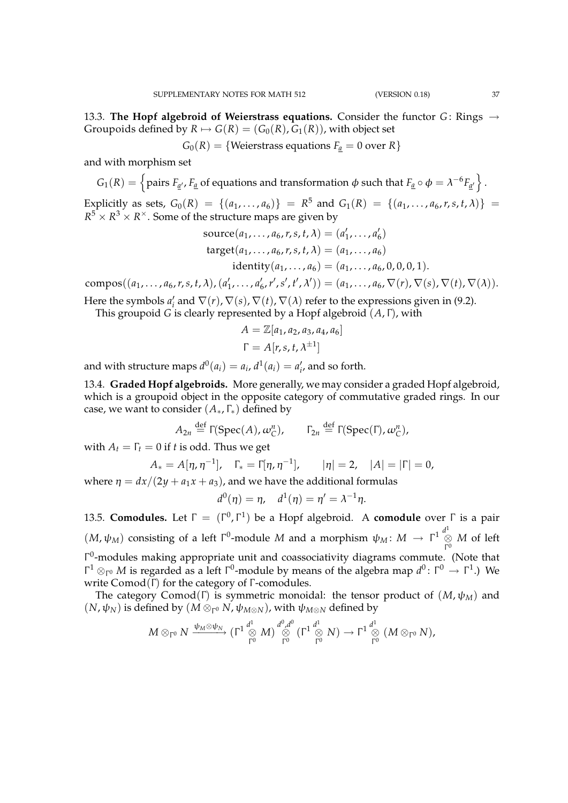13.3. **The Hopf algebroid of Weierstrass equations.** Consider the functor  $G$ : Rings  $\rightarrow$ Groupoids defined by  $R \mapsto G(R) = (G_0(R), G_1(R))$ , with object set

 $G_0(R) = \{$ Weierstrass equations  $F_a = 0$  over  $R\}$ 

and with morphism set

$$
G_1(R) = \left\{ \text{pairs } F_{\underline{a}'}, F_{\underline{a}} \text{ of equations and transformation } \phi \text{ such that } F_{\underline{a}} \circ \phi = \lambda^{-6} F_{\underline{a}'} \right\}.
$$

Explicitly as sets,  $G_0(R) = \{(a_1, \ldots, a_6)\} = R^5$  and  $G_1(R) = \{(a_1, \ldots, a_6, r, s, t, \lambda)\} =$  $R^5 \times R^3 \times R^{\times}$ . Some of the structure maps are given by

source(
$$
a_1, ..., a_6, r, s, t, \lambda
$$
) = ( $a'_1, ..., a'_6$ )  
target( $a_1, ..., a_6, r, s, t, \lambda$ ) = ( $a_1, ..., a_6$ )  
identity( $a_1, ..., a_6$ ) = ( $a_1, ..., a_6, 0, 0, 0, 1$ ).

compos( $(a_1, ..., a_6, r, s, t, \lambda)$ ,  $(a'_1, ..., a'_6, r', s', t', \lambda')) = (a_1, ..., a_6, \nabla(r), \nabla(s), \nabla(t), \nabla(\lambda)).$ Here the symbols  $a'_i$  and  $\nabla(r)$ ,  $\nabla(s)$ ,  $\nabla(t)$ ,  $\nabla(\lambda)$  refer to the expressions given in (9.2).

This groupoid *G* is clearly represented by a Hopf algebroid (*A*, Γ), with

$$
A = \mathbb{Z}[a_1, a_2, a_3, a_4, a_6]
$$

$$
\Gamma = A[r, s, t, \lambda^{\pm 1}]
$$

and with structure maps  $d^0(a_i) = a_i$ ,  $d^1(a_i) = a'_i$ , and so forth.

13.4. **Graded Hopf algebroids.** More generally, we may consider a graded Hopf algebroid, which is a groupoid object in the opposite category of commutative graded rings. In our case, we want to consider (*A*∗, Γ∗) defined by

$$
A_{2n} \stackrel{\text{def}}{=} \Gamma(\text{Spec}(A), \omega_{\mathbb{C}}^n), \qquad \Gamma_{2n} \stackrel{\text{def}}{=} \Gamma(\text{Spec}(\Gamma), \omega_{\mathbb{C}}^n),
$$

with  $A_t = \Gamma_t = 0$  if *t* is odd. Thus we get

$$
A_* = A[\eta, \eta^{-1}], \quad \Gamma_* = \Gamma[\eta, \eta^{-1}], \quad |\eta| = 2, \quad |A| = |\Gamma| = 0,
$$

where  $\eta = dx/(2y + a_1x + a_3)$ , and we have the additional formulas

$$
d^0(\eta) = \eta, \quad d^1(\eta) = \eta' = \lambda^{-1}\eta.
$$

13.5. **Comodules.** Let Γ = (Γ 0 , Γ 1 ) be a Hopf algebroid. A **comodule** over Γ is a pair  $(M, \psi_M)$  consisting of a left  $\Gamma^0$ -module *M* and a morphism  $\psi_M \colon M \to \Gamma^1 \overset{d^1}{\underset{\Gamma^0}{\otimes}} M$  of left Γ Γ 0 -modules making appropriate unit and coassociativity diagrams commute. (Note that  $Γ<sup>1</sup> ⊗<sub>Γ</sub>₀ *M* is regarded as a left Γ<sup>0</sup>-module by means of the algebra map  $d<sup>0</sup> : Γ<sup>0</sup> → Γ<sup>1</sup>.)$  We$ write  $Comod(\Gamma)$  for the category of  $\Gamma$ -comodules.

The category Comod(Γ) is symmetric monoidal: the tensor product of  $(M, \psi_M)$  and  $(N, \psi_N)$  is defined by  $(M \otimes_{\Gamma^0} N, \psi_{M \otimes N})$ , with  $\psi_{M \otimes N}$  defined by

$$
M \otimes_{\Gamma^0} N \xrightarrow{\psi_M \otimes \psi_N} (\Gamma^1 \overset{d^1}{\underset{\Gamma^0}{\otimes}} M) \overset{d^0, d^0}{\underset{\Gamma^0}{\otimes}} (\Gamma^1 \overset{d^1}{\underset{\Gamma^0}{\otimes}} N) \to \Gamma^1 \overset{d^1}{\underset{\Gamma^0}{\otimes}} (M \otimes_{\Gamma^0} N),
$$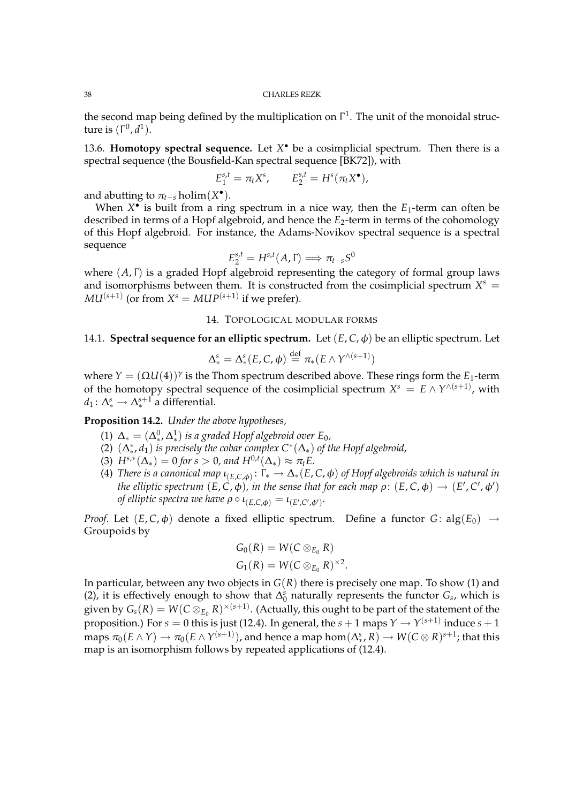the second map being defined by the multiplication on  $\Gamma^1$ . The unit of the monoidal structure is (Γ 0 , *d* 1 ).

13.6. **Homotopy spectral sequence.** Let *X* • be a cosimplicial spectrum. Then there is a spectral sequence (the Bousfield-Kan spectral sequence [BK72]), with

$$
E_1^{s,t} = \pi_t X^s, \qquad E_2^{s,t} = H^s(\pi_t X^{\bullet}),
$$

and abutting to  $\pi_{t-s}$  holim $(X^{\bullet})$ .

When  $X^{\bullet}$  is built from a ring spectrum in a nice way, then the  $E_1$ -term can often be described in terms of a Hopf algebroid, and hence the *E*2-term in terms of the cohomology of this Hopf algebroid. For instance, the Adams-Novikov spectral sequence is a spectral sequence

$$
E_2^{s,t} = H^{s,t}(A,\Gamma) \Longrightarrow \pi_{t-s}S^0
$$

where (*A*, Γ) is a graded Hopf algebroid representing the category of formal group laws and isomorphisms between them. It is constructed from the cosimplicial spectrum  $X^s$  =  $MU^{(s+1)}$  (or from  $X^s = MUP^{(s+1)}$  if we prefer).

# 14. TOPOLOGICAL MODULAR FORMS

# 14.1. **Spectral sequence for an elliptic spectrum.** Let  $(E, C, \phi)$  be an elliptic spectrum. Let

$$
\Delta^s_* = \Delta^s_*(E, C, \phi) \stackrel{\text{def}}{=} \pi_*(E \wedge Y^{\wedge (s+1)})
$$

where  $Y = (\Omega U(4))^{\gamma}$  is the Thom spectrum described above. These rings form the  $E_1$ -term of the homotopy spectral sequence of the cosimplicial spectrum  $X^s = E \wedge Y^{\wedge (s+1)}$ , with  $d_1: \Delta_*^s \rightarrow \Delta_*^{s+1}$  a differential.

**Proposition 14.2.** *Under the above hypotheses,*

- (1)  $\Delta$ <sub>\*</sub> =  $(\Delta$ <sup>0</sup><sub>\*</sub>,  $\Delta$ <sup>1</sup><sub>\*</sub>) is a graded Hopf algebroid over E<sub>0</sub>,
- (2)  $(\Delta^*, d_1)$  *is precisely the cobar complex*  $C^*(\Delta_*)$  *of the Hopf algebroid*,
- (3)  $H^{s,*}(\Delta_*) = 0$  for  $s > 0$ , and  $H^{0,t}(\Delta_*) \approx \pi_t E$ .
- (4) *There is a canonical map*  $\iota_{(E,C,\phi)}\colon \Gamma_* \to \Delta_*(E,C,\phi)$  *of Hopf algebroids which is natural in the elliptic spectrum*  $(E, \dot{C}, \phi)$ *, in the sense that for each map*  $\rho\colon (E, C, \phi) \to (E', C', \phi')$ *of elliptic spectra we have*  $\rho \circ \iota_{(E,C,\phi)} = \iota_{(E',C',\phi')}$ .

*Proof.* Let  $(E, C, \phi)$  denote a fixed elliptic spectrum. Define a functor  $G: alg(E_0) \rightarrow$ Groupoids by

$$
G_0(R) = W(C \otimes_{E_0} R)
$$
  

$$
G_1(R) = W(C \otimes_{E_0} R)^{\times 2}.
$$

In particular, between any two objects in  $G(R)$  there is precisely one map. To show (1) and (2), it is effectively enough to show that  $\Delta_0^s$  naturally represents the functor *G*<sub>*s*</sub>, which is given by  $\mathit{G}_{s}(R)=\mathit{W}(C\otimes_{E_{0}} R)^{\times (s+1)}.$  (Actually, this ought to be part of the statement of the proposition.) For  $s=0$  this is just (12.4). In general, the  $s+1$  maps  $Y\to Y^{(s+1)}$  induce  $s+1$  $\pi_0(E\wedge Y)\to \pi_0(E\wedge Y^{(s+1)})$ , and hence a map  $\hom(\Delta^s_* , R)\to W(C\otimes R)^{s+1}$ ; that this map is an isomorphism follows by repeated applications of (12.4).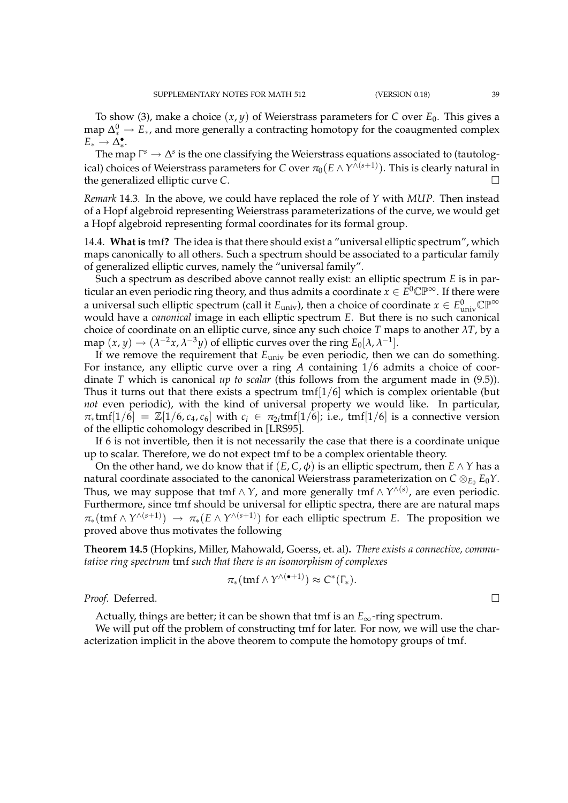To show (3), make a choice  $(x, y)$  of Weierstrass parameters for *C* over  $E_0$ . This gives a map  $\Delta^0_*$  →  $E_*$ , and more generally a contracting homotopy for the coaugmented complex  $E_* \to \Delta_*^{\bullet}$ .

The map  $\Gamma^s \to \Delta^s$  is the one classifying the Weierstrass equations associated to (tautological) choices of Weierstrass parameters for  $C$  over  $\pi_0(E\wedge Y^{\wedge (s+1)}).$  This is clearly natural in the generalized elliptic curve *C*.

*Remark* 14.3*.* In the above, we could have replaced the role of *Y* with *MUP*. Then instead of a Hopf algebroid representing Weierstrass parameterizations of the curve, we would get a Hopf algebroid representing formal coordinates for its formal group.

14.4. **What is** tmf**?** The idea is that there should exist a "universal elliptic spectrum", which maps canonically to all others. Such a spectrum should be associated to a particular family of generalized elliptic curves, namely the "universal family".

Such a spectrum as described above cannot really exist: an elliptic spectrum *E* is in particular an even periodic ring theory, and thus admits a coordinate  $x \in \mathring{E^0} \mathbb{CP}^\infty$ . If there were a universal such elliptic spectrum (call it  $E_{\text{univ}}$ ), then a choice of coordinate  $x \in E_{\text{univ}}^0 \mathbb{CP}^\infty$ would have a *canonical* image in each elliptic spectrum *E*. But there is no such canonical choice of coordinate on an elliptic curve, since any such choice *T* maps to another  $\lambda T$ , by a map  $(x, y) \rightarrow (\lambda^{-2}x, \lambda^{-3}y)$  of elliptic curves over the ring  $E_0[\lambda, \lambda^{-1}]$ .

If we remove the requirement that *E*univ be even periodic, then we can do something. For instance, any elliptic curve over a ring *A* containing 1/6 admits a choice of coordinate *T* which is canonical *up to scalar* (this follows from the argument made in (9.5)). Thus it turns out that there exists a spectrum  $tmf[1/6]$  which is complex orientable (but *not* even periodic), with the kind of universal property we would like. In particular,  $\pi_* \text{tmf}[1/6] = \mathbb{Z}[1/6, c_4, c_6]$  with  $c_i \in \pi_{2i} \text{tmf}[1/6]$ ; i.e.,  $\text{tmf}[1/6]$  is a connective version of the elliptic cohomology described in [LRS95].

If 6 is not invertible, then it is not necessarily the case that there is a coordinate unique up to scalar. Therefore, we do not expect tmf to be a complex orientable theory.

On the other hand, we do know that if  $(E, C, \phi)$  is an elliptic spectrum, then  $E \wedge Y$  has a natural coordinate associated to the canonical Weierstrass parameterization on  $C \otimes_{E_0} E_0 Y$ . Thus, we may suppose that tmf  $\wedge$  *Y*, and more generally tmf  $\wedge$   $Y^{\wedge (s)}$ , are even periodic. Furthermore, since tmf should be universal for elliptic spectra, there are are natural maps  $\pi_*(\text{tmf} \wedge Y^{\wedge (s+1)}) \rightarrow \pi_*(E \wedge Y^{\wedge (s+1)})$  for each elliptic spectrum *E*. The proposition we proved above thus motivates the following

**Theorem 14.5** (Hopkins, Miller, Mahowald, Goerss, et. al)**.** *There exists a connective, commutative ring spectrum* tmf *such that there is an isomorphism of complexes*

$$
\pi_*(\operatorname{tmf}\wedge\Upsilon^{\wedge(\bullet+1)})\approx C^*(\Gamma_*).
$$

*Proof.* Deferred. □

Actually, things are better; it can be shown that tmf is an  $E_{\infty}$ -ring spectrum.

We will put off the problem of constructing tmf for later. For now, we will use the characterization implicit in the above theorem to compute the homotopy groups of tmf.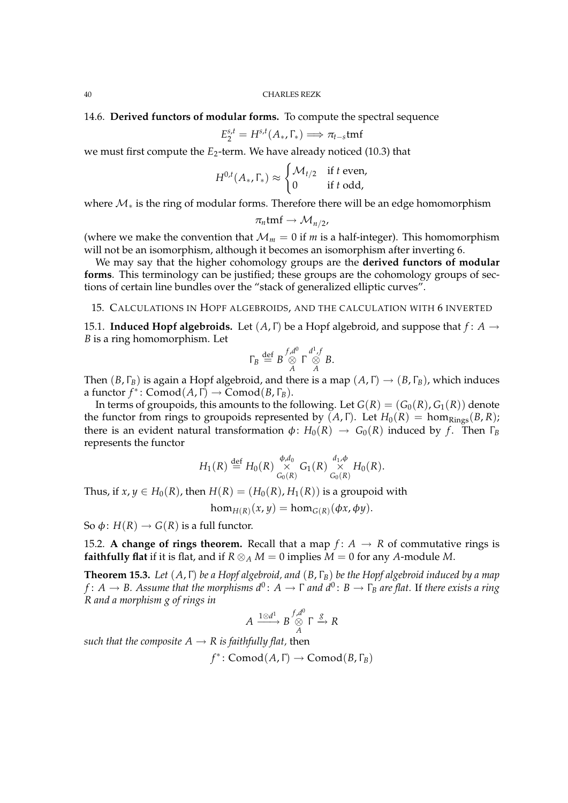14.6. **Derived functors of modular forms.** To compute the spectral sequence

$$
E_2^{s,t} = H^{s,t}(A_*, \Gamma_*) \Longrightarrow \pi_{t-s} \mathsf{tmf}
$$

we must first compute the *E*<sub>2</sub>-term. We have already noticed (10.3) that

$$
H^{0,t}(A_*,\Gamma_*) \approx \begin{cases} \mathcal{M}_{t/2} & \text{if } t \text{ even,} \\ 0 & \text{if } t \text{ odd,} \end{cases}
$$

where  $M_*$  is the ring of modular forms. Therefore there will be an edge homomorphism

$$
\pi_n \text{tmf} \to \mathcal{M}_{n/2},
$$

(where we make the convention that  $\mathcal{M}_m = 0$  if *m* is a half-integer). This homomorphism will not be an isomorphism, although it becomes an isomorphism after inverting 6.

We may say that the higher cohomology groups are the **derived functors of modular forms**. This terminology can be justified; these groups are the cohomology groups of sections of certain line bundles over the "stack of generalized elliptic curves".

15. CALCULATIONS IN HOPF ALGEBROIDS, AND THE CALCULATION WITH 6 INVERTED

15.1. **Induced Hopf algebroids.** Let (*A*, Γ) be a Hopf algebroid, and suppose that *f* : *A* → *B* is a ring homomorphism. Let

$$
\Gamma_B \stackrel{\text{def}}{=} B \stackrel{f,d^0}{\underset{A}{\otimes}} \Gamma \stackrel{d^1,f}{\underset{A}{\otimes}} B.
$$

Then  $(B, \Gamma_B)$  is again a Hopf algebroid, and there is a map  $(A, \Gamma) \rightarrow (B, \Gamma_B)$ , which induces a functor  $f^*$ : Comod $(A, \Gamma)$   $\rightarrow$  Comod $(B, \Gamma_B)$ .

In terms of groupoids, this amounts to the following. Let  $G(R) = (G_0(R), G_1(R))$  denote the functor from rings to groupoids represented by  $(A, \Gamma)$ . Let  $H_0(R) = \text{hom}_{\text{Rings}}(B, R)$ ; there is an evident natural transformation  $\phi: H_0(R) \to G_0(R)$  induced by *f*. Then  $\Gamma_B$ represents the functor

$$
H_1(R) \stackrel{\text{def}}{=} H_0(R) \underset{G_0(R)}{\times} G_1(R) \underset{G_0(R)}{\times} H_0(R).
$$

Thus, if  $x, y \in H_0(R)$ , then  $H(R) = (H_0(R), H_1(R))$  is a groupoid with

 $hom_{H(R)}(x, y) = hom_{G(R)}(\phi x, \phi y).$ 

So  $\phi$ :  $H(R) \rightarrow G(R)$  is a full functor.

15.2. **A change of rings theorem.** Recall that a map  $f: A \rightarrow R$  of commutative rings is **faithfully flat** if it is flat, and if  $R \otimes_A M = 0$  implies  $M = 0$  for any *A*-module *M*.

**Theorem 15.3.** *Let* (*A*, Γ) *be a Hopf algebroid, and* (*B*, Γ*B*) *be the Hopf algebroid induced by a map*  $f\colon A\to B.$  Assume that the morphisms  $d^0\colon A\to\Gamma$  and  $d^0\colon B\to\Gamma_B$  are flat. If there exists a ring *R and a morphism g of rings in*

$$
A \xrightarrow{1 \otimes d^1} B \overset{f,d^0}{\underset{A}{\otimes}} \Gamma \overset{g}{\longrightarrow} R
$$

*such that the composite*  $A \rightarrow R$  *is faithfully flat, then* 

 $f^*$ : Comod(*A*, Γ) → Comod(*B*, Γ<sub>*B*</sub>)</sub>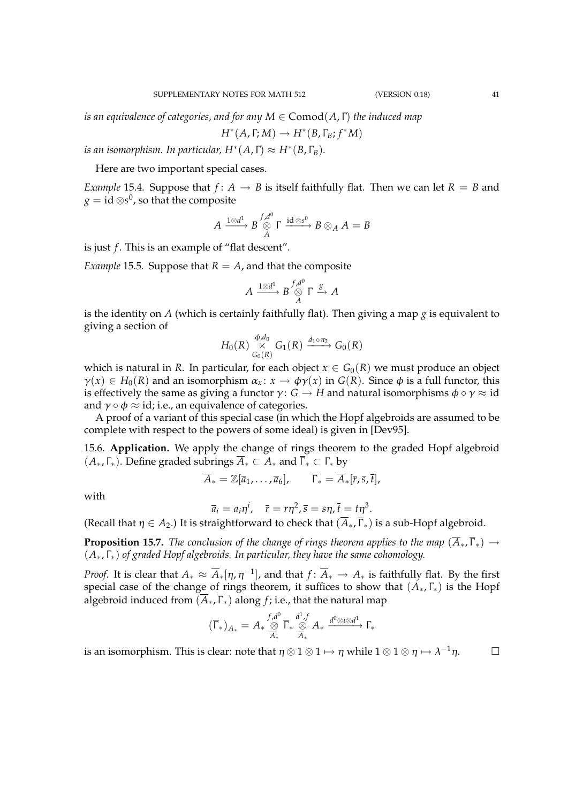*is an equivalence of categories, and for any M* ∈ Comod(*A*, Γ) *the induced map*

$$
H^*(A,\Gamma;M)\to H^*(B,\Gamma_B;f^*M)
$$

*is an isomorphism. In particular, H*\* $(A, \Gamma) \approx H^*(B, \Gamma_B)$ .

Here are two important special cases.

*Example* 15.4*.* Suppose that  $f: A \rightarrow B$  is itself faithfully flat. Then we can let  $R = B$  and  $g = \mathrm{id} \otimes \! s^0$ , so that the composite

$$
A \xrightarrow{1 \otimes d^1} B \overset{f,d^0}{\underset{A}{\otimes}} \Gamma \xrightarrow{\mathrm{id} \otimes s^0} B \otimes_A A = B
$$

is just *f*. This is an example of "flat descent".

*Example* 15.5*.* Suppose that  $R = A$ , and that the composite

$$
A \xrightarrow{1 \otimes d^1} B \overset{f,d^0}{\underset{A}{\otimes}} \Gamma \xrightarrow{g} A
$$

is the identity on *A* (which is certainly faithfully flat). Then giving a map  $g$  is equivalent to giving a section of

$$
H_0(R) \underset{G_0(R)}{\overset{\phi,d_0}{\times}} G_1(R) \xrightarrow{d_1 \circ \pi_2} G_0(R)
$$

which is natural in *R*. In particular, for each object  $x \in G_0(R)$  we must produce an object  $\gamma(x) \in H_0(R)$  and an isomorphism  $\alpha_x \colon x \to \phi \gamma(x)$  in  $G(R)$ . Since  $\phi$  is a full functor, this is effectively the same as giving a functor  $\gamma: G \to H$  and natural isomorphisms  $\phi \circ \gamma \approx id$ and  $\gamma \circ \phi \approx id$ ; i.e., an equivalence of categories.

A proof of a variant of this special case (in which the Hopf algebroids are assumed to be complete with respect to the powers of some ideal) is given in [Dev95].

15.6. **Application.** We apply the change of rings theorem to the graded Hopf algebroid  $(A_*, \Gamma_*)$ . Define graded subrings  $\overline{A}_* \subset A_*$  and  $\overline{\Gamma}_* \subset \Gamma_*$  by

$$
\overline{A}_* = \mathbb{Z}[\overline{a}_1,\ldots,\overline{a}_6], \qquad \overline{\Gamma}_* = \overline{A}_*[\overline{r},\overline{s},\overline{t}],
$$

with

$$
\overline{a}_i = a_i \eta^i, \quad \overline{r} = r \eta^2, \overline{s} = s \eta, \overline{t} = t \eta^3.
$$

(Recall that  $\eta \in A_2$ .) It is straightforward to check that  $(\overline{A}_*, \overline{\Gamma}_*)$  is a sub-Hopf algebroid.

**Proposition 15.7.** *The conclusion of the change of rings theorem applies to the map*  $(\overline{A}_*, \overline{\Gamma}_*) \rightarrow$ (*A*∗, Γ∗) *of graded Hopf algebroids. In particular, they have the same cohomology.*

*Proof.* It is clear that  $A_* \approx \overline{A}_* [\eta, \eta^{-1}]$ , and that  $f \colon \overline{A}_* \to A_*$  is faithfully flat. By the first special case of the change of rings theorem, it suffices to show that  $(A_*, \Gamma_*)$  is the Hopf algebroid induced from  $(\overline{A}_*, \overline{\Gamma}_*)$  along *f*; i.e., that the natural map

$$
(\overline{\Gamma}_*)_{A_*} = A_* \overset{f,d^0}{\underset{A_*}{\otimes}} \overline{\Gamma}_* \overset{d^1,f}{\underset{A_*}{\otimes}} A_* \overset{d^0 \otimes \iota \otimes d^1}{\longrightarrow} \Gamma_*
$$

is an isomorphism. This is clear: note that  $\eta\otimes 1\otimes 1\mapsto \eta$  while  $1\otimes 1\otimes \eta\mapsto \lambda^{-1}\eta.$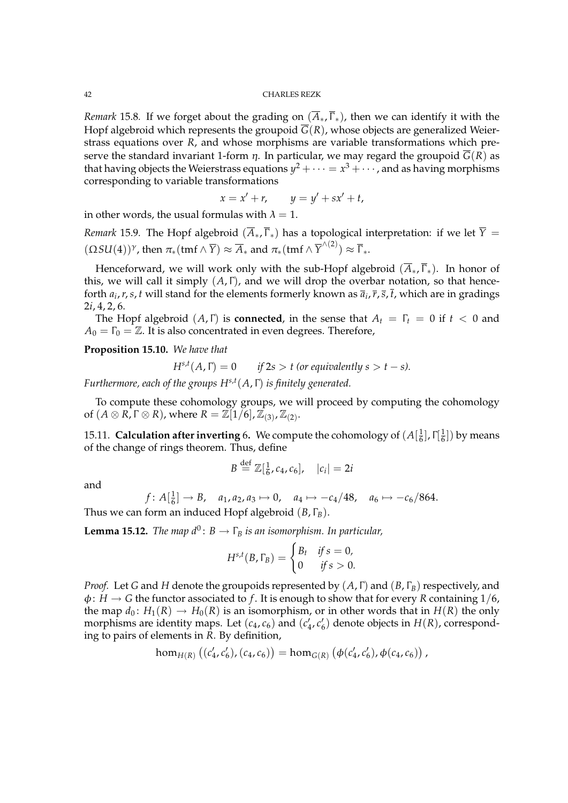*Remark* 15.8. If we forget about the grading on  $(\overline{A}_{*}, \overline{\Gamma}_{*})$ , then we can identify it with the Hopf algebroid which represents the groupoid  $\overline{G}(R)$ , whose objects are generalized Weierstrass equations over *R*, and whose morphisms are variable transformations which preserve the standard invariant 1-form  $\eta$ . In particular, we may regard the groupoid  $\overline{G}(R)$  as that having objects the Weierstrass equations  $y^2+\cdots=x^3+\cdots$  , and as having morphisms corresponding to variable transformations

$$
= x' + r, \qquad y = y' + sx' + t,
$$

in other words, the usual formulas with  $\lambda = 1$ .

*x* = *x*

*Remark* 15.9. The Hopf algebroid  $(\overline{A}_*, \overline{\Gamma}_*)$  has a topological interpretation: if we let  $\overline{Y}$  =  $(\Omega SU(4))^{\gamma}$ , then  $\pi_*(\text{tmf} \wedge \overline{Y}) \approx \overline{A}_*$  and  $\pi_*(\text{tmf} \wedge \overline{Y}^{\wedge (2)}) \approx \overline{\Gamma}_*.$ 

Henceforward, we will work only with the sub-Hopf algebroid  $(\overline{A}_*, \overline{\Gamma}_*)$ . In honor of this, we will call it simply (*A*, Γ), and we will drop the overbar notation, so that henceforth  $a_i$ ,  $r$ ,  $s$ ,  $t$  will stand for the elements formerly known as  $\overline{a}_i$ ,  $\overline{r}$ ,  $\overline{s}$ ,  $t$ , which are in gradings 2*i*, 4, 2, 6.

The Hopf algebroid  $(A, \Gamma)$  is **connected**, in the sense that  $A_t = \Gamma_t = 0$  if  $t < 0$  and  $A_0 = \Gamma_0 = \mathbb{Z}$ . It is also concentrated in even degrees. Therefore,

**Proposition 15.10.** *We have that*

$$
H^{s,t}(A,\Gamma) = 0 \qquad \text{if } 2s > t \text{ (or equivalently } s > t - s).
$$

*Furthermore, each of the groups Hs*,*<sup>t</sup>* (*A*, Γ) *is finitely generated.*

To compute these cohomology groups, we will proceed by computing the cohomology of  $(A \otimes R, \Gamma \otimes R)$ , where  $R = \widetilde{\mathbb{Z}[1/6]}$ ,  $\mathbb{Z}_{(3)}$ ,  $\mathbb{Z}_{(2)}$ .

15.11. **Calculation after inverting** 6. We compute the cohomology of  $(A|\frac{1}{6})$  $\frac{1}{6}$ ], Γ $\left[\frac{1}{6}\right]$  $\frac{1}{6}]$ ) by means of the change of rings theorem. Thus, define

$$
B \stackrel{\text{def}}{=} \mathbb{Z}[\frac{1}{6}, c_4, c_6], \quad |c_i| = 2i
$$

and

$$
f: A[\frac{1}{6}] \to B
$$
,  $a_1, a_2, a_3 \mapsto 0$ ,  $a_4 \mapsto -c_4/48$ ,  $a_6 \mapsto -c_6/864$ .

Thus we can form an induced Hopf algebroid (*B*, Γ*B*).

 ${\bf Lemma~15.12.}$  The map  $d^0\colon B\to \Gamma_B$  is an isomorphism. In particular,

$$
H^{s,t}(B,\Gamma_B) = \begin{cases} B_t & \text{if } s = 0, \\ 0 & \text{if } s > 0. \end{cases}
$$

*Proof.* Let *G* and *H* denote the groupoids represented by (*A*, Γ) and (*B*, Γ*B*) respectively, and  $\phi: H \to G$  the functor associated to f. It is enough to show that for every *R* containing 1/6, the map  $d_0$ :  $H_1(R) \to H_0(R)$  is an isomorphism, or in other words that in  $H(R)$  the only morphisms are identity maps. Let  $(c_4, c_6)$  and  $(c'_4, c'_6)$  denote objects in  $H(R)$ , corresponding to pairs of elements in *R*. By definition,

$$
\hom_{H(R)}((c'_4,c'_6),(c_4,c_6)) = \hom_{G(R)}(\phi(c'_4,c'_6),\phi(c_4,c_6)),
$$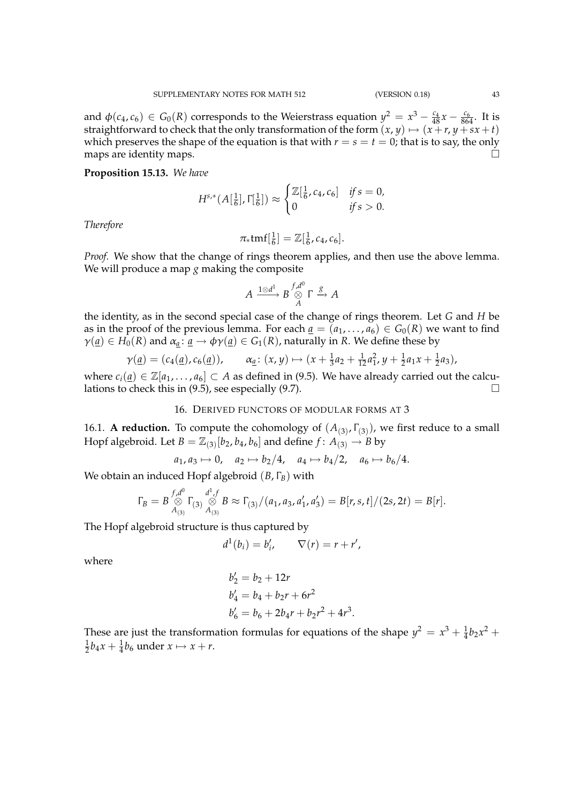and  $\phi(c_4, c_6) \in G_0(R)$  corresponds to the Weierstrass equation  $y^2 = x^3 - \frac{c_4}{48}x - \frac{c_6}{864}$ . It is straightforward to check that the only transformation of the form  $(x, y) \mapsto (x + r, y + sx + t)$ which preserves the shape of the equation is that with  $r = s = t = 0$ ; that is to say, the only maps are identity maps.  $\Box$ 

**Proposition 15.13.** *We have*

$$
H^{s,*}(A[\frac{1}{6}], \Gamma[\frac{1}{6}]) \approx \begin{cases} \mathbb{Z}[\frac{1}{6}, c_4, c_6] & \text{if } s = 0, \\ 0 & \text{if } s > 0. \end{cases}
$$

*Therefore*

$$
\pi_*tmf[\tfrac{1}{6}] = \mathbb{Z}[\tfrac{1}{6}, c_4, c_6].
$$

*Proof.* We show that the change of rings theorem applies, and then use the above lemma. We will produce a map *g* making the composite

$$
A \xrightarrow{1 \otimes d^1} B \overset{f,d^0}{\underset{A}{\otimes}} \Gamma \overset{g}{\longrightarrow} A
$$

the identity, as in the second special case of the change of rings theorem. Let *G* and *H* be as in the proof of the previous lemma. For each  $a = (a_1, \ldots, a_6) \in G_0(R)$  we want to find  $\gamma(\underline{a}) \in H_0(R)$  and  $\alpha_a: \underline{a} \to \phi \gamma(\underline{a}) \in G_1(R)$ , naturally in *R*. We define these by

$$
\gamma(\underline{a}) = (c_4(\underline{a}), c_6(\underline{a})), \qquad \alpha_{\underline{a}} \colon (x, y) \mapsto (x + \tfrac{1}{3}a_2 + \tfrac{1}{12}a_1^2, y + \tfrac{1}{2}a_1x + \tfrac{1}{2}a_3),
$$

where  $c_i(\underline{a}) \in \mathbb{Z}[a_1,\ldots,a_6] \subset A$  as defined in (9.5). We have already carried out the calculations to check this in (9.5), see especially (9.7).  $\Box$ 

# 16. DERIVED FUNCTORS OF MODULAR FORMS AT 3

16.1. **A reduction.** To compute the cohomology of  $(A_{(3)}, \Gamma_{(3)})$ , we first reduce to a small Hopf algebroid. Let  $B = \mathbb{Z}_{(3)}[b_2, b_4, b_6]$  and define  $f: A_{(3)} \to B$  by

$$
a_1, a_3 \mapsto 0
$$
,  $a_2 \mapsto b_2/4$ ,  $a_4 \mapsto b_4/2$ ,  $a_6 \mapsto b_6/4$ .

We obtain an induced Hopf algebroid (*B*, Γ*B*) with

$$
\Gamma_B = B \bigotimes_{A_{(3)}}^{f,d^0} \Gamma_{(3)} \bigotimes_{A_{(3)}}^{d^1,f} B \approx \Gamma_{(3)}/(a_1,a_3,a'_1,a'_3) = B[r,s,t]/(2s,2t) = B[r].
$$

The Hopf algebroid structure is thus captured by

$$
d^1(b_i) = b'_i, \qquad \nabla(r) = r + r',
$$

where

$$
b'_2 = b_2 + 12r
$$
  
\n
$$
b'_4 = b_4 + b_2r + 6r^2
$$
  
\n
$$
b'_6 = b_6 + 2b_4r + b_2r^2 + 4r^3.
$$

These are just the transformation formulas for equations of the shape  $y^2 = x^3 + \frac{1}{4}b_2x^2 +$ 1  $\frac{1}{2}b_4x + \frac{1}{4}b_6$  under  $x \mapsto x + r$ .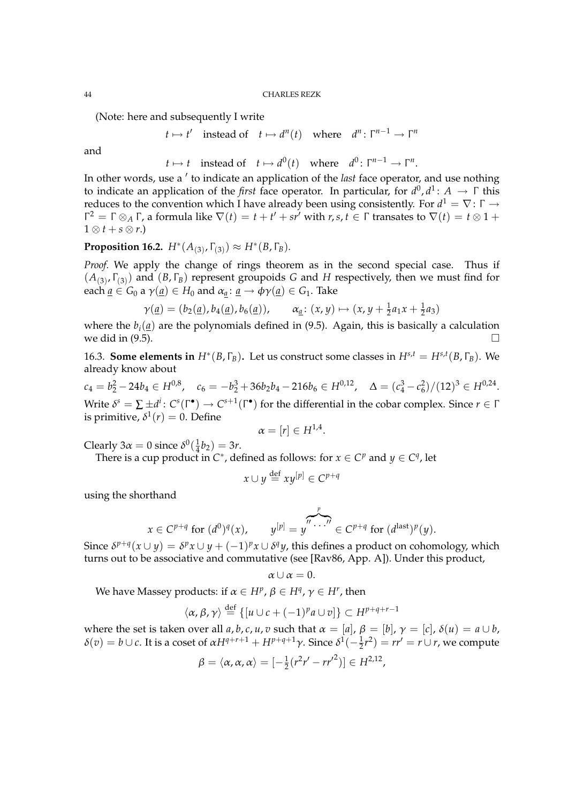(Note: here and subsequently I write

$$
t \mapsto t'
$$
 instead of  $t \mapsto d^n(t)$  where  $d^n : \Gamma^{n-1} \to \Gamma^n$ 

and

$$
t \mapsto t
$$
 instead of  $t \mapsto d^0(t)$  where  $d^0 \colon \Gamma^{n-1} \to \Gamma^n$ .

In other words, use a ' to indicate an application of the *last* face operator, and use nothing to indicate an application of the *first* face operator. In particular, for *d* 0 , *d* 1 : *A* → Γ this reduces to the convention which I have already been using consistently. For  $d^1=\nabla\colon\Gamma\to$  $\Gamma^2 = \Gamma \otimes_A \Gamma$ , a formula like  $\nabla(t) = t + t' + sr'$  with *r*, *s*, *t* ∈  $\Gamma$  transates to  $\nabla(t) = t \otimes 1 + s$  $1 \otimes t + s \otimes r$ .)

# **Proposition 16.2.**  $H^*(A_{(3)}, \Gamma_{(3)}) \approx H^*(B, \Gamma_B)$ .

*Proof.* We apply the change of rings theorem as in the second special case. Thus if  $(A_{(3)}, \Gamma_{(3)})$  and  $(B, \Gamma_B)$  represent groupoids *G* and *H* respectively, then we must find for each  $\underline{a} \in G_0$  a  $\gamma(\underline{a}) \in H_0$  and  $\alpha_a : \underline{a} \to \phi \gamma(\underline{a}) \in G_1$ . Take

$$
\gamma(\underline{a}) = (b_2(\underline{a}), b_4(\underline{a}), b_6(\underline{a})), \qquad \alpha_{\underline{a}} \colon (x, y) \mapsto (x, y + \tfrac{1}{2}a_1x + \tfrac{1}{2}a_3)
$$

where the  $b_i(\underline{a})$  are the polynomials defined in (9.5). Again, this is basically a calculation we did in (9.5).

16.3. **Some elements in**  $H^*(B, \Gamma_B)$ . Let us construct some classes in  $H^{s,t} = H^{s,t}(B, \Gamma_B)$ . We already know about

 $c_4 = b_2^2 - 24b_4 \in H^{0,8}, \quad c_6 = -b_2^3 + 36b_2b_4 - 216b_6 \in H^{0,12}, \quad \Delta = (c_4^3 - c_6^2)/(12)^3 \in H^{0,24}.$ Write  $\delta^s = \sum \pm d^i\colon C^s(\Gamma^\bullet) \to C^{s+1}(\Gamma^\bullet)$  for the differential in the cobar complex. Since  $r \in \Gamma$ is primitive,  $\delta^1(r)=0.$  Define

$$
\alpha=[r]\in H^{1,4}
$$

.

Clearly 3 $\alpha = 0$  since  $\delta^0(\frac{1}{4})$  $\frac{1}{4}b_2$ ) = 3*r*.

There is a cup product in  $C^*$ , defined as follows: for  $x \in C^p$  and  $y \in C^q$ , let

$$
x \cup y \stackrel{\text{def}}{=} xy^{[p]} \in C^{p+q}
$$

using the shorthand

$$
x \in C^{p+q} \text{ for } (d^0)^q(x), \qquad y^{[p]} = y^{p \cdot \ldots p} \in C^{p+q} \text{ for } (d^{\text{last}})^p(y).
$$

Since  $\delta^{p+q}(x \cup y) = \delta^p x \cup y + (-1)^p x \cup \delta^q y$ , this defines a product on cohomology, which turns out to be associative and commutative (see [Rav86, App. A]). Under this product,

$$
\alpha \cup \alpha =0.
$$

We have Massey products: if  $\alpha \in H^p$ ,  $\beta \in H^q$ ,  $\gamma \in H^r$ , then

$$
\langle \alpha, \beta, \gamma \rangle \stackrel{\text{def}}{=} \{ [u \cup c + (-1)^p a \cup v] \} \subset H^{p+q+r-1}
$$

where the set is taken over all *a*, *b*, *c*, *u*, *v* such that  $\alpha = [a]$ ,  $\beta = [b]$ ,  $\gamma = [c]$ ,  $\delta(u) = a \cup b$ ,  $\delta(v) = b \cup c$ . It is a coset of  $\alpha H^{q+r+1} + H^{p+q+1}\gamma$ . Since  $\delta^1(-\frac{1}{2}r^2) = rr' = r \cup r$ , we compute

$$
\beta = \langle \alpha, \alpha, \alpha \rangle = [-\frac{1}{2}(r^2r' - rr'^2)] \in H^{2,12},
$$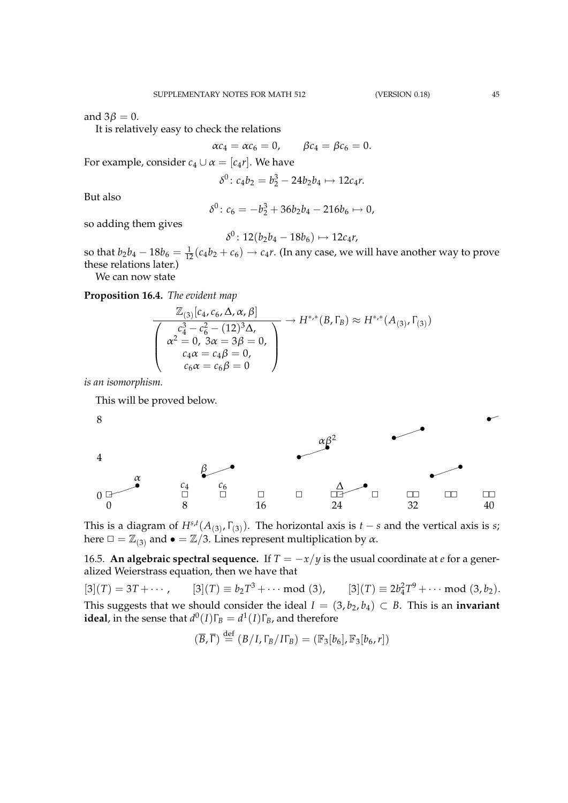and  $3\beta = 0$ .

It is relatively easy to check the relations

 $\alpha c_4 = \alpha c_6 = 0, \qquad \beta c_4 = \beta c_6 = 0.$ 

For example, consider  $c_4 \cup \alpha = [c_4 r]$ . We have

$$
\delta^0 \colon c_4b_2 = b_2^3 - 24b_2b_4 \mapsto 12c_4r.
$$

But also

$$
\delta^0 \colon c_6 = -b_2^3 + 36b_2b_4 - 216b_6 \mapsto 0,
$$

so adding them gives

$$
\delta^0\colon 12(b_2b_4-18b_6)\mapsto 12c_4r,
$$

so that  $b_2b_4 - 18b_6 = \frac{1}{12}(c_4b_2 + c_6) \rightarrow c_4r$ . (In any case, we will have another way to prove these relations later.)

We can now state

**Proposition 16.4.** *The evident map*

$$
\frac{\mathbb{Z}_{(3)}[c_4, c_6, \Delta, \alpha, \beta]}{\begin{pmatrix} c_4^3 - c_6^2 - (12)^3 \Delta, \\ \alpha^2 = 0, 3\alpha = 3\beta = 0, \\ c_4\alpha = c_4\beta = 0, \\ c_6\alpha = c_6\beta = 0 \end{pmatrix}} \rightarrow H^{*,*}(B, \Gamma_B) \approx H^{*,*}(A_{(3)}, \Gamma_{(3)})
$$

*is an isomorphism.*

This will be proved below.



This is a diagram of  $H^{s,t}(A_{(3)}, \Gamma_{(3)})$ . The horizontal axis is *t* − *s* and the vertical axis is *s*; here  $\square = \mathbb{Z}_{(3)}$  and  $\bullet = \mathbb{Z}/3$ . Lines represent multiplication by  $\alpha$ .

16.5. **An algebraic spectral sequence.** If  $T = -x/y$  is the usual coordinate at *e* for a generalized Weierstrass equation, then we have that

 $[3](T) = 3T + \cdots$ ,  $3 + \cdots \mod (3)$ ,  $[3](T) \equiv 2b_4^2 T^9 + \cdots \mod (3, b_2).$ This suggests that we should consider the ideal  $I = (3, b_2, b_4) \subset B$ . This is an **invariant ideal**, in the sense that  $d^0(I)\Gamma_B = d^1(I)\Gamma_B$ , and therefore

$$
(\overline{B}, \overline{\Gamma}) \stackrel{\text{def}}{=} (B/I, \Gamma_B/I\Gamma_B) = (\mathbb{F}_3[b_6], \mathbb{F}_3[b_6, r])
$$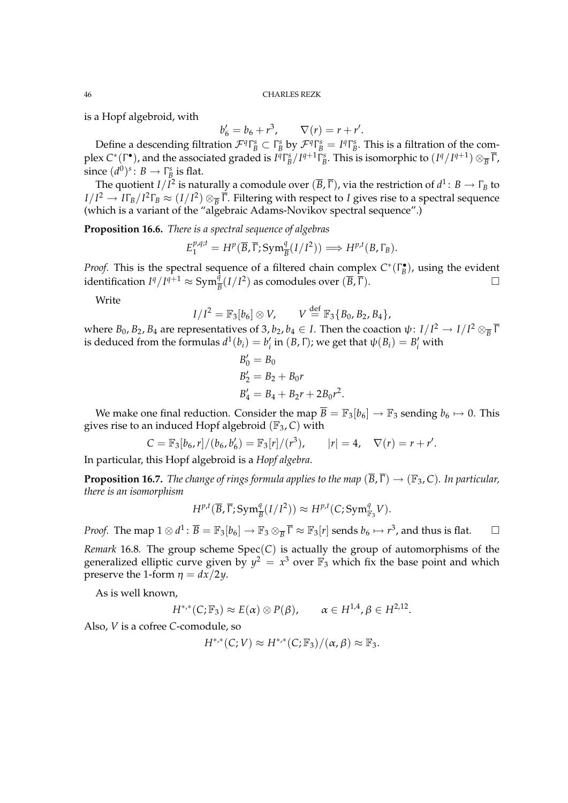is a Hopf algebroid, with

$$
b'_6 = b_6 + r^3
$$
,  $\nabla(r) = r + r'$ .

Define a descending filtration  $\mathcal{F}^q \Gamma^s_B \subset \Gamma^s_B$  by  $\mathcal{F}^q \Gamma^s_B = I^q \Gamma^s_B$ . This is a filtration of the complex C\*(Γ\*), and the associated graded is  $I^q\Gamma_B^s/I^{q+1}\Gamma_B^s$ . This is isomorphic to  $(I^q/I^{q+1})\otimes_{\overline{B}} \overline{\Gamma}$ , since  $(d^0)^s \colon B \to \Gamma_B^s$  is flat.

The quotient  $I/I^2$  is naturally a comodule over  $(\overline{B},\overline{\Gamma})$ , via the restriction of  $d^1\colon B\to \Gamma_B$  to  $I/I^2\to I\Gamma_B/I^2\Gamma_B\approx (I/I^2)\otimes_{\overline{B}}\overline{\Gamma}.$  Filtering with respect to *I* gives rise to a spectral sequence (which is a variant of the "algebraic Adams-Novikov spectral sequence".)

**Proposition 16.6.** *There is a spectral sequence of algebras*

$$
E_1^{p,q;t} = H^p(\overline{B}, \overline{\Gamma}; \mathrm{Sym}^q_{\overline{B}}(I/I^2)) \Longrightarrow H^{p,t}(B, \Gamma_B).
$$

*Proof.* This is the spectral sequence of a filtered chain complex  $C^*(\Gamma_B^{\bullet})$ , using the evident identification  $I^q/I^{q+1}$  ≈ Sym $\frac{q}{B}(I/I^2)$  as comodules over  $(\overline{B}, \overline{\Gamma})$ .  $\Box$ 

Write

$$
I/I^2 = \mathbb{F}_3[b_6] \otimes V, \qquad V \stackrel{\text{def}}{=} \mathbb{F}_3\{B_0, B_2, B_4\},
$$

where  $B_0$ ,  $B_2$ ,  $B_4$  are representatives of 3,  $b_2$ ,  $b_4 \in I$ . Then the coaction  $\psi \colon I/I^2 \to I/I^2 \otimes_{\overline{B}} \overline{I}$ is deduced from the formulas  $d^1(b_i) = b'_i$  in  $(B, \Gamma)$ ; we get that  $\psi(B_i) = B'_i$  with

$$
B'_0 = B_0
$$
  
\n
$$
B'_2 = B_2 + B_0 r
$$
  
\n
$$
B'_4 = B_4 + B_2 r + 2B_0 r^2.
$$

We make one final reduction. Consider the map  $\overline{B} = \mathbb{F}_3[b_6] \rightarrow \mathbb{F}_3$  sending  $b_6 \mapsto 0$ . This gives rise to an induced Hopf algebroid (F3, *C*) with

$$
C = \mathbb{F}_3[b_6, r]/(b_6, b'_6) = \mathbb{F}_3[r]/(r^3), \qquad |r| = 4, \quad \nabla(r) = r + r'.
$$

In particular, this Hopf algebroid is a *Hopf algebra*.

**Proposition 16.7.** *The change of rings formula applies to the map*  $(\overline{B}, \overline{\Gamma}) \rightarrow (\mathbb{F}_3, C)$ *. In particular, there is an isomorphism*

$$
H^{p,t}(\overline{B}, \overline{\Gamma}; \mathrm{Sym}^q_{\overline{B}}(I/I^2)) \approx H^{p,t}(C; \mathrm{Sym}^q_{\mathbb{F}_3}V).
$$

*Proof.* The map  $1 \otimes d^1$ :  $\overline{B} = \mathbb{F}_3[b_6] \to \mathbb{F}_3 \otimes_{\overline{B}} \overline{\Gamma} \approx \mathbb{F}_3[r]$  sends  $b_6 \mapsto r^3$ , and thus is flat.  $\hfill \Box$ 

*Remark* 16.8. The group scheme  $Spec(C)$  is actually the group of automorphisms of the generalized elliptic curve given by  $y^2 = x^3$  over  $\mathbb{F}_3$  which fix the base point and which preserve the 1-form  $\eta = dx/2y$ .

As is well known,

$$
H^{*,*}(C;\mathbb{F}_3) \approx E(\alpha) \otimes P(\beta), \qquad \alpha \in H^{1,4}, \beta \in H^{2,12}.
$$

Also, *V* is a cofree *C*-comodule, so

$$
H^{*,*}(C;V) \approx H^{*,*}(C;\mathbb{F}_3)/(\alpha,\beta) \approx \mathbb{F}_3.
$$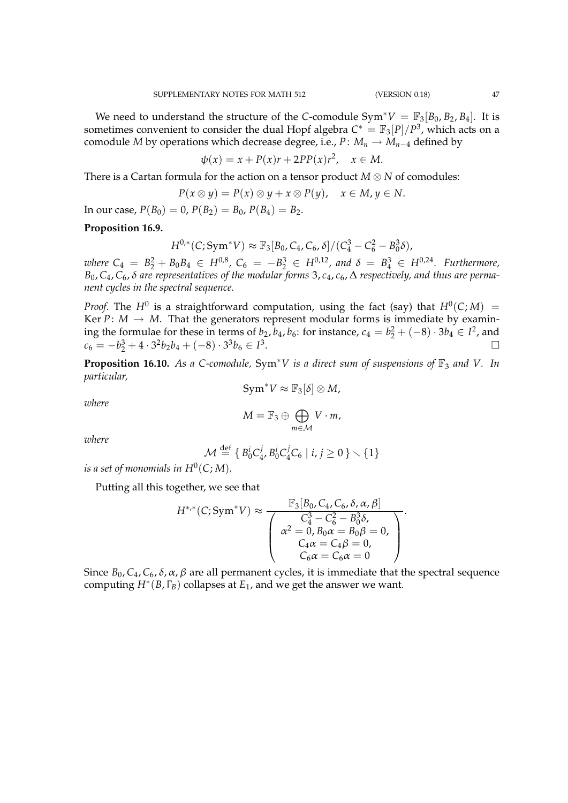We need to understand the structure of the *C*-comodule  $Sym^*V = \mathbb{F}_3[B_0, B_2, B_4]$ . It is sometimes convenient to consider the dual Hopf algebra  $C^* = \mathbb{F}_3[P]/P^3$ , which acts on a comodule *M* by operations which decrease degree, i.e., *P*:  $M_n \to M_{n-4}$  defined by

$$
\psi(x) = x + P(x)r + 2PP(x)r^2, \quad x \in M.
$$

There is a Cartan formula for the action on a tensor product *M* ⊗ *N* of comodules:

$$
P(x \otimes y) = P(x) \otimes y + x \otimes P(y), \quad x \in M, y \in N.
$$

In our case,  $P(B_0) = 0$ ,  $P(B_2) = B_0$ ,  $P(B_4) = B_2$ .

# **Proposition 16.9.**

$$
H^{0,*}(C; \text{Sym}^* V) \approx \mathbb{F}_3[B_0, C_4, C_6, \delta]/(C_4^3 - C_6^2 - B_0^3 \delta),
$$

 $\nu$ here  $C_4 = B_2^2 + B_0 B_4 \in H^{0,8}$ ,  $C_6 = -B_2^3 \in H^{0,12}$ , and  $\delta = B_4^3 \in H^{0,24}$ . Furthermore, *B*0, *C*4, *C*6, δ *are representatives of the modular forms* 3, *c*4, *c*6, ∆ *respectively, and thus are permanent cycles in the spectral sequence.*

*Proof.* The  $H^0$  is a straightforward computation, using the fact (say) that  $H^0(C;M)$  = Ker  $P: M \to M$ . That the generators represent modular forms is immediate by examining the formulae for these in terms of *b*<sub>2</sub>, *b*<sub>4</sub>, *b*<sub>6</sub>: for instance, *c*<sub>4</sub> = *b*<sub>2</sub><sup>2</sup> + (−8) · 3*b*<sub>4</sub> ∈ *I*<sup>2</sup>, and  $c_6 = -b_2^3 + 4 \cdot 3^2 b_2 b_4 + (-8) \cdot 3^3 b_6 \in I^3$ .

**Proposition 16.10.** *As a C-comodule,* Sym<sup>∗</sup>*V is a direct sum of suspensions of*  $\mathbb{F}_3$  *and V. In particular,*

$$
Sym^*V \approx \mathbb{F}_3[\delta] \otimes M,
$$

*where*

$$
M=\mathbb{F}_3\oplus\bigoplus_{m\in\mathcal{M}}V\cdot m,
$$

*where*

$$
\mathcal{M} \stackrel{\text{def}}{=} \left\{ B_0^i C_4^j, B_0^i C_4^j C_6 \mid i, j \ge 0 \right\} \setminus \{1\}
$$

 $i$ s a set of monomials in  $H^0(C;M)$ .

Putting all this together, we see that

$$
H^{*,*}(C; \text{Sym}^* V) \approx \frac{\mathbb{F}_3[B_0, C_4, C_6, \delta, \alpha, \beta]}{\begin{pmatrix} C_4^3 - C_6^2 - B_0^3 \delta, \\ \alpha^2 = 0, B_0 \alpha = B_0 \beta = 0, \\ C_4 \alpha = C_4 \beta = 0, \\ C_6 \alpha = C_6 \alpha = 0 \end{pmatrix}}.
$$

F3[*B*0, *C*4, *C*6, δ,α,β]

Since  $B_0$ ,  $C_4$ ,  $C_6$ ,  $\delta$ ,  $\alpha$ ,  $\beta$  are all permanent cycles, it is immediate that the spectral sequence computing *H*<sup>∗</sup> (*B*, Γ*B*) collapses at *E*1, and we get the answer we want.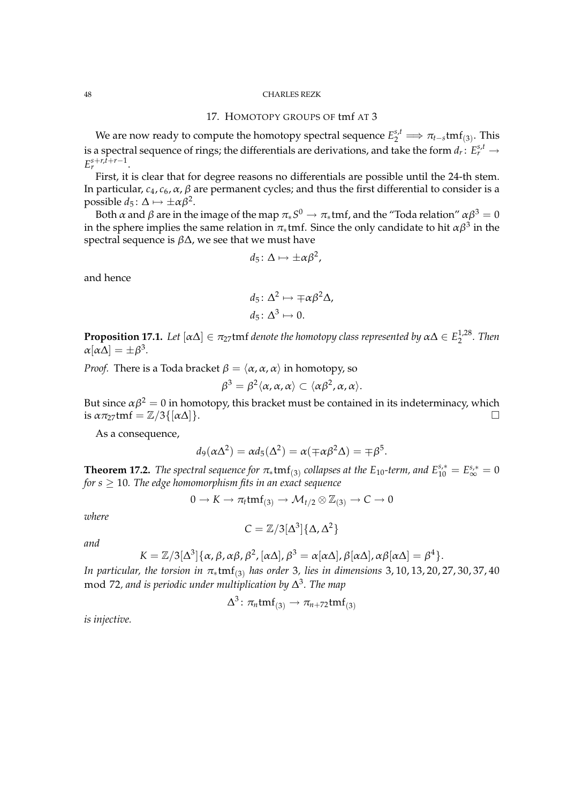# 17. HOMOTOPY GROUPS OF tmf AT 3

We are now ready to compute the homotopy spectral sequence  $E_2^{s,t} \Longrightarrow \pi_{t-s}\text{tmf}_{(3)}$ . This is a spectral sequence of rings; the differentials are derivations, and take the form  $d_r\colon E_r^{s,t}\to$  $E_r^{s+r,\bar{t}+r-1}$ .

First, it is clear that for degree reasons no differentials are possible until the 24-th stem. In particular,  $c_4$ ,  $c_6$ ,  $\alpha$ ,  $\beta$  are permanent cycles; and thus the first differential to consider is a possible  $d_5: \Delta \mapsto \pm \alpha \beta^2$ .

Both  $\alpha$  and  $\beta$  are in the image of the map  $\pi_*S^0\to\pi_*$ tmf, and the "Toda relation"  $\alpha\beta^3=0$ in the sphere implies the same relation in  $\pi_*$ tmf. Since the only candidate to hit  $\alpha\beta^3$  in the spectral sequence is  $\beta\Delta$ , we see that we must have

$$
d_5\colon \Delta \mapsto \pm \alpha \beta^2,
$$

and hence

$$
d_5 \colon \Delta^2 \mapsto \mp \alpha \beta^2 \Delta,
$$
  

$$
d_5 \colon \Delta^3 \mapsto 0.
$$

**Proposition 17.1.** Let  $[\alpha \Delta] \in \pi_{27}$ tmf denote the homotopy class represented by  $\alpha \Delta \in E_2^{1,28}$ 2 *. Then*  $\alpha[\alpha\Delta] = \pm \beta^3$ .

*Proof.* There is a Toda bracket  $\beta = \langle \alpha, \alpha, \alpha \rangle$  in homotopy, so

$$
\beta^3 = \beta^2 \langle \alpha, \alpha, \alpha \rangle \subset \langle \alpha \beta^2, \alpha, \alpha \rangle.
$$

But since  $\alpha \beta^2 = 0$  in homotopy, this bracket must be contained in its indeterminacy, which is  $\alpha \pi_{27}$ tmf =  $\mathbb{Z}/3\{[\alpha \Delta]\}.$ 

As a consequence,

$$
d_9(\alpha\Delta^2) = \alpha d_5(\Delta^2) = \alpha(\mp \alpha\beta^2\Delta) = \mp \beta^5.
$$

**Theorem 17.2.** *The spectral sequence for*  $\pi_*$ tmf<sub>(3)</sub> collapses at the  $E_{10}$ -term, and  $E_{10}^{s,*} = E_{\infty}^{s,*} = 0$ *for*  $s \geq 10$ *. The edge homomorphism fits in an exact sequence* 

$$
0 \to K \to \pi_t \text{tmf}_{(3)} \to \mathcal{M}_{t/2} \otimes \mathbb{Z}_{(3)} \to C \to 0
$$

*where*

$$
C=\mathbb{Z}/3[\Delta^3]\{\Delta,\Delta^2\}
$$

*and*

$$
K = \mathbb{Z}/3[\Delta^3]\{\alpha, \beta, \alpha\beta, \beta^2, [\alpha\Delta], \beta^3 = \alpha[\alpha\Delta], \beta[\alpha\Delta], \alpha\beta[\alpha\Delta] = \beta^4\}.
$$

*In particular, the torsion in* π<sub>∗</sub>tmf<sub>(3)</sub> *has order* 3*, lies in dimensions* 3, 10, 13, 20, 27, 30, 37, 40 mod 72*, and is periodic under multiplication by* ∆ 3 *. The map*

$$
\Delta^3\colon \pi_n\mathrm{tmf}_{(3)}\to \pi_{n+72}\mathrm{tmf}_{(3)}
$$

*is injective.*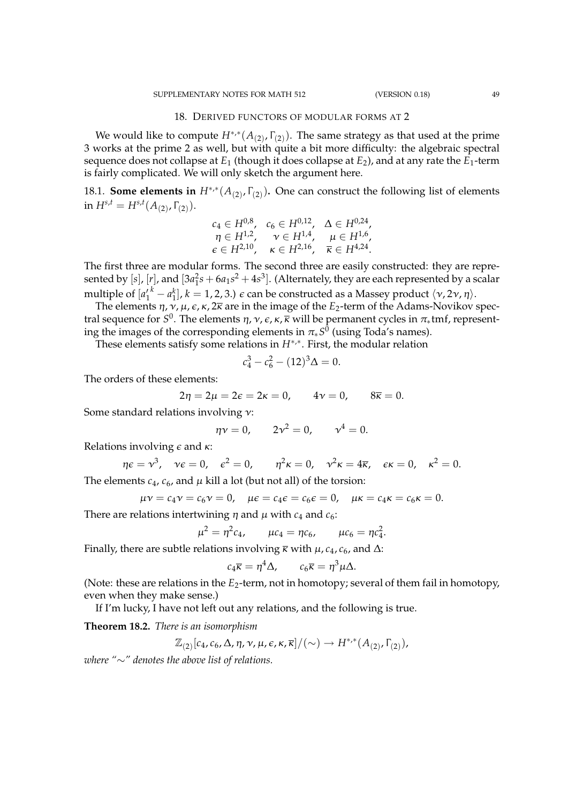#### 18. DERIVED FUNCTORS OF MODULAR FORMS AT 2

We would like to compute  $H^{*,*}(A_{(2)}, \Gamma_{(2)})$ . The same strategy as that used at the prime 3 works at the prime 2 as well, but with quite a bit more difficulty: the algebraic spectral sequence does not collapse at *E*<sup>1</sup> (though it does collapse at *E*2), and at any rate the *E*1-term is fairly complicated. We will only sketch the argument here.

18.1. **Some elements in**  $H^{*,*}(A_{(2)}, \Gamma_{(2)})$ . One can construct the following list of elements  $\text{in} \ H^{s,t} = H^{s,t}(A_{(2)},\Gamma_{(2)}).$ 

$$
c_4 \in H^{0,8}, \quad c_6 \in H^{0,12}, \quad \Delta \in H^{0,24},
$$
  
\n
$$
\eta \in H^{1,2}, \quad \nu \in H^{1,4}, \quad \mu \in H^{1,6},
$$
  
\n
$$
\epsilon \in H^{2,10}, \quad \kappa \in H^{2,16}, \quad \overline{\kappa} \in H^{4,24}.
$$

The first three are modular forms. The second three are easily constructed: they are represented by  $[s]$ ,  $[r]$ , and  $[3a_1^2s + 6a_1s^2 + 4s^3]$ . (Alternately, they are each represented by a scalar multiple of  $[a_1^{\prime k} - a_1^k]$ ,  $k = 1, 2, 3$ .)  $\epsilon$  can be constructed as a Massey product  $\langle \nu, 2\nu, \eta \rangle$ .

The elements  $\eta$ ,  $\nu$ ,  $\mu$ ,  $\epsilon$ ,  $\kappa$ ,  $2\overline{\kappa}$  are in the image of the *E*<sub>2</sub>-term of the Adams-Novikov spectral sequence for  $S^0.$  The elements  $η, ν, ε, κ, κ$  will be permanent cycles in  $π_*$ tmf, representing the images of the corresponding elements in  $\pi_*S^0$  (using Toda′s names).

These elements satisfy some relations in  $H^{*,*}$ . First, the modular relation

$$
c_4^3 - c_6^2 - (12)^3 \Delta = 0.
$$

The orders of these elements:

$$
2\eta = 2\mu = 2\epsilon = 2\kappa = 0, \qquad 4\nu = 0, \qquad 8\overline{\kappa} = 0.
$$

Some standard relations involving ν:

$$
\eta v = 0,
$$
  $2v^2 = 0,$   $v^4 = 0.$ 

Relations involving  $\epsilon$  and  $\kappa$ :

$$
\eta \varepsilon = \nu^3
$$
,  $\nu \varepsilon = 0$ ,  $\varepsilon^2 = 0$ ,  $\eta^2 \kappa = 0$ ,  $\nu^2 \kappa = 4\overline{\kappa}$ ,  $\varepsilon \kappa = 0$ ,  $\kappa^2 = 0$ .

The elements  $c_4$ ,  $c_6$ , and  $\mu$  kill a lot (but not all) of the torsion:

$$
\mu v = c_4 v = c_6 v = 0
$$
,  $\mu \epsilon = c_4 \epsilon = c_6 \epsilon = 0$ ,  $\mu \kappa = c_4 \kappa = c_6 \kappa = 0$ .

There are relations intertwining  $\eta$  and  $\mu$  with  $c_4$  and  $c_6$ :

$$
\mu^2 = \eta^2 c_4, \qquad \mu c_4 = \eta c_6, \qquad \mu c_6 = \eta c_4^2
$$

.

Finally, there are subtle relations involving  $\bar{\kappa}$  with  $\mu$ ,  $c_4$ ,  $c_6$ , and  $\Delta$ :

$$
c_4\overline{\kappa}=\eta^4\Delta,\qquad c_6\overline{\kappa}=\eta^3\mu\Delta.
$$

(Note: these are relations in the  $E_2$ -term, not in homotopy; several of them fail in homotopy, even when they make sense.)

If I'm lucky, I have not left out any relations, and the following is true.

**Theorem 18.2.** *There is an isomorphism*

$$
\mathbb{Z}_{(2)}[c_4,c_6,\Delta,\eta,\nu,\mu,\epsilon,\kappa,\overline{\kappa}]/(\sim) \to H^{*,*}(A_{(2)},\Gamma_{(2)}),
$$

*where "*∼*" denotes the above list of relations.*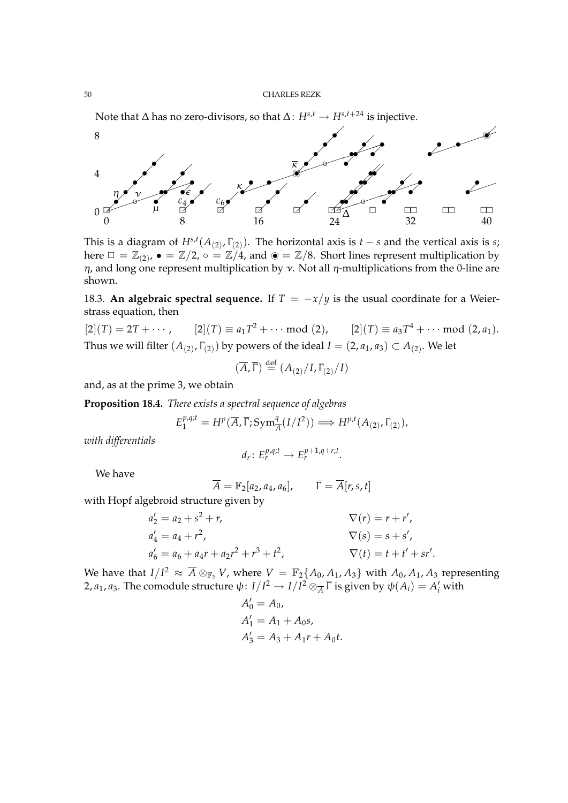Note that  $\Delta$  has no zero-divisors, so that  $\Delta$ :  $H^{s,t} \rightarrow H^{s,t+24}$  is injective.



This is a diagram of  $H^{s,t}(A_{(2)}, \Gamma_{(2)})$ . The horizontal axis is *t* − *s* and the vertical axis is *s*; here  $\Box = \mathbb{Z}_{(2)}$ ,  $\bullet = \mathbb{Z}/2$ ,  $\circ = \mathbb{Z}/4$ , and  $\circledcirc = \mathbb{Z}/8$ . Short lines represent multiplication by  $η$ , and long one represent multiplication by  $ν$ . Not all  $η$ -multiplications from the 0-line are shown.

18.3. An algebraic spectral sequence. If  $T = -x/y$  is the usual coordinate for a Weierstrass equation, then

 $[2](T) = 2T + \cdots$ ,  $[2](T) \equiv a_1 T^2 + \cdots \mod (2)$ ,  $[2](T) \equiv a_3 T^4 + \cdots \mod (2, a_1)$ . Thus we will filter  $(A_{(2)}, \Gamma_{(2)})$  by powers of the ideal  $I = (2, a_1, a_3) \subset A_{(2)}$ . We let

$$
(\overline{A}, \overline{\Gamma}) \stackrel{\text{def}}{=} (A_{(2)}/I, \Gamma_{(2)}/I)
$$

and, as at the prime 3, we obtain

**Proposition 18.4.** *There exists a spectral sequence of algebras*

$$
E_1^{p,q;t} = H^p(\overline{A}, \overline{\Gamma}; \operatorname{Sym}^q_{\overline{A}}(I/I^2)) \Longrightarrow H^{p,t}(A_{(2)}, \Gamma_{(2)}),
$$

*with differentials*

$$
d_r\colon E_r^{p,q;t}\to E_r^{p+1,q+ r;t}.
$$

We have

$$
\overline{A} = \mathbb{F}_2[a_2, a_4, a_6], \qquad \overline{\Gamma} = \overline{A}[r, s, t]
$$

with Hopf algebroid structure given by

$$
a'_2 = a_2 + s^2 + r,
$$
  
\n
$$
a'_4 = a_4 + r^2,
$$
  
\n
$$
a'_6 = a_6 + a_4r + a_2r^2 + r^3 + t^2,
$$
  
\n
$$
\nabla(r) = r + r',
$$
  
\n
$$
\nabla(r) = r + r',
$$
  
\n
$$
\nabla(s) = s + s',
$$
  
\n
$$
\nabla(t) = t + t' + s r'.
$$

We have that  $I/I^2 \approx \overline{A}\otimes_{\mathbb{F}_2} V$ , where  $V = \mathbb{F}_2\{A_0, A_1, A_3\}$  with  $A_0, A_1, A_3$  representing 2,  $a_1$ ,  $a_3$ . The comodule structure  $\psi: I/I^2 \to I/I^2 \otimes_{\overline{A}} \overline{\Gamma}$  is given by  $\psi(A_i) = A'_i$  with

$$
A'_0 = A_0,
$$
  
\n
$$
A'_1 = A_1 + A_0s,
$$
  
\n
$$
A'_3 = A_3 + A_1r + A_0t.
$$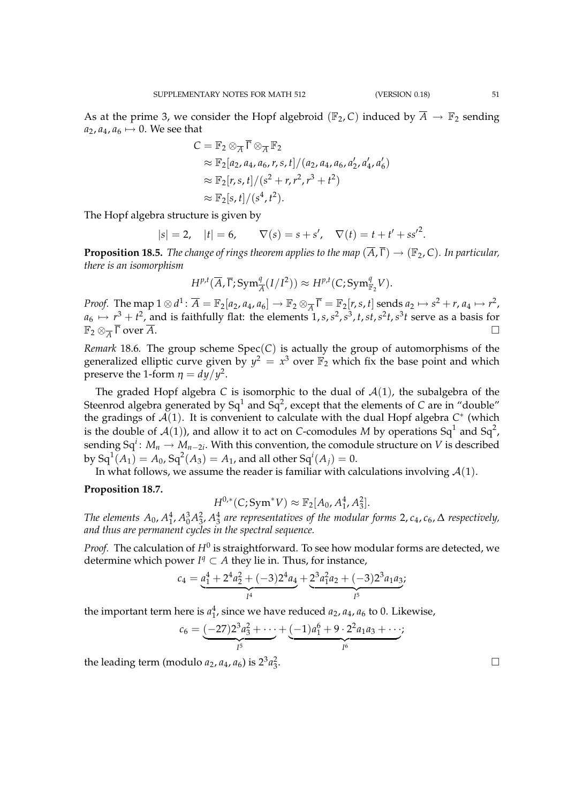As at the prime 3, we consider the Hopf algebroid ( $\mathbb{F}_2$ , *C*) induced by  $\overline{A} \to \mathbb{F}_2$  sending  $a_2$ ,  $a_4$ ,  $a_6 \mapsto 0$ . We see that

$$
C = \mathbb{F}_2 \otimes_{\overline{A}} \overline{\Gamma} \otimes_{\overline{A}} \mathbb{F}_2
$$
  
\n
$$
\approx \mathbb{F}_2[a_2, a_4, a_6, r, s, t]/(a_2, a_4, a_6, a'_2, a'_4, a'_6)
$$
  
\n
$$
\approx \mathbb{F}_2[r, s, t]/(s^2 + r, r^2, r^3 + t^2)
$$
  
\n
$$
\approx \mathbb{F}_2[s, t]/(s^4, t^2).
$$

The Hopf algebra structure is given by

$$
|s| = 2
$$
,  $|t| = 6$ ,  $\nabla(s) = s + s'$ ,  $\nabla(t) = t + t' + ss'^2$ .

**Proposition 18.5.** *The change of rings theorem applies to the map*  $(\overline{A}, \overline{\Gamma}) \rightarrow (\mathbb{F}_2, C)$ *. In particular, there is an isomorphism*

$$
H^{p,t}(\overline{A}, \overline{\Gamma}; \mathrm{Sym}^q_{\overline{A}}(I/I^2)) \approx H^{p,t}(C; \mathrm{Sym}^q_{\mathbb{F}_2}V).
$$

*Proof.* The map  $1 \otimes d^1$ :  $\overline{A} = \mathbb{F}_2[a_2, a_4, a_6] \rightarrow \mathbb{F}_2 \otimes_{\overline{A}} \overline{\Gamma} = \mathbb{F}_2[r, s, t]$  sends  $a_2 \mapsto s^2 + r, a_4 \mapsto r^2$ ,  $a_6 \mapsto r^3 + t^2$ , and is faithfully flat: the elements  $1, s, s^2, s^3, t, st, s^2t, s^3t$  serve as a basis for  $\mathbb{F}_2 \otimes_{\overline{A}} \overline{\Gamma}$  over  $\overline{A}$ .  $\overline{\Gamma}$  over  $\overline{A}$ .

*Remark* 18.6. The group scheme  $Spec(C)$  is actually the group of automorphisms of the generalized elliptic curve given by  $y^2 = x^3$  over  $\mathbb{F}_2$  which fix the base point and which preserve the 1-form  $\eta = dy/y^2$ .

The graded Hopf algebra *C* is isomorphic to the dual of  $A(1)$ , the subalgebra of the Steenrod algebra generated by Sq<sup>1</sup> and Sq<sup>2</sup>, except that the elements of *C* are in "double" the gradings of A(1). It is convenient to calculate with the dual Hopf algebra *C* ∗ (which is the double of  $\mathcal{A}(1)$ ), and allow it to act on *C*-comodules M by operations Sq<sup>1</sup> and Sq<sup>2</sup>,  ${\rm sending\,}$   ${\rm Sq}^i\colon M_n\to M_{n-2i}.$  With this convention, the comodule structure on  $V$  is described by  $\operatorname{\sf Sq}^1(A_1) = A_0$ ,  $\operatorname{\sf Sq}^2(A_3) = A_1$ , and all other  $\operatorname{\sf Sq}^i(A_j) = 0.$ 

In what follows, we assume the reader is familiar with calculations involving  $\mathcal{A}(1)$ .

# **Proposition 18.7.**

$$
H^{0,*}(C; \text{Sym}^*V) \approx \mathbb{F}_2[A_0, A_1^4, A_3^2].
$$

The elements  $A_0$ ,  $A_1^4$ ,  $A_0^3 A_3^2$ ,  $A_3^4$  are representatives of the modular forms 2,  $c_4$ ,  $c_6$ ,  $\Delta$  respectively, *and thus are permanent cycles in the spectral sequence.*

*Proof.* The calculation of  $H^0$  is straightforward. To see how modular forms are detected, we determine which power  $I<sup>q</sup> ⊂ A$  they lie in. Thus, for instance,

$$
c_4 = \underbrace{a_1^4 + 2^4 a_2^2 + (-3)2^4 a_4}_{I^4} + \underbrace{2^3 a_1^2 a_2 + (-3)2^3 a_1 a_3}_{I^5};
$$

the important term here is  $a_1^4$ , since we have reduced  $a_2$ ,  $a_4$ ,  $a_6$  to 0. Likewise,

$$
c_6 = \underbrace{(-27)2^3 a_3^2 + \cdots}_{I^5} + \underbrace{(-1) a_1^6 + 9 \cdot 2^2 a_1 a_3 + \cdots}_{I^6};
$$

the leading term (modulo  $a_2$ ,  $a_4$ ,  $a_6$ ) is  $2^3a_3^2$ 

.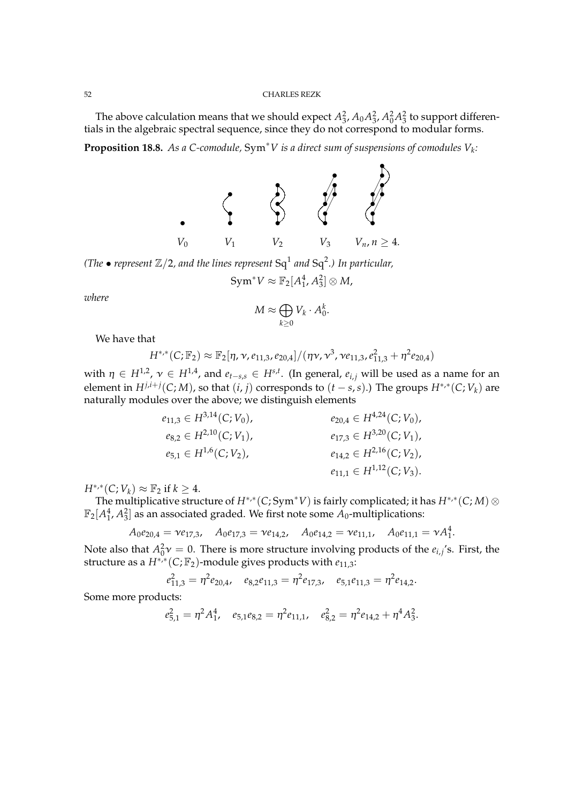The above calculation means that we should expect  $A_3^2$ ,  $A_0A_3^2$ ,  $A_0^2A_3^2$  to support differentials in the algebraic spectral sequence, since they do not correspond to modular forms.

**Proposition 18.8.** *As a C-comodule,* Sym∗*V is a direct sum of suspensions of comodules V<sup>k</sup> :*



(The  $\bullet$  represent  $\mathbb{Z}/2$ , and the lines represent  $\mathrm{Sq}^1$  and  $\mathrm{Sq}^2$ .) In particular,

$$
Sym^* V \approx \mathbb{F}_2[A_1^4, A_3^2] \otimes M,
$$

*where*

$$
M \approx \bigoplus_{k \geq 0} V_k \cdot A_0^k.
$$

We have that

$$
H^{*,*}(C;\mathbb{F}_2) \approx \mathbb{F}_2[\eta, \nu, e_{11,3}, e_{20,4}]/(\eta \nu, \nu^3, \nu e_{11,3}, e_{11,3}^2 + \eta^2 e_{20,4})
$$

with  $\eta \in H^{1,2}$ ,  $\nu \in H^{1,4}$ , and  $e_{t-s,s} \in H^{s,t}$ . (In general,  $e_{i,j}$  will be used as a name for an element in  $H^{j,i+j}(C;M)$ , so that  $(i,j)$  corresponds to  $(t-s,s)$ .) The groups  $H^{*,*}(C;V_k)$  are naturally modules over the above; we distinguish elements

$$
e_{11,3} \in H^{3,14}(C; V_0),
$$
  
\n
$$
e_{8,2} \in H^{2,10}(C; V_1),
$$
  
\n
$$
e_{5,1} \in H^{1,6}(C; V_2),
$$
  
\n
$$
e_{17,3} \in H^{3,20}(C; V_1),
$$
  
\n
$$
e_{17,3} \in H^{3,20}(C; V_1),
$$
  
\n
$$
e_{17,3} \in H^{3,20}(C; V_1),
$$
  
\n
$$
e_{14,2} \in H^{2,16}(C; V_2),
$$
  
\n
$$
e_{11,1} \in H^{1,12}(C; V_3).
$$

 $H^{*,*}(C;V_k) \approx \mathbb{F}_2$  if  $k \geq 4$ .

The multiplicative structure of *H*∗,<sup>∗</sup> (*C*; Sym∗*V*) is fairly complicated; it has *H*∗,<sup>∗</sup> (*C*; *M*) ⊗  $\mathbb{F}_2[A_1^4,A_3^2]$  as an associated graded. We first note some  $A_0$ -multiplications:

$$
A_0e_{20,4} = \nu e_{17,3}, \quad A_0e_{17,3} = \nu e_{14,2}, \quad A_0e_{14,2} = \nu e_{11,1}, \quad A_0e_{11,1} = \nu A_1^4.
$$

Note also that  $A_0^2 v = 0$ . There is more structure involving products of the  $e_{i,j}$ 's. First, the structure as a *H*∗,<sup>∗</sup> (*C*; F2)-module gives products with *e*11,3:

$$
e_{11,3}^2 = \eta^2 e_{20,4}, \quad e_{8,2} e_{11,3} = \eta^2 e_{17,3}, \quad e_{5,1} e_{11,3} = \eta^2 e_{14,2}.
$$

Some more products:

$$
e_{5,1}^2 = \eta^2 A_1^4
$$
,  $e_{5,1}e_{8,2} = \eta^2 e_{11,1}$ ,  $e_{8,2}^2 = \eta^2 e_{14,2} + \eta^4 A_3^2$ .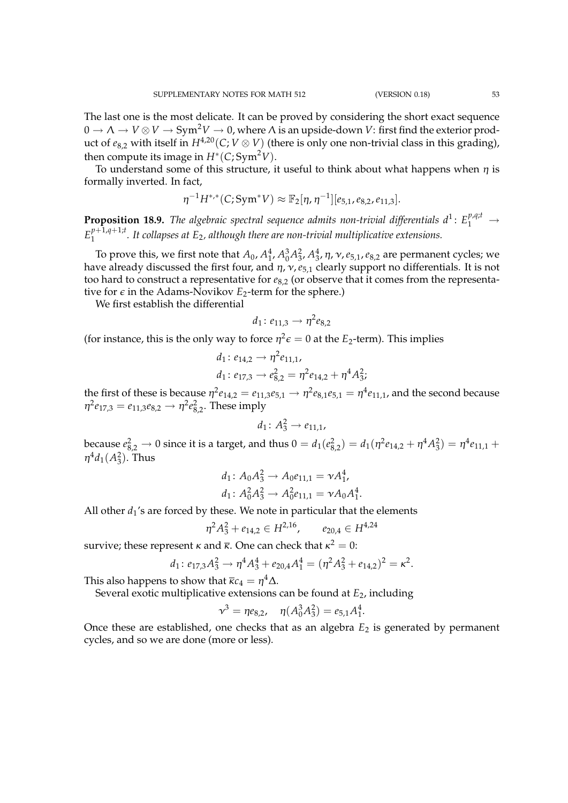The last one is the most delicate. It can be proved by considering the short exact sequence  $0 \to \Lambda \to V \otimes V \to Sym^2V \to 0$ , where  $\Lambda$  is an upside-down V: first find the exterior product of  $e_{8,2}$  with itself in  $H^{4,20}(C; V \otimes V)$  (there is only one non-trivial class in this grading), then compute its image in  $H^*(C; Sym^2V)$ .

To understand some of this structure, it useful to think about what happens when  $\eta$  is formally inverted. In fact,

$$
\eta^{-1}H^{*,*}(C; \text{Sym}^*V) \approx \mathbb{F}_2[\eta, \eta^{-1}][e_{5,1}, e_{8,2}, e_{11,3}].
$$

**Proposition 18.9.** The algebraic spectral sequence admits non-trivial differentials  $d^1$ :  $E_1^{p,q;t}$   $\rightarrow$  $E_1^{p+1,q+1;t}$ 1 *. It collapses at E*2*, although there are non-trivial multiplicative extensions.*

To prove this, we first note that  $A_0$ ,  $A_1^4$ ,  $A_0^3 A_3^2$ ,  $A_3^4$ ,  $\eta$ ,  $\nu$ ,  $e_{5,1}$ ,  $e_{8,2}$  are permanent cycles; we have already discussed the first four, and  $\eta$ ,  $\nu$ ,  $e_{5,1}$  clearly support no differentials. It is not too hard to construct a representative for  $e_{8,2}$  (or observe that it comes from the representative for  $\epsilon$  in the Adams-Novikov  $E_2$ -term for the sphere.)

We first establish the differential

$$
d_1: e_{11,3} \to \eta^2 e_{8,2}
$$

(for instance, this is the only way to force  $\eta^2 \epsilon = 0$  at the  $E_2$ -term). This implies

$$
d_1: e_{14,2} \rightarrow \eta^2 e_{11,1},
$$
  

$$
d_1: e_{17,3} \rightarrow e_{8,2}^2 = \eta^2 e_{14,2} + \eta^4 A_3^2;
$$

the first of these is because  $\eta^2e_{14,2}=e_{11,3}e_{5,1}\to \eta^2e_{8,1}e_{5,1}=\eta^4e_{11,1}$ , and the second because  $η<sup>2</sup>e<sub>17,3</sub> = e<sub>11,3</sub>e<sub>8,2</sub> \rightarrow η<sup>2</sup>e<sub>8,2</sub><sup>2</sup>. These imply$ 

$$
d_1\colon A_3^2\to e_{11,1},
$$

because  $e_{8,2}^2 \to 0$  since it is a target, and thus  $0=d_1(e_{8,2}^2)=d_1(\eta^2e_{14,2}+\eta^4 A_3^2)=\eta^4e_{11,1}+$  $\eta^4 d_1(A_3^2)$ . Thus

$$
d_1: A_0 A_3^2 \to A_0 e_{11,1} = \nu A_1^4,
$$
  

$$
d_1: A_0^2 A_3^2 \to A_0^2 e_{11,1} = \nu A_0 A_1^4.
$$

All other  $d_1$ 's are forced by these. We note in particular that the elements

$$
\eta^2 A_3^2 + e_{14,2} \in H^{2,16}, \qquad e_{20,4} \in H^{4,24}
$$

survive; these represent  $\kappa$  and  $\overline{\kappa}$ . One can check that  $\kappa^2=0$ :

$$
d_1: e_{17,3}A_3^2 \to \eta^4 A_3^4 + e_{20,4}A_1^4 = (\eta^2 A_3^2 + e_{14,2})^2 = \kappa^2.
$$

This also happens to show that  $\overline{\kappa}c_4 = \eta^4 \Delta.$ 

Several exotic multiplicative extensions can be found at *E*2, including

$$
\nu^3 = \eta e_{8,2}, \quad \eta(A_0^3 A_3^2) = e_{5,1} A_1^4.
$$

Once these are established, one checks that as an algebra *E*<sup>2</sup> is generated by permanent cycles, and so we are done (more or less).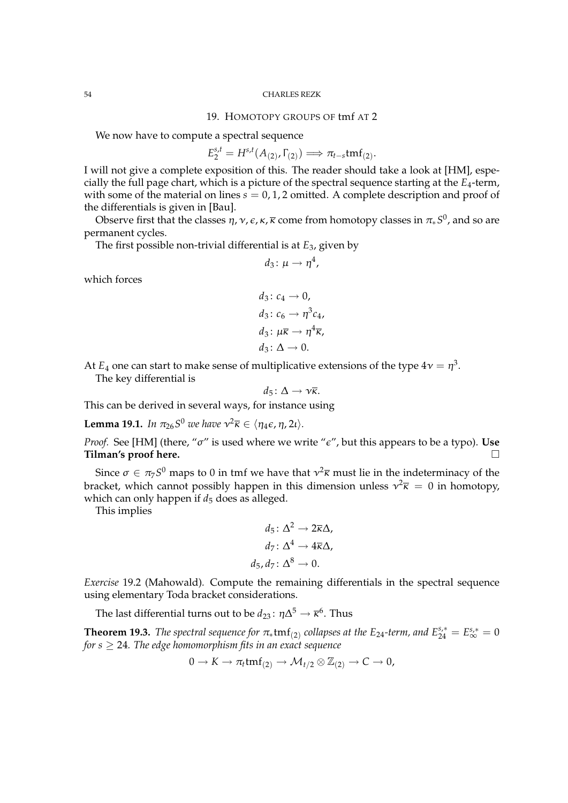# 19. HOMOTOPY GROUPS OF tmf AT 2

We now have to compute a spectral sequence

$$
E_2^{s,t} = H^{s,t}(A_{(2)}, \Gamma_{(2)}) \Longrightarrow \pi_{t-s} \text{tmf}_{(2)}.
$$

I will not give a complete exposition of this. The reader should take a look at [HM], especially the full page chart, which is a picture of the spectral sequence starting at the *E*4-term, with some of the material on lines  $s = 0, 1, 2$  omitted. A complete description and proof of the differentials is given in [Bau].

Observe first that the classes η, ν,  $\epsilon$ , κ,  $\bar{\kappa}$  come from homotopy classes in  $\pi_* S^0$ , and so are permanent cycles.

The first possible non-trivial differential is at *E*3, given by

$$
d_3\colon \mu\to \eta^4,
$$

which forces

$$
d_3: c_4 \to 0,
$$
  
\n
$$
d_3: c_6 \to \eta^3 c_4,
$$
  
\n
$$
d_3: \mu \overline{\kappa} \to \eta^4 \overline{\kappa},
$$
  
\n
$$
d_3: \Delta \to 0.
$$

At  $E_4$  one can start to make sense of multiplicative extensions of the type  $4\nu=\eta^3.$ The key differential is

This can be derived in several ways, for instance using

**Lemma 19.1.** *In*  $\pi_{26}S^0$  we have  $v^2\overline{\kappa} \in \langle \eta_4 \epsilon, \eta, 2\iota \rangle$ .

*Proof.* See [HM] (there, " $\sigma$ " is used where we write " $\epsilon$ ", but this appears to be a typo). Use **Tilman's proof here.**

 $d_5: \Delta \rightarrow \nu \overline{\kappa}$ .

Since  $\sigma \in \pi_7 S^0$  maps to 0 in tmf we have that  $\nu^2 \overline{\kappa}$  must lie in the indeterminacy of the bracket, which cannot possibly happen in this dimension unless  $v^2 \overline{\kappa} = 0$  in homotopy, which can only happen if  $d_5$  does as alleged.

This implies

$$
d_5: \Delta^2 \to 2\overline{\kappa}\Delta,
$$
  
\n
$$
d_7: \Delta^4 \to 4\overline{\kappa}\Delta,
$$
  
\n
$$
d_5, d_7: \Delta^8 \to 0.
$$

*Exercise* 19.2 (Mahowald)*.* Compute the remaining differentials in the spectral sequence using elementary Toda bracket considerations.

The last differential turns out to be  $d_{23} \colon \eta \Delta^5 \to \overline{\kappa}^6$ . Thus

**Theorem 19.3.** *The spectral sequence for*  $\pi_*$ tmf<sub>(2)</sub> collapses at the E<sub>24</sub>-term, and  $E_{24}^{s,*} = E_{\infty}^{s,*} = 0$ *for s*  $\geq$  24*. The edge homomorphism fits in an exact sequence* 

$$
0 \to K \to \pi_t \text{tmf}_{(2)} \to \mathcal{M}_{t/2} \otimes \mathbb{Z}_{(2)} \to C \to 0,
$$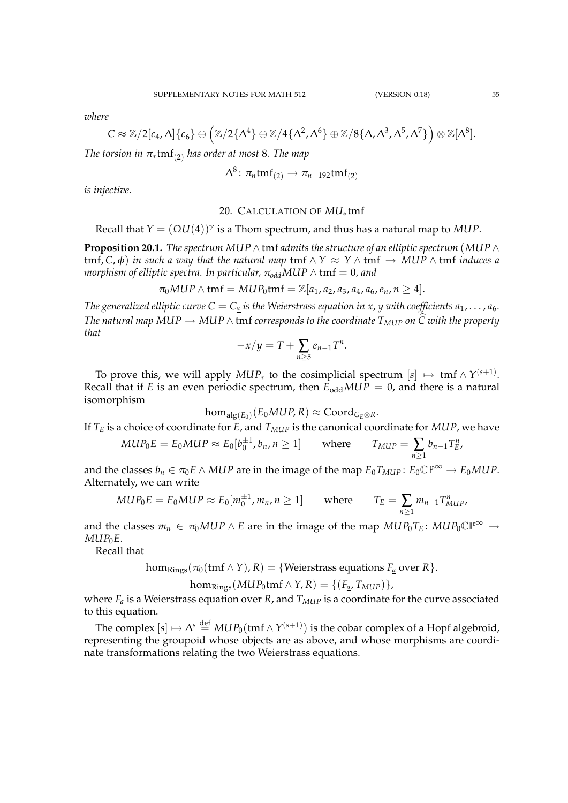*where*

$$
C\approx \mathbb{Z}/2[c_4,\Delta]\{c_6\}\oplus \left(\mathbb{Z}/2\{\Delta^4\}\oplus \mathbb{Z}/4\{\Delta^2,\Delta^6\}\oplus \mathbb{Z}/8\{\Delta,\Delta^3,\Delta^5,\Delta^7\}\right)\otimes \mathbb{Z}[\Delta^8].
$$

*The torsion in*  $\pi_* \text{tmf}_{(2)}$  *has order at most* 8*. The map* 

$$
\Delta^8\colon \pi_n\mathrm{tmf}_{(2)}\to \pi_{n+192}\mathrm{tmf}_{(2)}
$$

*is injective.*

# 20. CALCULATION OF *MU*∗tmf

Recall that  $Y = (\Omega U(4))^{\gamma}$  is a Thom spectrum, and thus has a natural map to MUP.

**Proposition 20.1.** *The spectrum MUP*  $\wedge$  tmf *admits the structure of an elliptic spectrum* (*MUP*  $\wedge$  $tmf, C, \phi$  *in such a way that the natural map*  $tmf \wedge Y \approx Y \wedge tmf \rightarrow MUP \wedge tmf$  *induces a morphism of elliptic spectra. In particular,*  $\pi_{odd} MUP \wedge tmf = 0$ *, and* 

$$
\pi_0MUP \wedge \text{tmf} = MUP_0\text{tmf} = \mathbb{Z}[a_1, a_2, a_3, a_4, a_6, e_n, n \geq 4].
$$

*The generalized elliptic curve*  $C = C_a$  *is the Weierstrass equation in x, y with coefficients*  $a_1, \ldots, a_6$ *. The natural map MUP*  $\rightarrow$  *MUP*  $\wedge$  tmf corresponds to the coordinate  $T_{MUP}$  on  $\widehat{C}$  with the property *that*

$$
-x/y = T + \sum_{n \geq 5} e_{n-1}T^n.
$$

To prove this, we will apply  $MUP_*$  to the cosimplicial spectrum  $[s] \ \mapsto \ \mathsf{tmf} \wedge \gamma^{(s+1)}.$ Recall that if *E* is an even periodic spectrum, then  $E_{odd} MUP = 0$ , and there is a natural isomorphism

$$
\text{hom}_{\text{alg}(E_0)}(E_0MUP, R) \approx \text{Coord}_{G_E \otimes R}.
$$

If *T<sup>E</sup>* is a choice of coordinate for *E*, and *TMUP* is the canonical coordinate for *MUP*, we have

$$
MUP_0E = E_0MUP \approx E_0[b_0^{\pm 1}, b_n, n \ge 1] \quad \text{where} \quad T_{MUP} = \sum_{n \ge 1} b_{n-1}T_E^n,
$$

and the classes  $b_n \in \pi_0 E \wedge MUP$  are in the image of the map  $E_0 T_{MUP}$ :  $E_0 \mathbb{CP}^{\infty} \to E_0 MUP$ . Alternately, we can write

$$
MUP_0E = E_0MUP \approx E_0[m_0^{\pm 1}, m_n, n \ge 1] \quad \text{where} \quad T_E = \sum_{n \ge 1} m_{n-1} T_{MUP}^n,
$$

and the classes  $m_n \in \pi_0 MUP \wedge E$  are in the image of the map  $MUP_0T_E$ :  $MUP_0\mathbb{CP}^{\infty} \rightarrow$  $MUP_0E$ .

Recall that

 $hom_{\text{Rings}}(\pi_0(\text{tmf}\wedge Y), R) = \{ \text{Weierstrass equations } F_a \text{ over } R \}.$ 

 $\text{hom}_{\text{Rings}}(\text{MUP}_0 \text{tmf} \wedge Y, R) = \{ (F_a, T_{\text{MUP}}) \},$ 

where  $F_a$  is a Weierstrass equation over *R*, and  $T_{MUP}$  is a coordinate for the curve associated to this equation.

The complex  $[s] \mapsto \Delta^s \stackrel{\text{def}}{=} MUP_0(\text{tmf} \wedge Y^{(s+1)})$  is the cobar complex of a Hopf algebroid, representing the groupoid whose objects are as above, and whose morphisms are coordinate transformations relating the two Weierstrass equations.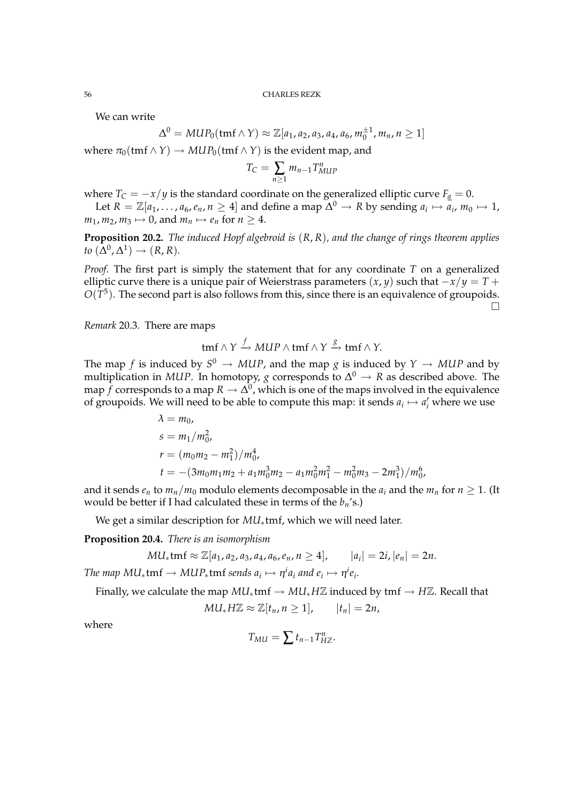We can write

$$
\Delta^{0} = MUP_{0}(\text{tmf}\wedge Y) \approx \mathbb{Z}[a_{1}, a_{2}, a_{3}, a_{4}, a_{6}, m_{0}^{\pm 1}, m_{n}, n \geq 1]
$$

where  $\pi_0$ (tmf  $\land$  *Y*)  $\rightarrow$  *MUP*<sub>0</sub>(tmf  $\land$  *Y*) is the evident map, and

$$
T_C = \sum_{n\geq 1} m_{n-1} T^n_{MUP}
$$

where  $T_C = -x/y$  is the standard coordinate on the generalized elliptic curve  $F_a = 0$ .

Let  $R = \mathbb{Z}[a_1,\ldots,a_6,e_n, n \geq 4]$  and define a map  $\Delta^0 \to R$  by sending  $a_i \mapsto \overline{a_i}$ ,  $m_0 \mapsto 1$ ,  $m_1$ ,  $m_2$ ,  $m_3 \mapsto 0$ , and  $m_n \mapsto e_n$  for  $n \ge 4$ .

**Proposition 20.2.** *The induced Hopf algebroid is* (*R*, *R*)*, and the change of rings theorem applies*  $to (\Delta^0, \Delta^1) \rightarrow (R, R).$ 

*Proof.* The first part is simply the statement that for any coordinate *T* on a generalized elliptic curve there is a unique pair of Weierstrass parameters  $(x, y)$  such that  $-x/y = T +$  $O(T^5)$ . The second part is also follows from this, since there is an equivalence of groupoids.  $\Box$ 

*Remark* 20.3*.* There are maps

$$
tmf \wedge Y \xrightarrow{f} MUP \wedge tmf \wedge Y \xrightarrow{g} tmf \wedge Y.
$$

The map  $f$  is induced by  $S^0 \rightarrow MUP$ , and the map  $g$  is induced by  $Y \rightarrow MUP$  and by multiplication in MUP. In homotopy,  $g$  corresponds to  $\Delta^0 \to R$  as described above. The map  $f$  corresponds to a map  $R \to \Delta^0$ , which is one of the maps involved in the equivalence of groupoids. We will need to be able to compute this map: it sends  $a_i \mapsto a'_i$  where we use

$$
\lambda = m_0,
$$
  
\n
$$
s = m_1/m_0^2,
$$
  
\n
$$
r = (m_0m_2 - m_1^2)/m_0^4,
$$
  
\n
$$
t = -(3m_0m_1m_2 + a_1m_0^3m_2 - a_1m_0^2m_1^2 - m_0^2m_3 - 2m_1^3)/m_0^6,
$$

and it sends  $e_n$  to  $m_n/m_0$  modulo elements decomposable in the  $a_i$  and the  $m_n$  for  $n \ge 1$ . (It would be better if I had calculated these in terms of the *bn*'s.)

We get a similar description for *MU*∗tmf, which we will need later.

**Proposition 20.4.** *There is an isomorphism*

$$
MU_*\mathrm{tmf} \approx \mathbb{Z}[a_1, a_2, a_3, a_4, a_6, e_n, n \ge 4], \qquad |a_i| = 2i, |e_n| = 2n.
$$

 $\tau$ he map  $MU_*$ t $\text{tmf} \rightarrow MUP_*$ t $\text{tmf}$  sends  $a_i \mapsto \eta^i a_i$  and  $e_i \mapsto \eta^i e_i.$ 

Finally, we calculate the map  $MU_*$ tmf  $\rightarrow MU_*$ *HZ* induced by tmf  $\rightarrow H\mathbb{Z}$ . Recall that

$$
MU_* H\mathbb{Z} \approx \mathbb{Z}[t_n, n \geq 1], \qquad |t_n| = 2n,
$$

where

$$
T_{MU} = \sum t_{n-1} T_{HZ}^n.
$$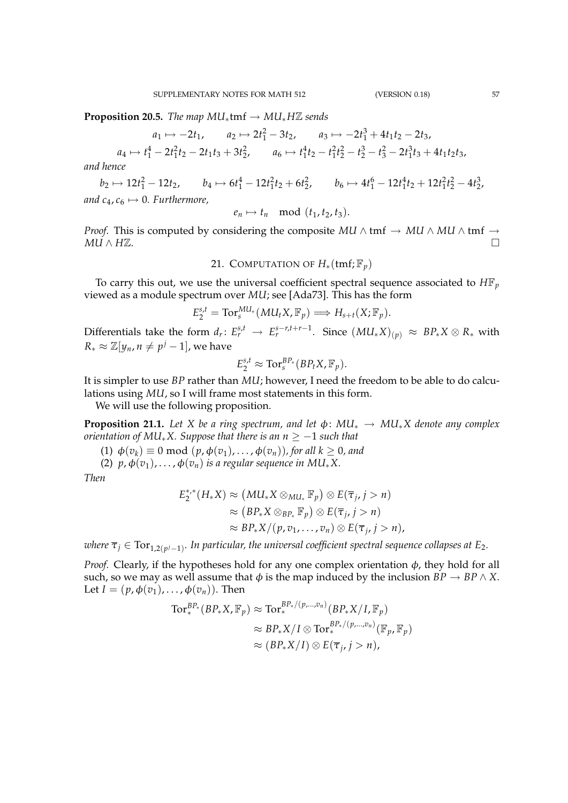$$
a_1 \mapsto -2t_1
$$
,  $a_2 \mapsto 2t_1^2 - 3t_2$ ,  $a_3 \mapsto -2t_1^3 + 4t_1t_2 - 2t_3$ ,

$$
a_4 \mapsto t_1^4 - 2t_1^2t_2 - 2t_1t_3 + 3t_2^2, \qquad a_6 \mapsto t_1^4t_2 - t_1^2t_2^2 - t_2^3 - t_3^2 - 2t_1^3t_3 + 4t_1t_2t_3,
$$

*and hence*

 $b_2 \mapsto 12t_1^2 - 12t_2$ ,  $b_4 \mapsto 6t_1^4 - 12t_1^2t_2 + 6t_2^2$ ,  $b_6 \mapsto 4t_1^6 - 12t_1^4t_2 + 12t_1^2t_2^2 - 4t_2^3$ , *and*  $c_4$ ,  $c_6 \mapsto 0$ . Furthermore,

$$
e_n \mapsto t_n \mod (t_1, t_2, t_3).
$$

*Proof.* This is computed by considering the composite *MU* ∧ tmf  $\rightarrow$  *MU* ∧ *MU* ∧ tmf  $\rightarrow$ *MU* ∧ *H*Z.

21. COMPUTATION OF  $H_*(\text{tmf};\mathbb{F}_p)$ 

To carry this out, we use the universal coefficient spectral sequence associated to  $H\mathbb{F}_p$ viewed as a module spectrum over *MU*; see [Ada73]. This has the form

$$
E_2^{s,t} = \text{Tor}_s^{M U_*}(M U_t X, \mathbb{F}_p) \Longrightarrow H_{s+t}(X; \mathbb{F}_p).
$$

Differentials take the form  $d_r\colon E_r^{s,t}\to E_r^{s-r,t+r-1}$ . Since  $(MU_*X)_{(p)}\approx BP_*X\otimes R_*$  with  $R_* \approx \mathbb{Z}[y_n, n \neq p^j - 1]$ , we have

$$
E_2^{s,t} \approx \text{Tor}_s^{BP_*}(BP_tX,\mathbb{F}_p).
$$

It is simpler to use *BP* rather than *MU*; however, I need the freedom to be able to do calculations using *MU*, so I will frame most statements in this form.

We will use the following proposition.

**Proposition 21.1.** Let X be a ring spectrum, and let  $\phi$ :  $MU_* \rightarrow MU_*X$  denote any complex *orientation of MU*∗*X. Suppose that there is an n* ≥ −1 *such that*

(1)  $\phi(v_k) \equiv 0 \text{ mod } (p, \phi(v_1), \ldots, \phi(v_n))$ , for all  $k \geq 0$ , and

(2)  $p, \phi(v_1), \ldots, \phi(v_n)$  *is a regular sequence in MU*<sup>\*</sup>*X*.

*Then*

$$
E_2^{*,*}(H_*X) \approx (MU_*X \otimes_{MU_*} \mathbb{F}_p) \otimes E(\overline{\tau}_j, j > n)
$$
  
\n
$$
\approx (BP_*X \otimes_{BP_*} \mathbb{F}_p) \otimes E(\overline{\tau}_j, j > n)
$$
  
\n
$$
\approx BP_*X/(p, v_1, \ldots, v_n) \otimes E(\overline{\tau}_j, j > n),
$$

 $\varpi$  *where*  $\overline{\tau}_j \in \text{Tor}_{1,2(p^j-1)}.$  *In particular, the universal coefficient spectral sequence collapses at E<sub>2</sub>.* 

*Proof.* Clearly, if the hypotheses hold for any one complex orientation  $\phi$ , they hold for all such, so we may as well assume that  $\phi$  is the map induced by the inclusion  $BP \to BP \land X$ . Let  $I = (p, \phi(v_1), \ldots, \phi(v_n))$ . Then

$$
\operatorname{Tor}^{BP_*}_*(BP_*X, \mathbb{F}_p) \approx \operatorname{Tor}^{BP_*/(p,\ldots,v_n)}_*(BP_*X/I, \mathbb{F}_p)
$$
  

$$
\approx BP_*X/I \otimes \operatorname{Tor}^{BP_*/(p,\ldots,v_n)}_*(\mathbb{F}_p, \mathbb{F}_p)
$$
  

$$
\approx (BP_*X/I) \otimes E(\overline{\tau}_j, j > n),
$$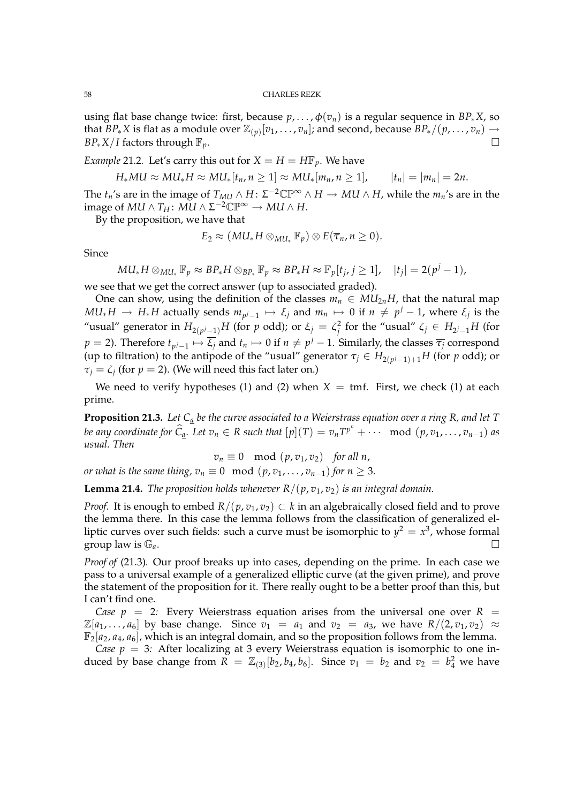using flat base change twice: first, because  $p, \ldots, \phi(v_n)$  is a regular sequence in  $BP_*X$ , so that  $BP_*X$  is flat as a module over  $\mathbb{Z}_{(p)}[v_1,\ldots,v_n]$ ; and second, because  $BP_*/(p,\ldots,v_n)\to$  $BP_*X/I$  factors through  $\mathbb{F}_p$ .

*Example* 21.2*.* Let's carry this out for  $X = H = H\mathbb{F}_p$ . We have

$$
H_*MU \approx MU_*H \approx MU_*[t_n, n \geq 1] \approx MU_*[m_n, n \geq 1], \qquad |t_n| = |m_n| = 2n.
$$

The *t<sub>n</sub>*'s are in the image of  $T_{MU} \wedge H$ :  $\Sigma^{-2} \mathbb{CP}^\infty \wedge H \to MU \wedge H$ , while the  $m_n$ 's are in the  $\operatorname{image~of}~MU \wedge T_H \colon MU \wedge \Sigma^{-2}\mathbb{CP}^\infty \to MU \wedge H.$ 

By the proposition, we have that

$$
E_2 \approx (M U_* H \otimes_{M U_*} \mathbb{F}_p) \otimes E(\overline{\tau}_n, n \geq 0).
$$

Since

$$
M U_* H \otimes_{M U_*} \mathbb{F}_p \approx BP_* H \otimes_{BP_*} \mathbb{F}_p \approx BP_* H \approx \mathbb{F}_p[t_j, j \geq 1], \quad |t_j| = 2(p^j - 1),
$$

we see that we get the correct answer (up to associated graded).

One can show, using the definition of the classes  $m_n \in MU_{2n}$ *H*, that the natural map *MU*<sub>∗</sub>*H* → *H*<sub>∗</sub>*H* actually sends  $m_{p^j-1}$   $\mapsto$  *ξ<sub>j</sub>* and  $m_n$   $\mapsto$  0 if  $n ≠ p^j - 1$ , where *ξ<sub>j</sub>* is the "usual" generator in  $H_{2(p^j-1)}H$  (for  $p$  odd); or  $\xi_j = \zeta_j^2$  for the "usual"  $\zeta_j \in H_{2^j-1}H$  (for  $p = 2$ ). Therefore  $t_{p^j-1} \mapsto \overline{\xi_j}$  and  $t_n \mapsto 0$  if  $n \neq p^j-1$ . Similarly, the classes  $\overline{\tau_j}$  correspond (up to filtration) to the antipode of the "usual" generator  $\tau_j \in H_{2(p^j-1)+1}H$  (for  $p$  odd); or  $\tau_j = \zeta_j$  (for  $p = 2$ ). (We will need this fact later on.)

We need to verify hypotheses (1) and (2) when  $X = \text{tmf.}$  First, we check (1) at each prime.

**Proposition 21.3.** *Let C<sup>a</sup> be the curve associated to a Weierstrass equation over a ring R, and let T* be any coordinate for  $\widehat{C}_{\underline{a}}$ . Let  $v_n \in R$  such that  $[p](T) = v_n T^{p^n} + \cdots \mod (p, v_1, \ldots, v_{n-1})$  as *usual. Then*

$$
v_n \equiv 0 \mod (p, v_1, v_2) \text{ for all } n,
$$

*or what is the same thing,*  $v_n \equiv 0 \mod (p, v_1, \ldots, v_{n-1})$  *for*  $n \geq 3$ *.* 

**Lemma 21.4.** *The proposition holds whenever*  $R/(p, v_1, v_2)$  *is an integral domain.* 

*Proof.* It is enough to embed  $R/(p, v_1, v_2) \subset k$  in an algebraically closed field and to prove the lemma there. In this case the lemma follows from the classification of generalized elliptic curves over such fields: such a curve must be isomorphic to  $y^2 = x^3$ , whose formal group law is G*a*.

*Proof of* (21.3)*.* Our proof breaks up into cases, depending on the prime. In each case we pass to a universal example of a generalized elliptic curve (at the given prime), and prove the statement of the proposition for it. There really ought to be a better proof than this, but I can't find one.

*Case p* = 2*:* Every Weierstrass equation arises from the universal one over  $R =$  $\mathbb{Z}[a_1, \ldots, a_6]$  by base change. Since  $v_1 = a_1$  and  $v_2 = a_3$ , we have  $R/(2, v_1, v_2) \approx$  $\mathbb{F}_2[a_2, a_4, a_6]$ , which is an integral domain, and so the proposition follows from the lemma.

*Case*  $p = 3$ *:* After localizing at 3 every Weierstrass equation is isomorphic to one induced by base change from  $\overline{R} = \mathbb{Z}_{(3)}[b_2, b_4, b_6]$ . Since  $v_1 = b_2$  and  $v_2 = b_4^2$  we have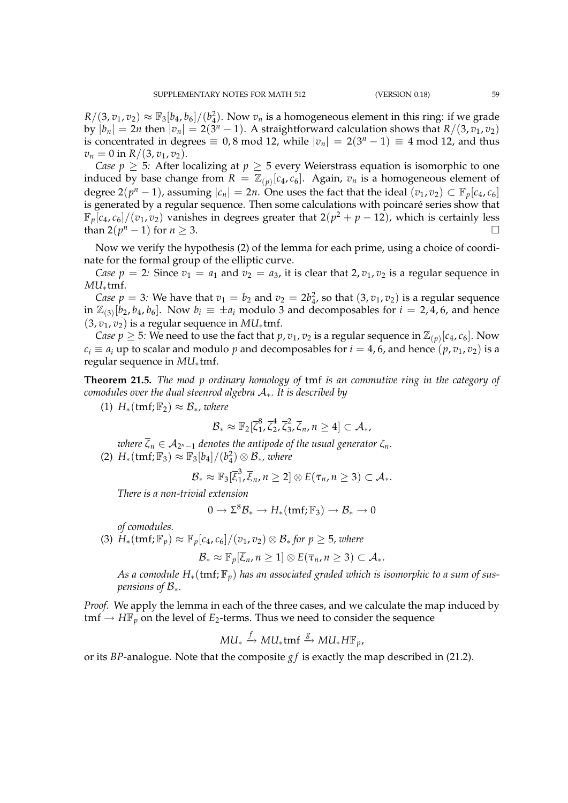$R/(3, v_1, v_2) \approx \mathbb{F}_3[b_4, b_6]/(b_4^2)$ . Now  $v_n$  is a homogeneous element in this ring: if we grade by  $|b_n| = 2n$  then  $|v_n| = 2(\bar{3}^n - 1)$ . A straightforward calculation shows that  $R/(3, v_1, v_2)$ is concentrated in degrees  $\equiv 0.8$  mod 12, while  $|v_n| = 2(3^n - 1) \equiv 4$  mod 12, and thus  $v_n = 0$  in  $R/(3, v_1, v_2)$ .

*Case*  $p \geq 5$ *:* After localizing at  $p \geq 5$  every Weierstrass equation is isomorphic to one induced by base change from  $R = \mathbb{Z}_{(p)}[c_4, c_6]$ . Again,  $v_n$  is a homogeneous element of degree  $2(p^n - 1)$ , assuming  $|c_n| = 2n$ . One uses the fact that the ideal  $(v_1, v_2) \subset \mathbb{F}_p[c_4, c_6]$ is generated by a regular sequence. Then some calculations with poincaré series show that  $\mathbb{F}_p[c_4, c_6]/(v_1, v_2)$  vanishes in degrees greater that  $2(p^2 + p - 12)$ , which is certainly less than  $2(p^n - 1)$  for  $n \ge 3$ .

Now we verify the hypothesis (2) of the lemma for each prime, using a choice of coordinate for the formal group of the elliptic curve.

*Case p* = 2*:* Since  $v_1 = a_1$  and  $v_2 = a_3$ , it is clear that 2,  $v_1$ ,  $v_2$  is a regular sequence in *MU*∗tmf.

*Case p* = 3: We have that  $v_1 = b_2$  and  $v_2 = 2b_4^2$ , so that  $(3, v_1, v_2)$  is a regular sequence in  $\mathbb{Z}_{(3)}[b_2, b_4, b_6]$ . Now  $b_i \equiv \pm a_i$  modulo 3 and decomposables for  $i = 2, 4, 6$ , and hence  $(3, v_1, v_2)$  is a regular sequence in *MU*<sub>\*</sub>tmf.

*Case p*  $\geq$  5: We need to use the fact that *p*, *v*<sub>1</sub>, *v*<sub>2</sub> is a regular sequence in  $\mathbb{Z}_{(p)}[c_4, c_6]$ . Now  $c_i \equiv a_i$  up to scalar and modulo *p* and decomposables for  $i = 4$ , 6, and hence  $(p, v_1, v_2)$  is a regular sequence in *MU*∗tmf.

**Theorem 21.5.** *The mod p ordinary homology of* tmf *is an commutive ring in the category of comodules over the dual steenrod algebra* A∗*. It is described by*

(1)  $H_*(\text{tmf};\mathbb{F}_2) \approx \mathcal{B}_*,$  where

$$
\mathcal{B}_* \approx \mathbb{F}_2[\bar{\zeta}_1^8, \bar{\zeta}_2^4, \bar{\zeta}_3^2, \bar{\zeta}_n, n \geq 4] \subset \mathcal{A}_*,
$$

 $\overline{\zeta}_n \in \mathcal{A}_{2^n-1}$  denotes the antipode of the usual generator  $\zeta_n.$ (2)  $H_*(\text{tmf}; \mathbb{F}_3) \approx \mathbb{F}_3[b_4]/(b_4^2) \otimes \mathcal{B}_*,$  where

$$
\mathcal{B}_* \approx \mathbb{F}_3[\overline{\xi}_1^3, \overline{\xi}_n, n \geq 2] \otimes E(\overline{\tau}_n, n \geq 3) \subset \mathcal{A}_*.
$$

*There is a non-trivial extension*

$$
0\to \Sigma^8{\mathcal B}_*\to H_*({\text{tmf}};\mathbb{F}_3)\to {\mathcal B}_*\to 0
$$

*of comodules.*

(3)  $H_*(\text{tmf};\mathbb{F}_p) \approx \mathbb{F}_p[c_4,c_6]/(v_1,v_2) \otimes \mathcal{B}_*$  *for*  $p \geq 5$ *, where* 

$$
\mathcal{B}_* \approx \mathbb{F}_p[\overline{\xi}_n, n \geq 1] \otimes E(\overline{\tau}_n, n \geq 3) \subset \mathcal{A}_*.
$$

*As a comodule H*∗(tmf; F*p*) *has an associated graded which is isomorphic to a sum of suspensions of* B∗*.*

*Proof.* We apply the lemma in each of the three cases, and we calculate the map induced by tmf  $\rightarrow$  *H*F<sub>*p*</sub> on the level of *E*<sub>2</sub>-terms. Thus we need to consider the sequence

$$
MU_* \xrightarrow{f} MU_* \text{tmf} \xrightarrow{g} MU_* H\mathbb{F}_p,
$$

or its *BP*-analogue. Note that the composite *g f* is exactly the map described in (21.2).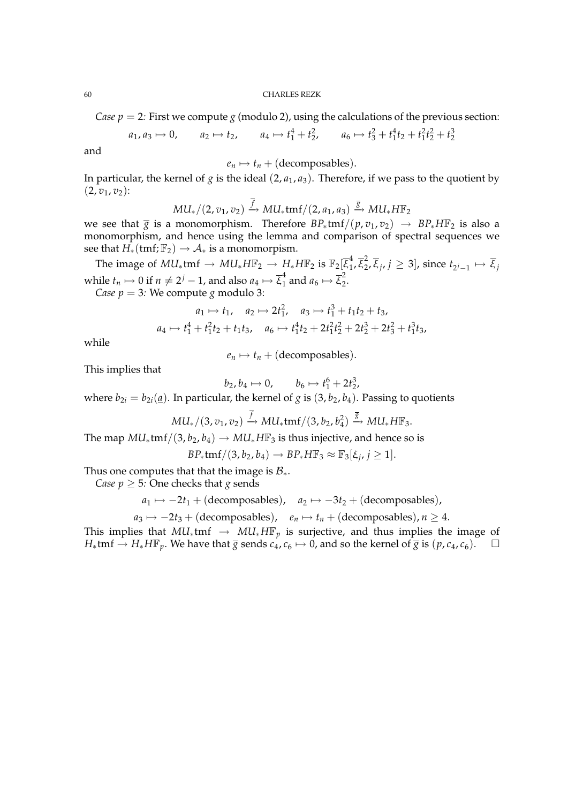*Case*  $p = 2$ *: First we compute <i>g* (modulo 2), using the calculations of the previous section:

$$
a_1, a_3 \mapsto 0
$$
,  $a_2 \mapsto t_2$ ,  $a_4 \mapsto t_1^4 + t_2^2$ ,  $a_6 \mapsto t_3^2 + t_1^4 t_2 + t_1^2 t_2^2 + t_2^3$ 

and

$$
e_n \mapsto t_n + (\text{decomposables}).
$$

In particular, the kernel of *g* is the ideal  $(2, a_1, a_3)$ . Therefore, if we pass to the quotient by  $(2, v_1, v_2)$ :

$$
MU_*/(2,v_1,v_2) \xrightarrow{f} MU_*\text{tmf}/(2,a_1,a_3) \xrightarrow{\overline{g}} MU_*H\mathbb{F}_2
$$

we see that  $\overline{g}$  is a monomorphism. Therefore  $BP_*tmf/(p, v_1, v_2) \rightarrow BP_*H\mathbb{F}_2$  is also a monomorphism, and hence using the lemma and comparison of spectral sequences we see that  $H_*(\text{tmf};\mathbb{F}_2) \to \mathcal{A}_*$  is a monomorpism.

The image of  $MU_*$ tmf  $\rightarrow MU_* H\mathbb{F}_2 \rightarrow H_* H\mathbb{F}_2$  is  $\mathbb{F}_2[\overline{\xi}_1^4]$  $\frac{4}{1}, \overline{\xi}_2^2$  $\{z_2, \overline{\xi}_j, j \geq 3\}$ , since  $t_{2j-1} \mapsto \overline{\xi}_j$ while  $t_n \mapsto 0$  if  $n \neq 2^j-1$ , and also  $a_4 \mapsto \overline{\xi}_1^4$  and  $a_6 \mapsto \overline{\xi}_2^2$  $\frac{2}{2}$ 

*Case*  $p = 3$ *: We compute <i>g* modulo 3:

$$
a_1 \mapsto t_1, \quad a_2 \mapsto 2t_1^2, \quad a_3 \mapsto t_1^3 + t_1t_2 + t_3,
$$
  

$$
a_4 \mapsto t_1^4 + t_1^2t_2 + t_1t_3, \quad a_6 \mapsto t_1^4t_2 + 2t_1^2t_2^2 + 2t_2^3 + 2t_3^2 + t_1^3t_3,
$$

while

 $e_n \mapsto t_n +$  (decomposables).

This implies that

 $b_2, b_4 \mapsto 0, \qquad b_6 \mapsto t_1^6 + 2t_2^3,$ 

where  $b_{2i} = b_{2i}(\mathbf{a})$ . In particular, the kernel of *g* is  $(3, b_2, b_4)$ . Passing to quotients

$$
MU_*/(3,v_1,v_2)\stackrel{f}{\rightarrow} MU_*\mathrm{tmf}/(3,b_2,b_4^2)\stackrel{\overline{g}}{\rightarrow} MU_*H\mathbb{F}_3.
$$

The map  $MU_*$ tmf/(3,  $b_2$ ,  $b_4$ )  $\rightarrow MU_*$  *H*F<sub>3</sub> is thus injective, and hence so is

$$
BP_*\text{tmf}/(3,b_2,b_4)\rightarrow BP_*H\mathbb{F}_3\approx \mathbb{F}_3[\xi_j,j\geq 1].
$$

Thus one computes that that the image is  $B_*$ .

*Case*  $p \geq 5$ *: One checks that <i>g* sends

$$
a_1 \mapsto -2t_1 + (\text{decomposables})
$$
,  $a_2 \mapsto -3t_2 + (\text{decomposables})$ ,

 $a_3 \mapsto -2t_3 + (\text{decomposables})$ ,  $e_n \mapsto t_n + (\text{decomposables})$ ,  $n \ge 4$ .

This implies that  $MU_*$ tmf  $\rightarrow MU_*$ *H*F<sub>p</sub> is surjective, and thus implies the image of *H*<sub>∗</sub>tmf → *H*<sub>∗</sub>*H* $\mathbb{F}_p$ . We have that  $\overline{g}$  sends  $c_4$ ,  $c_6 \mapsto 0$ , and so the kernel of  $\overline{g}$  is  $(p, c_4, c_6)$ .  $\Box$